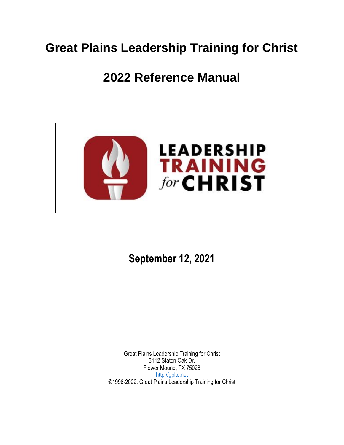# **Great Plains Leadership Training for Christ**

# **2022 Reference Manual**



**September 12, 2021**

Great Plains Leadership Training for Christ 3112 Staton Oak Dr. Flower Mound, TX 75028 [http://gpltc.net](http://gpltc.net/) ©1996-2022, Great Plains Leadership Training for Christ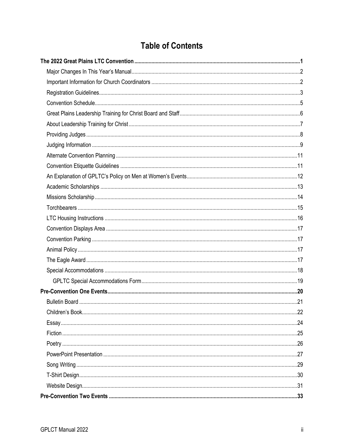# **Table of Contents**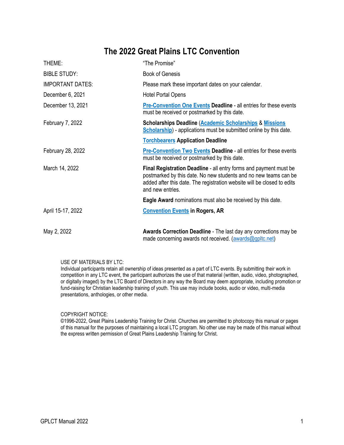### **The 2022 Great Plains LTC Convention**

<span id="page-4-1"></span><span id="page-4-0"></span>

| THEME:                  | "The Promise"                                                                                                                                                                                                                        |
|-------------------------|--------------------------------------------------------------------------------------------------------------------------------------------------------------------------------------------------------------------------------------|
| <b>BIBLE STUDY:</b>     | <b>Book of Genesis</b>                                                                                                                                                                                                               |
| <b>IMPORTANT DATES:</b> | Please mark these important dates on your calendar.                                                                                                                                                                                  |
| December 6, 2021        | Hotel Portal Opens                                                                                                                                                                                                                   |
| December 13, 2021       | <b>Pre-Convention One Events Deadline - all entries for these events</b><br>must be received or postmarked by this date.                                                                                                             |
| February 7, 2022        | <b>Scholarships Deadline (Academic Scholarships &amp; Missions</b><br>Scholarship) - applications must be submitted online by this date.                                                                                             |
|                         | <b>Torchbearers Application Deadline</b>                                                                                                                                                                                             |
| February 28, 2022       | <b>Pre-Convention Two Events Deadline - all entries for these events</b><br>must be received or postmarked by this date.                                                                                                             |
| March 14, 2022          | Final Registration Deadline - all entry forms and payment must be<br>postmarked by this date. No new students and no new teams can be<br>added after this date. The registration website will be closed to edits<br>and new entries. |
|                         | <b>Eagle Award</b> nominations must also be received by this date.                                                                                                                                                                   |
| April 15-17, 2022       | <b>Convention Events in Rogers, AR</b>                                                                                                                                                                                               |
| May 2, 2022             | <b>Awards Correction Deadline</b> - The last day any corrections may be                                                                                                                                                              |

USE OF MATERIALS BY LTC:

Individual participants retain all ownership of ideas presented as a part of LTC events. By submitting their work in competition in any LTC event, the participant authorizes the use of that material (written, audio, video, photographed, or digitally imaged) by the LTC Board of Directors in any way the Board may deem appropriate, including promotion or fund-raising for Christian leadership training of youth. This use may include books, audio or video, multi-media presentations, anthologies, or other media.

made concerning awards not received. [\(awards@gpltc.net\)](mailto:awards@gpltc.net)

COPYRIGHT NOTICE:

©1996-2022, Great Plains Leadership Training for Christ. Churches are permitted to photocopy this manual or pages of this manual for the purposes of maintaining a local LTC program. No other use may be made of this manual without the express written permission of Great Plains Leadership Training for Christ.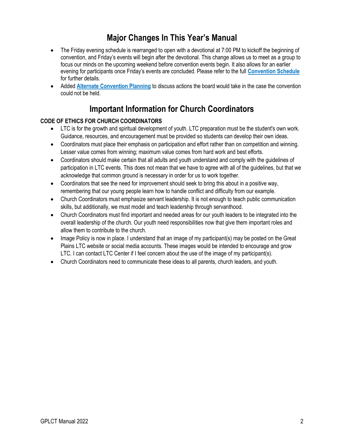# **Major Changes In This Year's Manual**

- <span id="page-5-0"></span>• The Friday evening schedule is rearranged to open with a devotional at 7:00 PM to kickoff the beginning of convention, and Friday's events will begin after the devotional. This change allows us to meet as a group to focus our minds on the upcoming weekend before convention events begin. It also allows for an earlier evening for participants once Friday's events are concluded. Please refer to the full **[Convention Schedule](#page-8-0)** for further details.
- Added **[Alternate Convention Planning](#page-14-0)** to discuss actions the board would take in the case the convention could not be held.

### **Important Information for Church Coordinators**

#### <span id="page-5-1"></span>**CODE OF ETHICS FOR CHURCH COORDINATORS**

- LTC is for the growth and spiritual development of youth. LTC preparation must be the student's own work. Guidance, resources, and encouragement must be provided so students can develop their own ideas.
- Coordinators must place their emphasis on participation and effort rather than on competition and winning. Lesser value comes from winning; maximum value comes from hard work and best efforts.
- Coordinators should make certain that all adults and youth understand and comply with the guidelines of participation in LTC events. This does not mean that we have to agree with all of the guidelines, but that we acknowledge that common ground is necessary in order for us to work together.
- Coordinators that see the need for improvement should seek to bring this about in a positive way, remembering that our young people learn how to handle conflict and difficulty from our example.
- Church Coordinators must emphasize servant leadership. It is not enough to teach public communication skills, but additionally, we must model and teach leadership through servanthood.
- Church Coordinators must find important and needed areas for our youth leaders to be integrated into the overall leadership of the church. Our youth need responsibilities now that give them important roles and allow them to contribute to the church.
- Image Policy is now in place. I understand that an image of my participant(s) may be posted on the Great Plains LTC website or social media accounts. These images would be intended to encourage and grow LTC. I can contact LTC Center if I feel concern about the use of the image of my participant(s).
- Church Coordinators need to communicate these ideas to all parents, church leaders, and youth.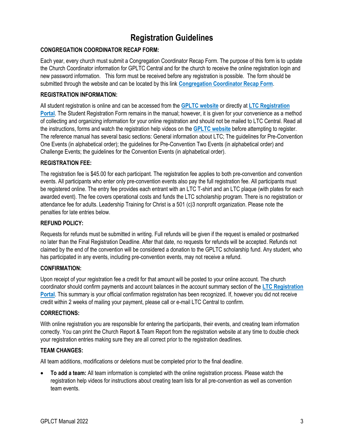# **Registration Guidelines**

#### <span id="page-6-0"></span>**CONGREGATION COORDINATOR RECAP FORM:**

Each year, every church must submit a Congregation Coordinator Recap Form. The purpose of this form is to update the Church Coordinator information for GPLTC Central and for the church to receive the online registration login and new password information. This form must be received before any registration is possible. The form should be submitted through the website and can be located by this link **[Congregation Coordinator Recap Form](http://gpltc.net/recap)**.

#### **REGISTRATION INFORMATION:**

All student registration is online and can be accessed from the **[GPLTC website](https://gpltc.net/)** or directly at **[LTC Registration](http://gpltc.ltcportal.org/)  [Portal](http://gpltc.ltcportal.org/)**. The Student Registration Form remains in the manual; however, it is given for your convenience as a method of collecting and organizing information for your online registration and should not be mailed to LTC Central. Read all the instructions, forms and watch the registration help videos on the **[GPLTC website](https://gpltc.net/)** before attempting to register. The reference manual has several basic sections: General information about LTC; The guidelines for Pre-Convention One Events (in alphabetical order); the guidelines for Pre-Convention Two Events (in alphabetical order) and Challenge Events; the guidelines for the Convention Events (in alphabetical order).

#### **REGISTRATION FEE:**

The registration fee is \$45.00 for each participant. The registration fee applies to both pre-convention and convention events. All participants who enter only pre-convention events also pay the full registration fee. All participants must be registered online. The entry fee provides each entrant with an LTC T-shirt and an LTC plaque (with plates for each awarded event). The fee covers operational costs and funds the LTC scholarship program. There is no registration or attendance fee for adults. Leadership Training for Christ is a 501 (c)3 nonprofit organization. Please note the penalties for late entries below.

#### **REFUND POLICY:**

Requests for refunds must be submitted in writing. Full refunds will be given if the request is emailed or postmarked no later than the Final Registration Deadline. After that date, no requests for refunds will be accepted. Refunds not claimed by the end of the convention will be considered a donation to the GPLTC scholarship fund. Any student, who has participated in any events, including pre-convention events, may not receive a refund.

#### **CONFIRMATION:**

Upon receipt of your registration fee a credit for that amount will be posted to your online account. The church coordinator should confirm payments and account balances in the account summary section of the **[LTC Registration](http://gpltc.ltcportal.org/)  [Portal](http://gpltc.ltcportal.org/)**. This summary is your official confirmation registration has been recognized. If, however you did not receive credit within 2 weeks of mailing your payment, please call or e-mail LTC Central to confirm.

#### **CORRECTIONS:**

With online registration you are responsible for entering the participants, their events, and creating team information correctly. You can print the Church Report & Team Report from the registration website at any time to double check your registration entries making sure they are all correct prior to the registration deadlines.

#### **TEAM CHANGES:**

All team additions, modifications or deletions must be completed prior to the final deadline.

• **To add a team:** All team information is completed with the online registration process. Please watch the registration help videos for instructions about creating team lists for all pre-convention as well as convention team events.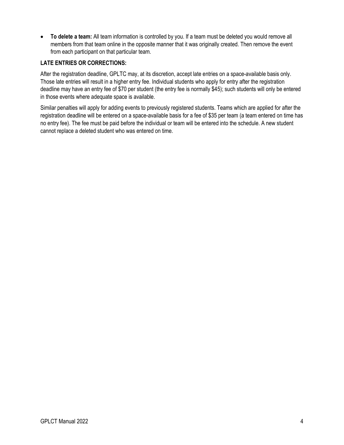• **To delete a team:** All team information is controlled by you. If a team must be deleted you would remove all members from that team online in the opposite manner that it was originally created. Then remove the event from each participant on that particular team.

#### **LATE ENTRIES OR CORRECTIONS:**

After the registration deadline, GPLTC may, at its discretion, accept late entries on a space-available basis only. Those late entries will result in a higher entry fee. Individual students who apply for entry after the registration deadline may have an entry fee of \$70 per student (the entry fee is normally \$45); such students will only be entered in those events where adequate space is available.

Similar penalties will apply for adding events to previously registered students. Teams which are applied for after the registration deadline will be entered on a space-available basis for a fee of \$35 per team (a team entered on time has no entry fee). The fee must be paid before the individual or team will be entered into the schedule. A new student cannot replace a deleted student who was entered on time.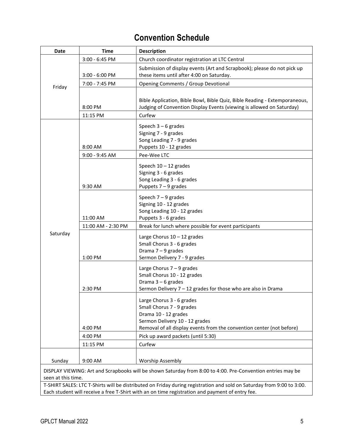# **Convention Schedule**

<span id="page-8-0"></span>

| Date               | <b>Time</b>               | <b>Description</b>                                                                                                    |
|--------------------|---------------------------|-----------------------------------------------------------------------------------------------------------------------|
|                    | 3:00 - 6:45 PM            | Church coordinator registration at LTC Central                                                                        |
|                    |                           | Submission of display events (Art and Scrapbook); please do not pick up                                               |
|                    | $3:00 - 6:00$ PM          | these items until after 4:00 on Saturday.                                                                             |
| Friday             | 7:00 - 7:45 PM            | Opening Comments / Group Devotional                                                                                   |
|                    |                           |                                                                                                                       |
|                    |                           | Bible Application, Bible Bowl, Bible Quiz, Bible Reading - Extemporaneous,                                            |
|                    | 8:00 PM                   | Judging of Convention Display Events (viewing is allowed on Saturday)                                                 |
|                    | 11:15 PM                  | Curfew                                                                                                                |
|                    |                           | Speech $3-6$ grades                                                                                                   |
|                    |                           | Signing 7 - 9 grades                                                                                                  |
|                    |                           | Song Leading 7 - 9 grades                                                                                             |
|                    | 8:00 AM<br>9:00 - 9:45 AM | Puppets 10 - 12 grades<br>Pee-Wee LTC                                                                                 |
|                    |                           |                                                                                                                       |
|                    |                           | Speech $10 - 12$ grades                                                                                               |
|                    |                           | Signing 3 - 6 grades<br>Song Leading 3 - 6 grades                                                                     |
|                    | 9:30 AM                   | Puppets $7 - 9$ grades                                                                                                |
|                    |                           |                                                                                                                       |
|                    |                           | Speech $7 - 9$ grades<br>Signing 10 - 12 grades                                                                       |
|                    |                           | Song Leading 10 - 12 grades                                                                                           |
|                    | 11:00 AM                  | Puppets 3 - 6 grades                                                                                                  |
|                    | 11:00 AM - 2:30 PM        | Break for lunch where possible for event participants                                                                 |
| Saturday           |                           | Large Chorus $10 - 12$ grades                                                                                         |
|                    |                           | Small Chorus 3 - 6 grades                                                                                             |
|                    |                           | Drama 7 - 9 grades                                                                                                    |
|                    | 1:00 PM                   | Sermon Delivery 7 - 9 grades                                                                                          |
|                    |                           | Large Chorus $7 - 9$ grades                                                                                           |
|                    |                           | Small Chorus 10 - 12 grades                                                                                           |
|                    |                           | Drama 3 - 6 grades                                                                                                    |
|                    | 2:30 PM                   | Sermon Delivery 7 - 12 grades for those who are also in Drama                                                         |
|                    |                           | Large Chorus 3 - 6 grades                                                                                             |
|                    |                           | Small Chorus 7 - 9 grades                                                                                             |
|                    |                           | Drama 10 - 12 grades                                                                                                  |
|                    |                           | Sermon Delivery 10 - 12 grades                                                                                        |
|                    | 4:00 PM                   | Removal of all display events from the convention center (not before)                                                 |
|                    | 4:00 PM                   | Pick up award packets (until 5:30)                                                                                    |
|                    | 11:15 PM                  | Curfew                                                                                                                |
| Sunday             | 9:00 AM                   | <b>Worship Assembly</b>                                                                                               |
|                    |                           |                                                                                                                       |
| seen at this time. |                           | DISPLAY VIEWING: Art and Scrapbooks will be shown Saturday from 8:00 to 4:00. Pre-Convention entries may be           |
|                    |                           | T-SHIRT SALES: LTC T-Shirts will be distributed on Friday during registration and sold on Saturday from 9:00 to 3:00. |
|                    |                           | Each student will receive a free T-Shirt with an on time registration and payment of entry fee.                       |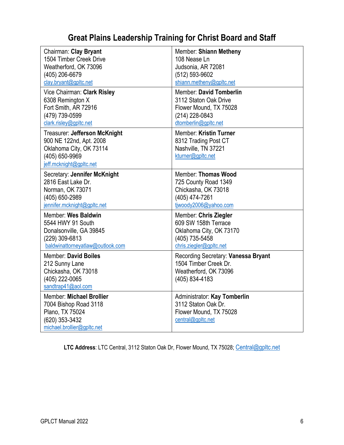# **Great Plains Leadership Training for Christ Board and Staff**

<span id="page-9-0"></span>

| Chairman: Clay Bryant                                                                                                            | Member: Shiann Metheny                                                                                  |
|----------------------------------------------------------------------------------------------------------------------------------|---------------------------------------------------------------------------------------------------------|
| 1504 Timber Creek Drive                                                                                                          | 108 Nease Ln                                                                                            |
| Weatherford, OK 73096                                                                                                            | Judsonia, AR 72081                                                                                      |
| (405) 206-6679                                                                                                                   | (512) 593-9602                                                                                          |
| clay.bryant@gpltc.net                                                                                                            | shiann.metheny@gpltc.net                                                                                |
| Vice Chairman: Clark Risley                                                                                                      | Member: David Tomberlin                                                                                 |
| 6308 Remington X                                                                                                                 | 3112 Staton Oak Drive                                                                                   |
| Fort Smith, AR 72916                                                                                                             | Flower Mound, TX 75028                                                                                  |
| (479) 739-0599                                                                                                                   | (214) 228-0843                                                                                          |
| clark.risley@gpltc.net                                                                                                           | dtomberlin@gpltc.net                                                                                    |
| Treasurer: Jefferson McKnight<br>900 NE 122nd, Apt. 2008<br>Oklahoma City, OK 73114<br>(405) 650-9969<br>jeff.mcknight@gpltc.net | Member: Kristin Turner<br>8312 Trading Post CT<br>Nashville, TN 37221<br>kturner@gpltc.net              |
| Secretary: Jennifer McKnight                                                                                                     | Member: Thomas Wood                                                                                     |
| 2816 East Lake Dr.                                                                                                               | 725 County Road 1349                                                                                    |
| Norman, OK 73071                                                                                                                 | Chickasha, OK 73018                                                                                     |
| (405) 650-2989                                                                                                                   | (405) 474-7261                                                                                          |
| jennifer.mcknight@gpltc.net                                                                                                      | tjwoody2006@yahoo.com                                                                                   |
| Member: Wes Baldwin                                                                                                              | Member: Chris Ziegler                                                                                   |
| 5544 HWY 91 South                                                                                                                | 609 SW 158th Terrace                                                                                    |
| Donalsonville, GA 39845                                                                                                          | Oklahoma City, OK 73170                                                                                 |
| (229) 309-6813                                                                                                                   | (405) 735-5458                                                                                          |
| baldwinattorneyatlaw@outlook.com                                                                                                 | chris.ziegler@gpltc.net                                                                                 |
| <b>Member: David Boiles</b><br>212 Sunny Lane<br>Chickasha, OK 73018<br>(405) 222-0065<br>sandtrap41@aol.com                     | Recording Secretary: Vanessa Bryant<br>1504 Timber Creek Dr.<br>Weatherford, OK 73096<br>(405) 834-4183 |
| Member: Michael Brollier<br>7004 Bishop Road 3118<br>Plano, TX 75024<br>(620) 353-3432<br>michael.brollier@gpltc.net             | Administrator: Kay Tomberlin<br>3112 Staton Oak Dr.<br>Flower Mound, TX 75028<br>central@gpltc.net      |

LTC Address: LTC Central, 3112 Staton Oak Dr, Flower Mound, TX 75028; [Central@gpltc.net](mailto:Central@gpltc.net)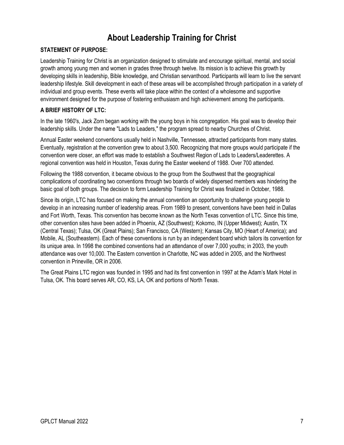# **About Leadership Training for Christ**

#### <span id="page-10-0"></span>**STATEMENT OF PURPOSE:**

Leadership Training for Christ is an organization designed to stimulate and encourage spiritual, mental, and social growth among young men and women in grades three through twelve. Its mission is to achieve this growth by developing skills in leadership, Bible knowledge, and Christian servanthood. Participants will learn to live the servant leadership lifestyle. Skill development in each of these areas will be accomplished through participation in a variety of individual and group events. These events will take place within the context of a wholesome and supportive environment designed for the purpose of fostering enthusiasm and high achievement among the participants.

#### **A BRIEF HISTORY OF LTC:**

In the late 1960's, Jack Zorn began working with the young boys in his congregation. His goal was to develop their leadership skills. Under the name "Lads to Leaders," the program spread to nearby Churches of Christ.

Annual Easter weekend conventions usually held in Nashville, Tennessee, attracted participants from many states. Eventually, registration at the convention grew to about 3,500. Recognizing that more groups would participate if the convention were closer, an effort was made to establish a Southwest Region of Lads to Leaders/Leaderettes. A regional convention was held in Houston, Texas during the Easter weekend of 1988. Over 700 attended.

Following the 1988 convention, it became obvious to the group from the Southwest that the geographical complications of coordinating two conventions through two boards of widely dispersed members was hindering the basic goal of both groups. The decision to form Leadership Training for Christ was finalized in October, 1988.

Since its origin, LTC has focused on making the annual convention an opportunity to challenge young people to develop in an increasing number of leadership areas. From 1989 to present, conventions have been held in Dallas and Fort Worth, Texas. This convention has become known as the North Texas convention of LTC. Since this time, other convention sites have been added in Phoenix, AZ (Southwest); Kokomo, IN (Upper Midwest); Austin, TX (Central Texas); Tulsa, OK (Great Plains); San Francisco, CA (Western); Kansas City, MO (Heart of America); and Mobile, AL (Southeastern). Each of these conventions is run by an independent board which tailors its convention for its unique area. In 1998 the combined conventions had an attendance of over 7,000 youths; in 2003, the youth attendance was over 10,000. The Eastern convention in Charlotte, NC was added in 2005, and the Northwest convention in Prineville, OR in 2006.

The Great Plains LTC region was founded in 1995 and had its first convention in 1997 at the Adam's Mark Hotel in Tulsa, OK. This board serves AR, CO, KS, LA, OK and portions of North Texas.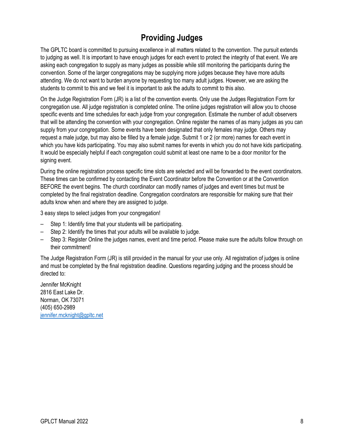# **Providing Judges**

<span id="page-11-0"></span>The GPLTC board is committed to pursuing excellence in all matters related to the convention. The pursuit extends to judging as well. It is important to have enough judges for each event to protect the integrity of that event. We are asking each congregation to supply as many judges as possible while still monitoring the participants during the convention. Some of the larger congregations may be supplying more judges because they have more adults attending. We do not want to burden anyone by requesting too many adult judges. However, we are asking the students to commit to this and we feel it is important to ask the adults to commit to this also.

On the Judge Registration Form (JR) is a list of the convention events. Only use the Judges Registration Form for congregation use. All judge registration is completed online. The online judges registration will allow you to choose specific events and time schedules for each judge from your congregation. Estimate the number of adult observers that will be attending the convention with your congregation. Online register the names of as many judges as you can supply from your congregation. Some events have been designated that only females may judge. Others may request a male judge, but may also be filled by a female judge. Submit 1 or 2 (or more) names for each event in which you have kids participating. You may also submit names for events in which you do not have kids participating. It would be especially helpful if each congregation could submit at least one name to be a door monitor for the signing event.

During the online registration process specific time slots are selected and will be forwarded to the event coordinators. These times can be confirmed by contacting the Event Coordinator before the Convention or at the Convention BEFORE the event begins. The church coordinator can modify names of judges and event times but must be completed by the final registration deadline. Congregation coordinators are responsible for making sure that their adults know when and where they are assigned to judge.

3 easy steps to select judges from your congregation!

- Step 1: Identify time that your students will be participating.
- Step 2: Identify the times that your adults will be available to judge.
- Step 3: Register Online the judges names, event and time period. Please make sure the adults follow through on their commitment!

The Judge Registration Form (JR) is still provided in the manual for your use only. All registration of judges is online and must be completed by the final registration deadline. Questions regarding judging and the process should be directed to:

Jennifer McKnight 2816 East Lake Dr. Norman, OK 73071 (405) 650-2989 [jennifer.mcknight@gpltc.net](mailto:jennifer.mcknight@gpltc.net)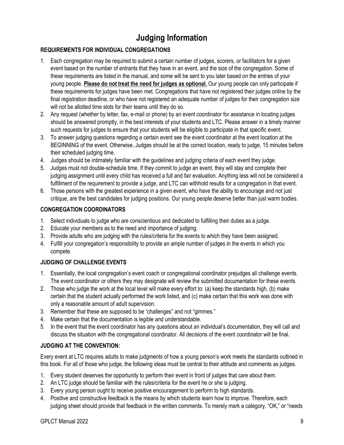# **Judging Information**

#### <span id="page-12-0"></span>**REQUIREMENTS FOR INDIVIDUAL CONGREGATIONS**

- 1. Each congregation may be required to submit a certain number of judges, scorers, or facilitators for a given event based on the number of entrants that they have in an event, and the size of the congregation. Some of these requirements are listed in the manual, and some will be sent to you later based on the entries of your young people. **Please do not treat the need for judges as optional.** Our young people can only participate if these requirements for judges have been met. Congregations that have not registered their judges online by the final registration deadline, or who have not registered an adequate number of judges for their congregation size will not be allotted time slots for their teams until they do so.
- 2. Any request (whether by letter, fax, e-mail or phone) by an event coordinator for assistance in locating judges should be answered promptly, in the best interests of your students and LTC. Please answer in a timely manner such requests for judges to ensure that your students will be eligible to participate in that specific event.
- 3. To answer judging questions regarding a certain event see the event coordinator at the event location at the BEGINNING of the event. Otherwise, Judges should be at the correct location, ready to judge, 15 minutes before their scheduled judging time.
- 4. Judges should be intimately familiar with the guidelines and judging criteria of each event they judge.
- 5. Judges must not double-schedule time. If they commit to judge an event, they will stay and complete their judging assignment until every child has received a full and fair evaluation. Anything less will not be considered a fulfillment of the requirement to provide a judge, and LTC can withhold results for a congregation in that event.
- 6. Those persons with the greatest experience in a given event, who have the ability to encourage and not just critique, are the best candidates for judging positions. Our young people deserve better than just warm bodies.

#### **CONGREGATION COORDINATORS**

- 1. Select individuals to judge who are conscientious and dedicated to fulfilling their duties as a judge.
- 2. Educate your members as to the need and importance of judging.
- 3. Provide adults who are judging with the rules/criteria for the events to which they have been assigned.
- 4. Fulfill your congregation's responsibility to provide an ample number of judges in the events in which you compete.

#### **JUDGING OF CHALLENGE EVENTS**

- 1. Essentially, the local congregation's event coach or congregational coordinator prejudges all challenge events. The event coordinator or others they may designate will review the submitted documentation for these events.
- 2. Those who judge the work at the local level will make every effort to: (a) keep the standards high, (b) make certain that the student actually performed the work listed, and (c) make certain that this work was done with only a reasonable amount of adult supervision.
- 3. Remember that these are supposed to be "challenges" and not "gimmes."
- 4. Make certain that the documentation is legible and understandable.
- 5. In the event that the event coordinator has any questions about an individual's documentation, they will call and discuss the situation with the congregational coordinator. All decisions of the event coordinator will be final.

#### **JUDGING AT THE CONVENTION:**

Every event at LTC requires adults to make judgments of how a young person's work meets the standards outlined in this book. For all of those who judge, the following ideas must be central to their attitude and comments as judges.

- 1. Every student deserves the opportunity to perform their event in front of judges that care about them.
- 2. An LTC judge should be familiar with the rules/criteria for the event he or she is judging.
- 3. Every young person ought to receive positive encouragement to perform to high standards.
- 4. Positive and constructive feedback is the means by which students learn how to improve. Therefore, each judging sheet should provide that feedback in the written comments. To merely mark a category, "OK," or "needs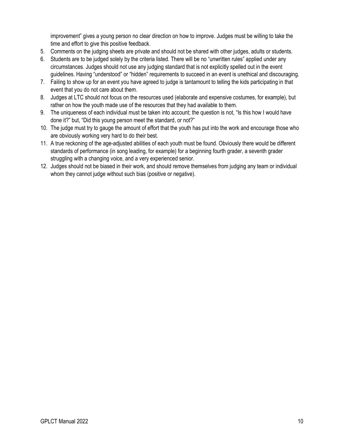improvement" gives a young person no clear direction on how to improve. Judges must be willing to take the time and effort to give this positive feedback.

- 5. Comments on the judging sheets are private and should not be shared with other judges, adults or students.
- 6. Students are to be judged solely by the criteria listed. There will be no "unwritten rules" applied under any circumstances. Judges should not use any judging standard that is not explicitly spelled out in the event guidelines. Having "understood" or "hidden" requirements to succeed in an event is unethical and discouraging.
- 7. Failing to show up for an event you have agreed to judge is tantamount to telling the kids participating in that event that you do not care about them.
- 8. Judges at LTC should not focus on the resources used (elaborate and expensive costumes, for example), but rather on how the youth made use of the resources that they had available to them.
- 9. The uniqueness of each individual must be taken into account; the question is not, "Is this how I would have done it?" but, "Did this young person meet the standard, or not?"
- 10. The judge must try to gauge the amount of effort that the youth has put into the work and encourage those who are obviously working very hard to do their best.
- 11. A true reckoning of the age-adjusted abilities of each youth must be found. Obviously there would be different standards of performance (in song leading, for example) for a beginning fourth grader, a seventh grader struggling with a changing voice, and a very experienced senior.
- 12. Judges should not be biased in their work, and should remove themselves from judging any team or individual whom they cannot judge without such bias (positive or negative).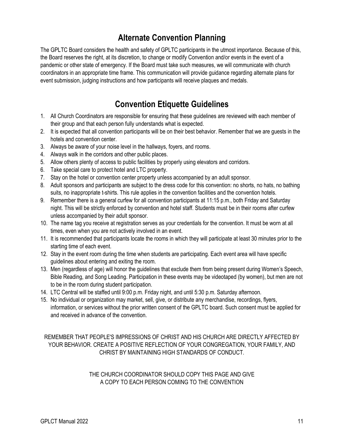# **Alternate Convention Planning**

<span id="page-14-0"></span>The GPLTC Board considers the health and safety of GPLTC participants in the utmost importance. Because of this, the Board reserves the right, at its discretion, to change or modify Convention and/or events in the event of a pandemic or other state of emergency. If the Board must take such measures, we will communicate with church coordinators in an appropriate time frame. This communication will provide guidance regarding alternate plans for event submission, judging instructions and how participants will receive plaques and medals.

# **Convention Etiquette Guidelines**

- <span id="page-14-1"></span>1. All Church Coordinators are responsible for ensuring that these guidelines are reviewed with each member of their group and that each person fully understands what is expected.
- 2. It is expected that all convention participants will be on their best behavior. Remember that we are guests in the hotels and convention center.
- 3. Always be aware of your noise level in the hallways, foyers, and rooms.
- 4. Always walk in the corridors and other public places.
- 5. Allow others plenty of access to public facilities by properly using elevators and corridors.
- 6. Take special care to protect hotel and LTC property.
- 7. Stay on the hotel or convention center property unless accompanied by an adult sponsor.
- 8. Adult sponsors and participants are subject to the dress code for this convention: no shorts, no hats, no bathing suits, no inappropriate t-shirts. This rule applies in the convention facilities and the convention hotels.
- 9. Remember there is a general curfew for all convention participants at 11:15 p.m., both Friday and Saturday night. This will be strictly enforced by convention and hotel staff. Students must be in their rooms after curfew unless accompanied by their adult sponsor.
- 10. The name tag you receive at registration serves as your credentials for the convention. It must be worn at all times, even when you are not actively involved in an event.
- 11. It is recommended that participants locate the rooms in which they will participate at least 30 minutes prior to the starting time of each event.
- 12. Stay in the event room during the time when students are participating. Each event area will have specific guidelines about entering and exiting the room.
- 13. Men (regardless of age) will honor the guidelines that exclude them from being present during Women's Speech, Bible Reading, and Song Leading. Participation in these events may be videotaped (by women), but men are not to be in the room during student participation.
- 14. LTC Central will be staffed until 9:00 p.m. Friday night, and until 5:30 p.m. Saturday afternoon.
- 15. No individual or organization may market, sell, give, or distribute any merchandise, recordings, flyers, information, or services without the prior written consent of the GPLTC board. Such consent must be applied for and received in advance of the convention.

REMEMBER THAT PEOPLE'S IMPRESSIONS OF CHRIST AND HIS CHURCH ARE DIRECTLY AFFECTED BY YOUR BEHAVIOR. CREATE A POSITIVE REFLECTION OF YOUR CONGREGATION, YOUR FAMILY, AND CHRIST BY MAINTAINING HIGH STANDARDS OF CONDUCT.

> THE CHURCH COORDINATOR SHOULD COPY THIS PAGE AND GIVE A COPY TO EACH PERSON COMING TO THE CONVENTION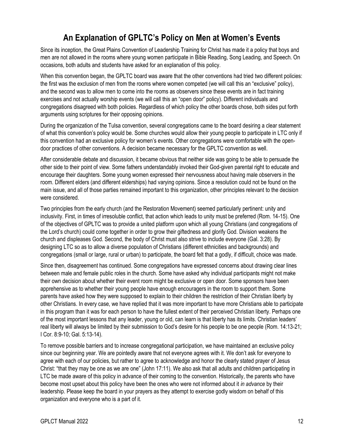# **An Explanation of GPLTC's Policy on Men at Women's Events**

<span id="page-15-0"></span>Since its inception, the Great Plains Convention of Leadership Training for Christ has made it a policy that boys and men are not allowed in the rooms where young women participate in Bible Reading, Song Leading, and Speech. On occasions, both adults and students have asked for an explanation of this policy.

When this convention began, the GPLTC board was aware that the other conventions had tried two different policies: the first was the exclusion of men from the rooms where women competed (we will call this an "exclusive" policy), and the second was to allow men to come into the rooms as observers since these events are in fact training exercises and not actually worship events (we will call this an "open door" policy). Different individuals and congregations disagreed with both policies. Regardless of which policy the other boards chose, both sides put forth arguments using scriptures for their opposing opinions.

During the organization of the Tulsa convention, several congregations came to the board desiring a clear statement of what this convention's policy would be. Some churches would allow their young people to participate in LTC only if this convention had an exclusive policy for women's events. Other congregations were comfortable with the opendoor practices of other conventions. A decision became necessary for the GPLTC convention as well.

After considerable debate and discussion, it became obvious that neither side was going to be able to persuade the other side to their point of view. Some fathers understandably invoked their God-given parental right to educate and encourage their daughters. Some young women expressed their nervousness about having male observers in the room. Different elders (and different elderships) had varying opinions. Since a resolution could not be found on the main issue, and all of those parties remained important to this organization, other principles relevant to the decision were considered.

Two principles from the early church (and the Restoration Movement) seemed particularly pertinent: unity and inclusivity. First, in times of irresoluble conflict, that action which leads to unity must be preferred (Rom. 14-15). One of the objectives of GPLTC was to provide a united platform upon which all young Christians (and congregations of the Lord's church) could come together in order to grow their giftedness and glorify God. Division weakens the church and displeases God. Second, the body of Christ must also strive to include everyone (Gal. 3:28). By designing LTC so as to allow a diverse population of Christians (different ethnicities and backgrounds) and congregations (small or large, rural or urban) to participate, the board felt that a godly, if difficult, choice was made.

Since then, disagreement has continued. Some congregations have expressed concerns about drawing clear lines between male and female public roles in the church. Some have asked why individual participants might not make their own decision about whether their event room might be exclusive or open door. Some sponsors have been apprehensive as to whether their young people have enough encouragers in the room to support them. Some parents have asked how they were supposed to explain to their children the restriction of their Christian liberty by other Christians. In every case, we have replied that it was more important to have more Christians able to participate in this program than it was for each person to have the fullest extent of their perceived Christian liberty. Perhaps one of the most important lessons that any leader, young or old, can learn is that liberty has its limits. Christian leaders' real liberty will always be limited by their submission to God's desire for his people to be one people (Rom. 14:13-21; I Cor. 8:9-10; Gal. 5:13-14).

To remove possible barriers and to increase congregational participation, we have maintained an exclusive policy since our beginning year. We are pointedly aware that not everyone agrees with it. We don't ask for everyone to agree with each of our policies, but rather to agree to acknowledge and honor the clearly stated prayer of Jesus Christ: "that they may be one as we are one" (John 17:11). We also ask that all adults and children participating in LTC be made aware of this policy in advance of their coming to the convention. Historically, the parents who have become most upset about this policy have been the ones who were not informed about it *in advance* by their leadership. Please keep the board in your prayers as they attempt to exercise godly wisdom on behalf of this organization and everyone who is a part of it.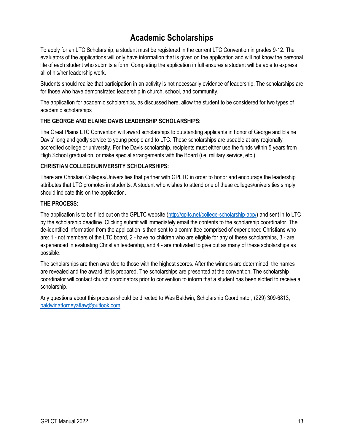# **Academic Scholarships**

<span id="page-16-0"></span>To apply for an LTC Scholarship, a student must be registered in the current LTC Convention in grades 9-12. The evaluators of the applications will only have information that is given on the application and will not know the personal life of each student who submits a form. Completing the application in full ensures a student will be able to express all of his/her leadership work.

Students should realize that participation in an activity is not necessarily evidence of leadership. The scholarships are for those who have demonstrated leadership in church, school, and community.

The application for academic scholarships, as discussed here, allow the student to be considered for two types of academic scholarships

#### **THE GEORGE AND ELAINE DAVIS LEADERSHIP SCHOLARSHIPS:**

The Great Plains LTC Convention will award scholarships to outstanding applicants in honor of George and Elaine Davis' long and godly service to young people and to LTC. These scholarships are useable at any regionally accredited college or university. For the Davis scholarship, recipients must either use the funds within 5 years from High School graduation, or make special arrangements with the Board (i.e. military service, etc.).

#### **CHRISTIAN COLLEGE/UNIVERSITY SCHOLARSHIPS:**

There are Christian Colleges/Universities that partner with GPLTC in order to honor and encourage the leadership attributes that LTC promotes in students. A student who wishes to attend one of these colleges/universities simply should indicate this on the application.

#### **THE PROCESS:**

The application is to be filled out on the GPLTC website [\(http://gpltc.net/college-scholarship-app/\)](http://gpltc.net/college-scholarship-app/) and sent in to LTC by the scholarship deadline. Clicking submit will immediately email the contents to the scholarship coordinator. The de-identified information from the application is then sent to a committee comprised of experienced Christians who are: 1 - not members of the LTC board, 2 - have no children who are eligible for any of these scholarships, 3 - are experienced in evaluating Christian leadership, and 4 - are motivated to give out as many of these scholarships as possible.

The scholarships are then awarded to those with the highest scores. After the winners are determined, the names are revealed and the award list is prepared. The scholarships are presented at the convention. The scholarship coordinator will contact church coordinators prior to convention to inform that a student has been slotted to receive a scholarship.

Any questions about this process should be directed to Wes Baldwin, Scholarship Coordinator, (229) 309-6813, [baldwinattorneyatlaw@outlook.com](mailto:baldwinattorneyatlaw@outlook.com)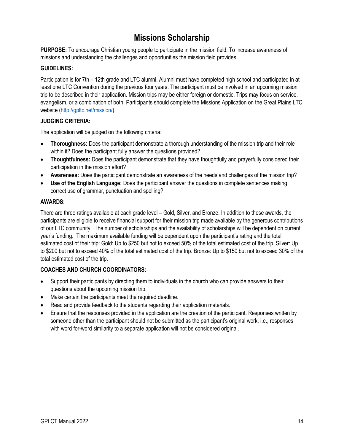# **Missions Scholarship**

<span id="page-17-0"></span>**PURPOSE:** To encourage Christian young people to participate in the mission field. To increase awareness of missions and understanding the challenges and opportunities the mission field provides.

#### **GUIDELINES:**

Participation is for 7th – 12th grade and LTC alumni. Alumni must have completed high school and participated in at least one LTC Convention during the previous four years. The participant must be involved in an upcoming mission trip to be described in their application. Mission trips may be either foreign or domestic. Trips may focus on service, evangelism, or a combination of both. Participants should complete the Missions Application on the Great Plains LTC website [\(http://gpltc.net/mission/\)](http://gpltc.net/mission/).

#### **JUDGING CRITERIA:**

The application will be judged on the following criteria:

- **Thoroughness:** Does the participant demonstrate a thorough understanding of the mission trip and their role within it? Does the participant fully answer the questions provided?
- **Thoughtfulness:** Does the participant demonstrate that they have thoughtfully and prayerfully considered their participation in the mission effort?
- **Awareness:** Does the participant demonstrate an awareness of the needs and challenges of the mission trip?
- **Use of the English Language:** Does the participant answer the questions in complete sentences making correct use of grammar, punctuation and spelling?

#### **AWARDS:**

There are three ratings available at each grade level – Gold, Silver, and Bronze. In addition to these awards, the participants are eligible to receive financial support for their mission trip made available by the generous contributions of our LTC community. The number of scholarships and the availability of scholarships will be dependent on current year's funding. The maximum available funding will be dependent upon the participant's rating and the total estimated cost of their trip: Gold: Up to \$250 but not to exceed 50% of the total estimated cost of the trip. Silver: Up to \$200 but not to exceed 40% of the total estimated cost of the trip. Bronze: Up to \$150 but not to exceed 30% of the total estimated cost of the trip.

- Support their participants by directing them to individuals in the church who can provide answers to their questions about the upcoming mission trip.
- Make certain the participants meet the required deadline.
- Read and provide feedback to the students regarding their application materials.
- Ensure that the responses provided in the application are the creation of the participant. Responses written by someone other than the participant should not be submitted as the participant's original work, i.e., responses with word for-word similarity to a separate application will not be considered original.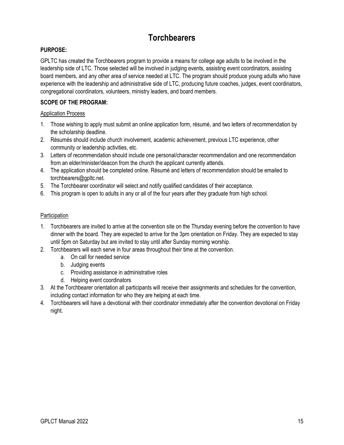# **Torchbearers**

#### <span id="page-18-0"></span>**PURPOSE:**

GPLTC has created the Torchbearers program to provide a means for college age adults to be involved in the leadership side of LTC. Those selected will be involved in judging events, assisting event coordinators, assisting board members, and any other area of service needed at LTC. The program should produce young adults who have experience with the leadership and administrative side of LTC, producing future coaches, judges, event coordinators, congregational coordinators, volunteers, ministry leaders, and board members.

#### **SCOPE OF THE PROGRAM:**

#### Application Process

- 1. Those wishing to apply must submit an online application form, résumé, and two letters of recommendation by the scholarship deadline.
- 2. Résumés should include church involvement, academic achievement, previous LTC experience, other community or leadership activities, etc.
- 3. Letters of recommendation should include one personal/character recommendation and one recommendation from an elder/minister/deacon from the church the applicant currently attends.
- 4. The application should be completed online. Résumé and letters of recommendation should be emailed to torchbearers@gpltc.net.
- 5. The Torchbearer coordinator will select and notify qualified candidates of their acceptance.
- 6. This program is open to adults in any or all of the four years after they graduate from high school.

#### **Participation**

- 1. Torchbearers are invited to arrive at the convention site on the Thursday evening before the convention to have dinner with the board. They are expected to arrive for the 3pm orientation on Friday. They are expected to stay until 5pm on Saturday but are invited to stay until after Sunday morning worship.
- 2. Torchbearers will each serve in four areas throughout their time at the convention.
	- a. On call for needed service
	- b. Judging events
	- c. Providing assistance in administrative roles
	- d. Helping event coordinators
- 3. At the Torchbearer orientation all participants will receive their assignments and schedules for the convention, including contact information for who they are helping at each time.
- 4. Torchbearers will have a devotional with their coordinator immediately after the convention devotional on Friday night.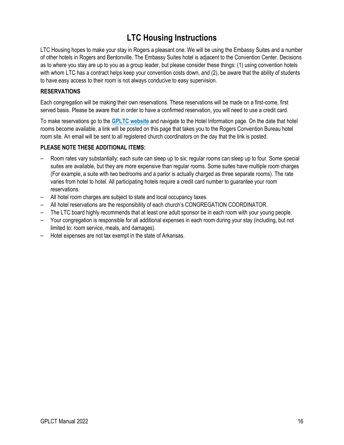# **LTC Housing Instructions**

<span id="page-19-0"></span>LTC Housing hopes to make your stay in Rogers a pleasant one. We will be using the Embassy Suites and a number of other hotels in Rogers and Bentonville. The Embassy Suites hotel is adjacent to the Convention Center. Decisions as to where you stay are up to you as a group leader, but please consider these things: (1) using convention hotels with whom LTC has a contract helps keep your convention costs down, and (2), be aware that the ability of students to have easy access to their room is not always conducive to easy supervision.

#### **RESERVATIONS**

Each congregation will be making their own reservations. These reservations will be made on a first-come, first served basis. Please be aware that in order to have a confirmed reservation, you will need to use a credit card.

To make reservations go to the **[GPLTC website](https://gpltc.net/)** and navigate to the Hotel Information page. On the date that hotel rooms become available, a link will be posted on this page that takes you to the Rogers Convention Bureau hotel room site. An email will be sent to all registered church coordinators on the day that the link is posted.

#### **PLEASE NOTE THESE ADDITIONAL ITEMS:**

- Room rates vary substantially; each suite can sleep up to six; regular rooms can sleep up to four. Some special suites are available, but they are more expensive than regular rooms. Some suites have multiple room charges (For example, a suite with two bedrooms and a parlor is actually charged as three separate rooms). The rate varies from hotel to hotel. All participating hotels require a credit card number to guarantee your room reservations.
- All hotel room charges are subject to state and local occupancy taxes.
- All hotel reservations are the responsibility of each church's CONGREGATION COORDINATOR.
- The LTC board highly recommends that at least one adult sponsor be in each room with your young people.
- Your congregation is responsible for all additional expenses in each room during your stay (including, but not limited to: room service, meals, and damages).
- Hotel expenses are not tax exempt in the state of Arkansas.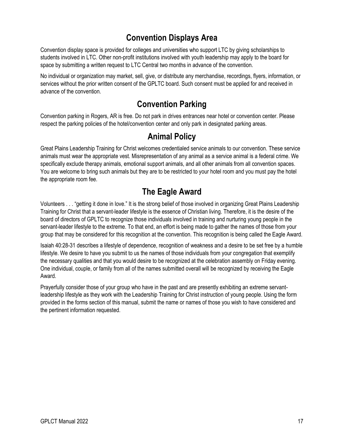# **Convention Displays Area**

<span id="page-20-0"></span>Convention display space is provided for colleges and universities who support LTC by giving scholarships to students involved in LTC. Other non-profit institutions involved with youth leadership may apply to the board for space by submitting a written request to LTC Central two months in advance of the convention.

No individual or organization may market, sell, give, or distribute any merchandise, recordings, flyers, information, or services without the prior written consent of the GPLTC board. Such consent must be applied for and received in advance of the convention.

# **Convention Parking**

<span id="page-20-1"></span>Convention parking in Rogers, AR is free. Do not park in drives entrances near hotel or convention center. Please respect the parking policies of the hotel/convention center and only park in designated parking areas.

### **Animal Policy**

<span id="page-20-2"></span>Great Plains Leadership Training for Christ welcomes credentialed service animals to our convention. These service animals must wear the appropriate vest. Misrepresentation of any animal as a service animal is a federal crime. We specifically exclude therapy animals, emotional support animals, and all other animals from all convention spaces. You are welcome to bring such animals but they are to be restricted to your hotel room and you must pay the hotel the appropriate room fee.

### **The Eagle Award**

<span id="page-20-3"></span>Volunteers . . . "getting it done in love." It is the strong belief of those involved in organizing Great Plains Leadership Training for Christ that a servant-leader lifestyle is the essence of Christian living. Therefore, it is the desire of the board of directors of GPLTC to recognize those individuals involved in training and nurturing young people in the servant-leader lifestyle to the extreme. To that end, an effort is being made to gather the names of those from your group that may be considered for this recognition at the convention. This recognition is being called the Eagle Award.

Isaiah 40:28-31 describes a lifestyle of dependence, recognition of weakness and a desire to be set free by a humble lifestyle. We desire to have you submit to us the names of those individuals from your congregation that exemplify the necessary qualities and that you would desire to be recognized at the celebration assembly on Friday evening. One individual, couple, or family from all of the names submitted overall will be recognized by receiving the Eagle Award.

Prayerfully consider those of your group who have in the past and are presently exhibiting an extreme servantleadership lifestyle as they work with the Leadership Training for Christ instruction of young people. Using the form provided in the forms section of this manual, submit the name or names of those you wish to have considered and the pertinent information requested.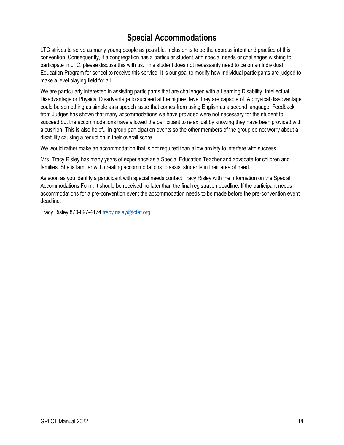# **Special Accommodations**

<span id="page-21-0"></span>LTC strives to serve as many young people as possible. Inclusion is to be the express intent and practice of this convention. Consequently, if a congregation has a particular student with special needs or challenges wishing to participate in LTC, please discuss this with us. This student does not necessarily need to be on an Individual Education Program for school to receive this service. It is our goal to modify how individual participants are judged to make a level playing field for all.

We are particularly interested in assisting participants that are challenged with a Learning Disability, Intellectual Disadvantage or Physical Disadvantage to succeed at the highest level they are capable of. A physical disadvantage could be something as simple as a speech issue that comes from using English as a second language. Feedback from Judges has shown that many accommodations we have provided were not necessary for the student to succeed but the accommodations have allowed the participant to relax just by knowing they have been provided with a cushion. This is also helpful in group participation events so the other members of the group do not worry about a disability causing a reduction in their overall score.

We would rather make an accommodation that is not required than allow anxiety to interfere with success.

Mrs. Tracy Risley has many years of experience as a Special Education Teacher and advocate for children and families. She is familiar with creating accommodations to assist students in their area of need.

As soon as you identify a participant with special needs contact Tracy Risley with the information on the Special Accommodations Form. It should be received no later than the final registration deadline. If the participant needs accommodations for a pre-convention event the accommodation needs to be made before the pre-convention event deadline.

Tracy Risley 870-897-4174 [tracy.risley@tcfef.org](mailto:tracy.risley@tcfef.org)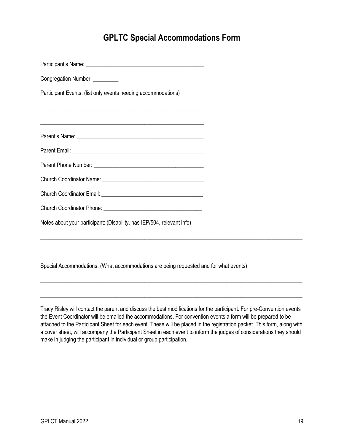### **GPLTC Special Accommodations Form**

<span id="page-22-0"></span>Participant's Name: \_\_\_\_\_\_\_\_\_\_\_\_\_\_\_\_\_\_\_\_\_\_\_\_\_\_\_\_\_\_\_\_\_\_\_\_\_\_\_\_\_\_

Congregation Number: \_\_\_\_\_\_\_\_\_

Participant Events: (list only events needing accommodations)

Parent's Name: <u>and the set of the set of the set of the set of the set of the set of the set of the set of the set of the set of the set of the set of the set of the set of the set of the set of the set of the set of the </u>

\_\_\_\_\_\_\_\_\_\_\_\_\_\_\_\_\_\_\_\_\_\_\_\_\_\_\_\_\_\_\_\_\_\_\_\_\_\_\_\_\_\_\_\_\_\_\_\_\_\_\_\_\_\_\_\_\_\_

\_\_\_\_\_\_\_\_\_\_\_\_\_\_\_\_\_\_\_\_\_\_\_\_\_\_\_\_\_\_\_\_\_\_\_\_\_\_\_\_\_\_\_\_\_\_\_\_\_\_\_\_\_\_\_\_\_\_

Parent Email: \_\_\_\_\_\_\_\_\_\_\_\_\_\_\_\_\_\_\_\_\_\_\_\_\_\_\_\_\_\_\_\_\_\_\_\_\_\_\_\_\_\_\_\_\_\_\_

| Parent Phone Number: |
|----------------------|
|                      |

| <b>Church Coordinator Name:</b> |  |
|---------------------------------|--|
|                                 |  |

| <b>Church Coordinator Email:</b> |  |
|----------------------------------|--|
|----------------------------------|--|

| <b>Church Coordinator Phone:</b> |  |
|----------------------------------|--|
|                                  |  |

Notes about your participant: (Disability, has IEP/504, relevant info)

Special Accommodations: (What accommodations are being requested and for what events)

Tracy Risley will contact the parent and discuss the best modifications for the participant. For pre-Convention events the Event Coordinator will be emailed the accommodations. For convention events a form will be prepared to be attached to the Participant Sheet for each event. These will be placed in the registration packet. This form, along with a cover sheet, will accompany the Participant Sheet in each event to inform the judges of considerations they should make in judging the participant in individual or group participation.

 $\_$  ,  $\_$  ,  $\_$  ,  $\_$  ,  $\_$  ,  $\_$  ,  $\_$  ,  $\_$  ,  $\_$  ,  $\_$  ,  $\_$  ,  $\_$  ,  $\_$  ,  $\_$  ,  $\_$  ,  $\_$  ,  $\_$  ,  $\_$  ,  $\_$  ,  $\_$  ,  $\_$  ,  $\_$  ,  $\_$  ,  $\_$  ,  $\_$  ,  $\_$  ,  $\_$  ,  $\_$  ,  $\_$  ,  $\_$  ,  $\_$  ,  $\_$  ,  $\_$  ,  $\_$  ,  $\_$  ,  $\_$  ,  $\_$  ,

 $\_$  ,  $\_$  ,  $\_$  ,  $\_$  ,  $\_$  ,  $\_$  ,  $\_$  ,  $\_$  ,  $\_$  ,  $\_$  ,  $\_$  ,  $\_$  ,  $\_$  ,  $\_$  ,  $\_$  ,  $\_$  ,  $\_$  ,  $\_$  ,  $\_$  ,  $\_$  ,  $\_$  ,  $\_$  ,  $\_$  ,  $\_$  ,  $\_$  ,  $\_$  ,  $\_$  ,  $\_$  ,  $\_$  ,  $\_$  ,  $\_$  ,  $\_$  ,  $\_$  ,  $\_$  ,  $\_$  ,  $\_$  ,  $\_$  ,

 $\_$  ,  $\_$  ,  $\_$  ,  $\_$  ,  $\_$  ,  $\_$  ,  $\_$  ,  $\_$  ,  $\_$  ,  $\_$  ,  $\_$  ,  $\_$  ,  $\_$  ,  $\_$  ,  $\_$  ,  $\_$  ,  $\_$  ,  $\_$  ,  $\_$  ,  $\_$  ,  $\_$  ,  $\_$  ,  $\_$  ,  $\_$  ,  $\_$  ,  $\_$  ,  $\_$  ,  $\_$  ,  $\_$  ,  $\_$  ,  $\_$  ,  $\_$  ,  $\_$  ,  $\_$  ,  $\_$  ,  $\_$  ,  $\_$  ,

 $\_$  ,  $\_$  ,  $\_$  ,  $\_$  ,  $\_$  ,  $\_$  ,  $\_$  ,  $\_$  ,  $\_$  ,  $\_$  ,  $\_$  ,  $\_$  ,  $\_$  ,  $\_$  ,  $\_$  ,  $\_$  ,  $\_$  ,  $\_$  ,  $\_$  ,  $\_$  ,  $\_$  ,  $\_$  ,  $\_$  ,  $\_$  ,  $\_$  ,  $\_$  ,  $\_$  ,  $\_$  ,  $\_$  ,  $\_$  ,  $\_$  ,  $\_$  ,  $\_$  ,  $\_$  ,  $\_$  ,  $\_$  ,  $\_$  ,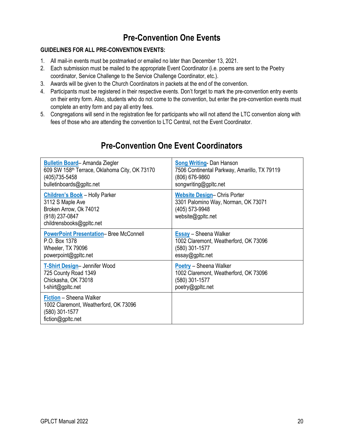# **Pre-Convention One Events**

#### <span id="page-23-0"></span>**GUIDELINES FOR ALL PRE-CONVENTION EVENTS:**

- 1. All mail-in events must be postmarked or emailed no later than [December 13, 2021.](#page-4-1)
- 2. Each submission must be mailed to the appropriate Event Coordinator (i.e. poems are sent to the Poetry coordinator, Service Challenge to the Service Challenge Coordinator, etc.).
- 3. Awards will be given to the Church Coordinators in packets at the end of the convention.
- 4. Participants must be registered in their respective events. Don't forget to mark the pre-convention entry events on their entry form. Also, students who do not come to the convention, but enter the pre-convention events must complete an entry form and pay all entry fees.
- 5. Congregations will send in the registration fee for participants who will not attend the LTC convention along with fees of those who are attending the convention to LTC Central, not the Event Coordinator.

| <b>Bulletin Board-Amanda Ziegler</b>                                                                                              | <b>Song Writing-Dan Hanson</b>                                                                                   |
|-----------------------------------------------------------------------------------------------------------------------------------|------------------------------------------------------------------------------------------------------------------|
| 609 SW 158 <sup>th</sup> Terrace, Oklahoma City, OK 73170                                                                         | 7506 Continental Parkway, Amarillo, TX 79119                                                                     |
| (405)735-5458                                                                                                                     | (806) 676-9860                                                                                                   |
| bulletinboards@gpltc.net                                                                                                          | songwriting@gpltc.net                                                                                            |
| <b>Children's Book - Holly Parker</b><br>3112 S Maple Ave<br>Broken Arrow, Ok 74012<br>(918) 237-0847<br>childrensbooks@gpltc.net | <b>Website Design-Chris Porter</b><br>3301 Palomino Way, Norman, OK 73071<br>(405) 573-9948<br>website@gpltc.net |
| <b>PowerPoint Presentation-Bree McConnell</b>                                                                                     | <b>Essay</b> - Sheena Walker                                                                                     |
| P.O. Box 1378                                                                                                                     | 1002 Claremont, Weatherford, OK 73096                                                                            |
| Wheeler, TX 79096                                                                                                                 | (580) 301-1577                                                                                                   |
| powerpoint@gpltc.net                                                                                                              | essay@gpltc.net                                                                                                  |
| T-Shirt Design-Jennifer Wood                                                                                                      | <b>Poetry</b> - Sheena Walker                                                                                    |
| 725 County Road 1349                                                                                                              | 1002 Claremont, Weatherford, OK 73096                                                                            |
| Chickasha, OK 73018                                                                                                               | (580) 301-1577                                                                                                   |
| t-shirt@gpltc.net                                                                                                                 | poetry@gpltc.net                                                                                                 |
| Fiction - Sheena Walker<br>1002 Claremont, Weatherford, OK 73096<br>(580) 301-1577<br>fiction@gpltc.net                           |                                                                                                                  |

### **Pre-Convention One Event Coordinators**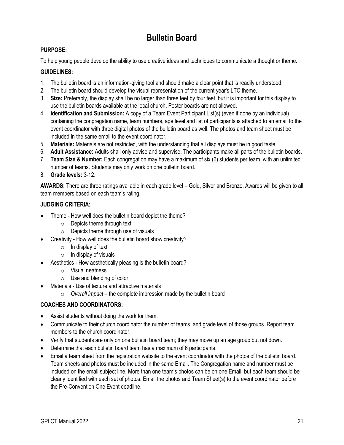# **Bulletin Board**

#### <span id="page-24-0"></span>**PURPOSE:**

To help young people develop the ability to use creative ideas and techniques to communicate a thought or theme.

#### **GUIDELINES:**

- 1. The bulletin board is an information-giving tool and should make a clear point that is readily understood.
- 2. The bulletin board should develop the visual representation of the current year's LTC theme.
- 3. **Size:** Preferably, the display shall be no larger than three feet by four feet, but it is important for this display to use the bulletin boards available at the local church. Poster boards are not allowed.
- 4. **Identification and Submission:** A copy of a Team Event Participant List(s) (even if done by an individual) containing the congregation name, team numbers, age level and list of participants is attached to an email to the event coordinator with three digital photos of the bulletin board as well. The photos and team sheet must be included in the same email to the event coordinator.
- 5. **Materials:** Materials are not restricted, with the understanding that all displays must be in good taste.
- 6. **Adult Assistance:** Adults shall only advise and supervise. The participants make all parts of the bulletin boards.
- 7. **Team Size & Number:** Each congregation may have a maximum of six (6) students per team, with an unlimited number of teams. Students may only work on one bulletin board.
- 8. **Grade levels:** 3-12.

**AWARDS:** There are three ratings available in each grade level – Gold, Silver and Bronze. Awards will be given to all team members based on each team's rating.

#### **JUDGING CRITERIA:**

- Theme How well does the bulletin board depict the theme?
	- o Depicts theme through text
	- $\circ$  Depicts theme through use of visuals
	- Creativity How well does the bulletin board show creativity?
		- $\circ$  In display of text
		- $\circ$  In display of visuals
- Aesthetics How aesthetically pleasing is the bulletin board?
	- o Visual neatness
	- o Use and blending of color
	- Materials Use of texture and attractive materials
		- o *Overall impact*  the complete impression made by the bulletin board

#### **COACHES AND COORDINATORS:**

- Assist students without doing the work for them.
- Communicate to their church coordinator the number of teams, and grade level of those groups. Report team members to the church coordinator.
- Verify that students are only on one bulletin board team; they may move up an age group but not down.
- Determine that each bulletin board team has a maximum of 6 participants.
- Email a team sheet from the registration website to the event coordinator with the photos of the bulletin board. Team sheets and photos must be included in the same Email. The Congregation name and number must be included on the email subject line. More than one team's photos can be on one Email, but each team should be clearly identified with each set of photos. Email the photos and Team Sheet(s) to the event coordinator before the Pre-Convention One Event deadline.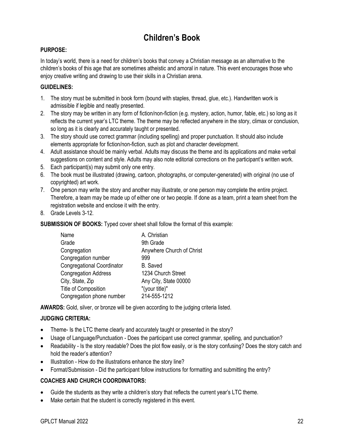# **Children's Book**

#### <span id="page-25-0"></span>**PURPOSE:**

In today's world, there is a need for children's books that convey a Christian message as an alternative to the children's books of this age that are sometimes atheistic and amoral in nature. This event encourages those who enjoy creative writing and drawing to use their skills in a Christian arena.

#### **GUIDELINES:**

- 1. The story must be submitted in book form (bound with staples, thread, glue, etc.). Handwritten work is admissible if legible and neatly presented.
- 2. The story may be written in any form of fiction/non-fiction (e.g. mystery, action, humor, fable, etc.) so long as it reflects the current year's LTC theme. The theme may be reflected anywhere in the story, climax or conclusion, so long as it is clearly and accurately taught or presented.
- 3. The story should use correct grammar (including spelling) and proper punctuation. It should also include elements appropriate for fiction/non-fiction, such as plot and character development.
- 4. Adult assistance should be mainly verbal. Adults may discuss the theme and its applications and make verbal suggestions on content and style. Adults may also note editorial corrections on the participant's written work.
- 5. Each participant(s) may submit only one entry.
- 6. The book must be illustrated (drawing, cartoon, photographs, or computer-generated) with original (no use of copyrighted) art work.
- 7. One person may write the story and another may illustrate, or one person may complete the entire project. Therefore, a team may be made up of either one or two people. If done as a team, print a team sheet from the registration website and enclose it with the entry.
- 8. Grade Levels 3-12.

**SUBMISSION OF BOOKS:** Typed cover sheet shall follow the format of this example:

| Name                              | A. Christian              |
|-----------------------------------|---------------------------|
| Grade                             | 9th Grade                 |
| Congregation                      | Anywhere Church of Christ |
| Congregation number               | 999                       |
| <b>Congregational Coordinator</b> | <b>B.</b> Saved           |
| <b>Congregation Address</b>       | 1234 Church Street        |
| City, State, Zip                  | Any City, State 00000     |
| Title of Composition              | "(your title)"            |
| Congregation phone number         | 214-555-1212              |

**AWARDS:** Gold, silver, or bronze will be given according to the judging criteria listed.

#### **JUDGING CRITERIA:**

- Theme- Is the LTC theme clearly and accurately taught or presented in the story?
- Usage of Language/Punctuation Does the participant use correct grammar, spelling, and punctuation?
- Readability Is the story readable? Does the plot flow easily, or is the story confusing? Does the story catch and hold the reader's attention?
- Illustration How do the illustrations enhance the story line?
- Format/Submission Did the participant follow instructions for formatting and submitting the entry?

- Guide the students as they write a children's story that reflects the current year's LTC theme.
- Make certain that the student is correctly registered in this event.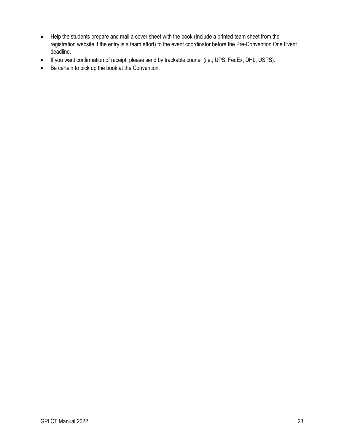- Help the students prepare and mail a cover sheet with the book (Include a printed team sheet from the registration website if the entry is a team effort) to the event coordinator before the Pre-Convention One Event deadline.
- If you want confirmation of receipt, please send by trackable courier (i.e.; UPS, FedEx, DHL, USPS).
- Be certain to pick up the book at the Convention.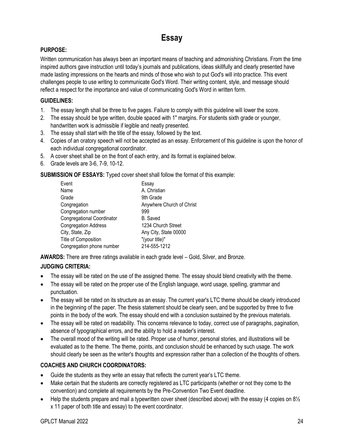# **Essay**

#### <span id="page-27-0"></span>**PURPOSE:**

Written communication has always been an important means of teaching and admonishing Christians. From the time inspired authors gave instruction until today's journals and publications, ideas skillfully and clearly presented have made lasting impressions on the hearts and minds of those who wish to put God's will into practice. This event challenges people to use writing to communicate God's Word. Their writing content, style, and message should reflect a respect for the importance and value of communicating God's Word in written form.

#### **GUIDELINES:**

- 1. The essay length shall be three to five pages. Failure to comply with this guideline will lower the score.
- 2. The essay should be type written, double spaced with 1" margins. For students sixth grade or younger, handwritten work is admissible if legible and neatly presented.
- 3. The essay shall start with the title of the essay, followed by the text.
- 4. Copies of an oratory speech will not be accepted as an essay. Enforcement of this guideline is upon the honor of each individual congregational coordinator.
- 5. A cover sheet shall be on the front of each entry, and its format is explained below.
- 6. Grade levels are 3-6, 7-9, 10-12.

**SUBMISSION OF ESSAYS:** Typed cover sheet shall follow the format of this example:

| Event                             | Essay                     |
|-----------------------------------|---------------------------|
| Name                              | A. Christian              |
| Grade                             | 9th Grade                 |
| Congregation                      | Anywhere Church of Christ |
| Congregation number               | 999                       |
| <b>Congregational Coordinator</b> | B. Saved                  |
| <b>Congregation Address</b>       | 1234 Church Street        |
| City, State, Zip                  | Any City, State 00000     |
| Title of Composition              | "(your title)"            |
| Congregation phone number         | 214-555-1212              |

**AWARDS:** There are three ratings available in each grade level – Gold, Silver, and Bronze.

#### **JUDGING CRITERIA:**

- The essay will be rated on the use of the assigned theme. The essay should blend creativity with the theme.
- The essay will be rated on the proper use of the English language, word usage, spelling, grammar and punctuation.
- The essay will be rated on its structure as an essay. The current year's LTC theme should be clearly introduced in the beginning of the paper. The thesis statement should be clearly seen, and be supported by three to five points in the body of the work. The essay should end with a conclusion sustained by the previous materials.
- The essay will be rated on readability. This concerns relevance to today, correct use of paragraphs, pagination, absence of typographical errors, and the ability to hold a reader's interest.
- The overall mood of the writing will be rated. Proper use of humor, personal stories, and illustrations will be evaluated as to the theme. The theme, points, and conclusion should be enhanced by such usage. The work should clearly be seen as the writer's thoughts and expression rather than a collection of the thoughts of others.

- Guide the students as they write an essay that reflects the current year's LTC theme.
- Make certain that the students are correctly registered as LTC participants (whether or not they come to the convention) and complete all requirements by the Pre-Convention Two Event deadline.
- Help the students prepare and mail a typewritten cover sheet (described above) with the essay (4 copies on 8½ x 11 paper of both title and essay) to the event coordinator.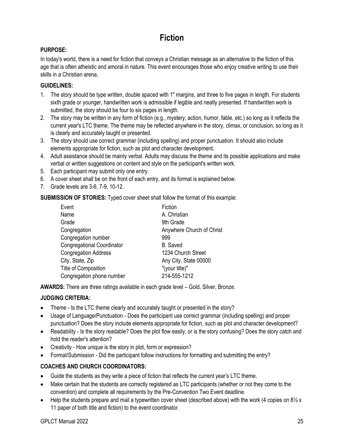# **Fiction**

#### <span id="page-28-0"></span>**PURPOSE:**

In today's world, there is a need for fiction that conveys a Christian message as an alternative to the fiction of this age that is often atheistic and amoral in nature. This event encourages those who enjoy creative writing to use their skills in a Christian arena.

#### **GUIDELINES:**

- 1. The story should be type written, double spaced with 1" margins, and three to five pages in length. For students sixth grade or younger, handwritten work is admissible if legible and neatly presented. If handwritten work is submitted, the story should be four to six pages in length.
- 2. The story may be written in any form of fiction (e.g., mystery, action, humor, fable, etc.) so long as it reflects the current year's LTC theme. The theme may be reflected anywhere in the story, climax, or conclusion, so long as it is clearly and accurately taught or presented.
- 3. The story should use correct grammar (including spelling) and proper punctuation. It should also include elements appropriate for fiction, such as plot and character development.
- 4. Adult assistance should be mainly verbal. Adults may discuss the theme and its possible applications and make verbal or written suggestions on content and style on the participant's written work.
- 5. Each participant may submit only one entry.
- 6. A cover sheet shall be on the front of each entry, and its format is explained below.
- 7. Grade levels are 3-6, 7-9, 10-12.

**SUBMISSION OF STORIES:** Typed cover sheet shall follow the format of this example:

| Event                             | Fiction                   |
|-----------------------------------|---------------------------|
| Name                              | A. Christian              |
| Grade                             | 9th Grade                 |
| Congregation                      | Anywhere Church of Christ |
| Congregation number               | 999                       |
| <b>Congregational Coordinator</b> | <b>B.</b> Saved           |
| <b>Congregation Address</b>       | 1234 Church Street        |
| City, State, Zip                  | Any City, State 00000     |
| Title of Composition              | "(your title)"            |
| Congregation phone number         | 214-555-1212              |

**AWARDS:** There are three ratings available in each grade level – Gold, Silver, Bronze.

#### **JUDGING CRITERIA:**

- Theme Is the LTC theme clearly and accurately taught or presented in the story?
- Usage of Language/Punctuation Does the participant use correct grammar (including spelling) and proper punctuation? Does the story include elements appropriate for fiction, such as plot and character development?
- Readability Is the story readable? Does the plot flow easily, or is the story confusing? Does the story catch and hold the reader's attention?
- Creativity How unique is the story in plot, form or expression?
- Format/Submission Did the participant follow instructions for formatting and submitting the entry?

- Guide the students as they write a piece of fiction that reflects the current year's LTC theme.
- Make certain that the students are correctly registered as LTC participants (whether or not they come to the convention) and complete all requirements by the Pre-Convention Two Event deadline.
- Help the students prepare and mail a typewritten cover sheet (described above) with the work (4 copies on  $8\frac{1}{2}x$ 11 paper of both title and fiction) to the event coordinator.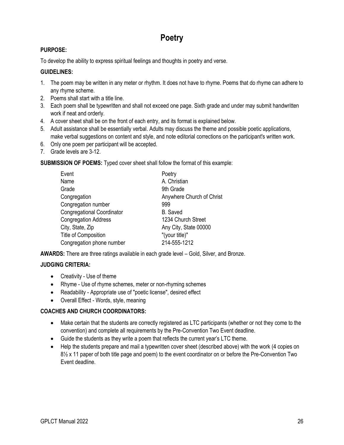# **Poetry**

#### <span id="page-29-0"></span>**PURPOSE:**

To develop the ability to express spiritual feelings and thoughts in poetry and verse.

#### **GUIDELINES:**

- 1. The poem may be written in any meter or rhythm. It does not have to rhyme. Poems that do rhyme can adhere to any rhyme scheme.
- 2. Poems shall start with a title line.
- 3. Each poem shall be typewritten and shall not exceed one page. Sixth grade and under may submit handwritten work if neat and orderly.
- 4. A cover sheet shall be on the front of each entry, and its format is explained below.
- 5. Adult assistance shall be essentially verbal. Adults may discuss the theme and possible poetic applications, make verbal suggestions on content and style, and note editorial corrections on the participant's written work.
- 6. Only one poem per participant will be accepted.
- 7. Grade levels are 3-12.

**SUBMISSION OF POEMS:** Typed cover sheet shall follow the format of this example:

| Event                             | Poetry                    |
|-----------------------------------|---------------------------|
| Name                              | A. Christian              |
| Grade                             | 9th Grade                 |
| Congregation                      | Anywhere Church of Christ |
| Congregation number               | 999                       |
| <b>Congregational Coordinator</b> | <b>B.</b> Saved           |
| <b>Congregation Address</b>       | 1234 Church Street        |
| City, State, Zip                  | Any City, State 00000     |
| Title of Composition              | "(your title)"            |
| Congregation phone number         | 214-555-1212              |

**AWARDS:** There are three ratings available in each grade level – Gold, Silver, and Bronze.

#### **JUDGING CRITERIA:**

- Creativity Use of theme
- Rhyme Use of rhyme schemes, meter or non-rhyming schemes
- Readability Appropriate use of "poetic license", desired effect
- Overall Effect Words, style, meaning

- Make certain that the students are correctly registered as LTC participants (whether or not they come to the convention) and complete all requirements by the Pre-Convention Two Event deadline.
- Guide the students as they write a poem that reflects the current year's LTC theme.
- Help the students prepare and mail a typewritten cover sheet (described above) with the work (4 copies on  $8\frac{1}{2}$  x 11 paper of both title page and poem) to the event coordinator on or before the Pre-Convention Two Event deadline.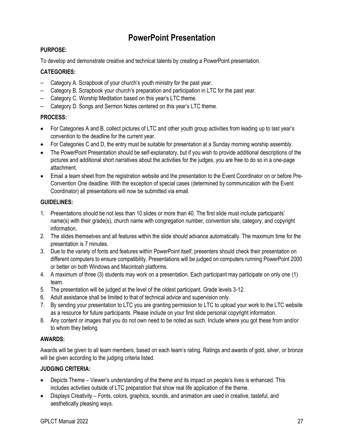# **PowerPoint Presentation**

#### <span id="page-30-0"></span>**PURPOSE:**

To develop and demonstrate creative and technical talents by creating a PowerPoint presentation.

#### **CATEGORIES:**

- Category A. Scrapbook of your church's youth ministry for the past year.
- Category B. Scrapbook your church's preparation and participation in LTC for the past year.
- Category C. Worship Meditation based on this year's LTC theme.
- Category D. Songs and Sermon Notes centered on this year's LTC theme.

#### **PROCESS:**

- For Categories A and B, collect pictures of LTC and other youth group activities from leading up to last year's convention to the deadline for the current year.
- For Categories C and D, the entry must be suitable for presentation at a Sunday morning worship assembly.
- The PowerPoint Presentation should be self-explanatory, but if you wish to provide additional descriptions of the pictures and additional short narratives about the activities for the judges, you are free to do so in a one-page attachment.
- Email a team sheet from the registration website and the presentation to the Event Coordinator on or before Pre-Convention One deadline. With the exception of special cases (determined by communication with the Event Coordinator) all presentations will now be submitted via email.

#### **GUIDELINES:**

- 1. Presentations should be not less than 10 slides or more than 40. The first slide must include participants' name(s) with their grade(s), church name with congregation number, convention site, category, and copyright information.
- 2. The slides themselves and all features within the slide should advance automatically. The maximum time for the presentation is 7 minutes.
- 3. Due to the variety of fonts and features within PowerPoint itself, presenters should check their presentation on different computers to ensure compatibility. Presentations will be judged on computers running PowerPoint 2000 or better on both Windows and Macintosh platforms.
- 4. A maximum of three (3) students may work on a presentation. Each participant may participate on only one (1) team.
- 5. The presentation will be judged at the level of the oldest participant. Grade levels 3-12.
- 6. Adult assistance shall be limited to that of technical advice and supervision only.
- 7. By sending your presentation to LTC you are granting permission to LTC to upload your work to the LTC website as a resource for future participants. Please include on your first slide personal copyright information.
- 8. Any content or images that you do not own need to be noted as such. Include where you got these from and/or to whom they belong

#### **AWARDS:**

Awards will be given to all team members, based on each team's rating. Ratings and awards of gold, silver, or bronze will be given according to the judging criteria listed.

#### **JUDGING CRITERIA:**

- Depicts Theme Viewer's understanding of the theme and its impact on people's lives is enhanced. This includes activities outside of LTC preparation that show real life application of the theme.
- Displays Creativity Fonts, colors, graphics, sounds, and animation are used in creative, tasteful, and aesthetically pleasing ways.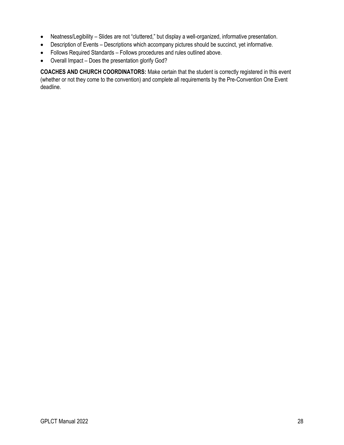- Neatness/Legibility Slides are not "cluttered," but display a well-organized, informative presentation.
- Description of Events Descriptions which accompany pictures should be succinct, yet informative.
- Follows Required Standards Follows procedures and rules outlined above.
- Overall Impact Does the presentation glorify God?

**COACHES AND CHURCH COORDINATORS:** Make certain that the student is correctly registered in this event (whether or not they come to the convention) and complete all requirements by the Pre-Convention One Event deadline.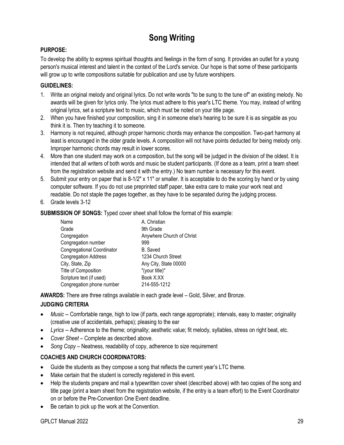# **Song Writing**

#### <span id="page-32-0"></span>**PURPOSE:**

To develop the ability to express spiritual thoughts and feelings in the form of song. It provides an outlet for a young person's musical interest and talent in the context of the Lord's service. Our hope is that some of these participants will grow up to write compositions suitable for publication and use by future worshipers.

#### **GUIDELINES:**

- 1. Write an original melody and original lyrics. Do not write words "to be sung to the tune of" an existing melody. No awards will be given for lyrics only. The lyrics must adhere to this year's LTC theme. You may, instead of writing original lyrics, set a scripture text to music, which must be noted on your title page.
- 2. When you have finished your composition, sing it in someone else's hearing to be sure it is as singable as you think it is. Then try teaching it to someone.
- 3. Harmony is not required, although proper harmonic chords may enhance the composition. Two-part harmony at least is encouraged in the older grade levels. A composition will not have points deducted for being melody only. Improper harmonic chords may result in lower scores.
- 4. More than one student may work on a composition, but the song will be judged in the division of the oldest. It is intended that all writers of both words and music be student participants. (If done as a team, print a team sheet from the registration website and send it with the entry.) No team number is necessary for this event.
- 5. Submit your entry on paper that is 8-1/2" x 11" or smaller. It is acceptable to do the scoring by hand or by using computer software. If you do not use preprinted staff paper, take extra care to make your work neat and readable. Do not staple the pages together, as they have to be separated during the judging process.
- 6. Grade levels 3-12

**SUBMISSION OF SONGS:** Typed cover sheet shall follow the format of this example:

| Name                              | A. Christian              |
|-----------------------------------|---------------------------|
| Grade                             | 9th Grade                 |
| Congregation                      | Anywhere Church of Christ |
| Congregation number               | 999                       |
| <b>Congregational Coordinator</b> | <b>B.</b> Saved           |
| <b>Congregation Address</b>       | 1234 Church Street        |
| City, State, Zip                  | Any City, State 00000     |
| Title of Composition              | "(your title)"            |
| Scripture text (if used)          | Book X:XX                 |
| Congregation phone number         | 214-555-1212              |

**AWARDS:** There are three ratings available in each grade level – Gold, Silver, and Bronze.

#### **JUDGING CRITERIA**

- *Music* -- Comfortable range, high to low (if parts, each range appropriate); intervals, easy to master; originality (creative use of accidentals, perhaps); pleasing to the ear
- *Lyrics* -- Adherence to the theme; originality; aesthetic value; fit melody, syllables, stress on right beat, etc.
- *Cover Sheet*  Complete as described above.
- *Song Copy* Neatness, readability of copy, adherence to size requirement

- Guide the students as they compose a song that reflects the current year's LTC theme.
- Make certain that the student is correctly registered in this event.
- Help the students prepare and mail a typewritten cover sheet (described above) with two copies of the song and title page (print a team sheet from the registration website, if the entry is a team effort) to the Event Coordinator on or before the Pre-Convention One Event deadline.
- Be certain to pick up the work at the Convention.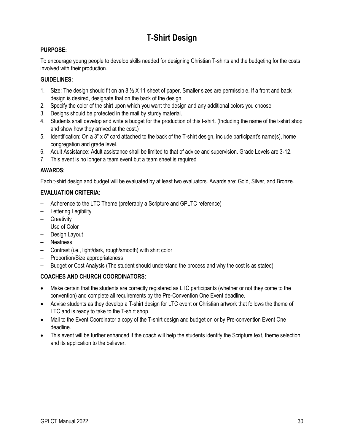# **T-Shirt Design**

#### <span id="page-33-0"></span>**PURPOSE:**

To encourage young people to develop skills needed for designing Christian T-shirts and the budgeting for the costs involved with their production.

#### **GUIDELINES:**

- 1. Size: The design should fit on an  $8\frac{1}{2}$  X 11 sheet of paper. Smaller sizes are permissible. If a front and back design is desired, designate that on the back of the design.
- 2. Specify the color of the shirt upon which you want the design and any additional colors you choose
- 3. Designs should be protected in the mail by sturdy material.
- 4. Students shall develop and write a budget for the production of this t-shirt. (Including the name of the t-shirt shop and show how they arrived at the cost.)
- 5. Identification: On a 3" x 5" card attached to the back of the T-shirt design, include participant's name(s), home congregation and grade level.
- 6. Adult Assistance: Adult assistance shall be limited to that of advice and supervision. Grade Levels are 3-12.
- 7. This event is no longer a team event but a team sheet is required

#### **AWARDS:**

Each t-shirt design and budget will be evaluated by at least two evaluators. Awards are: Gold, Silver, and Bronze.

#### **EVALUATION CRITERIA:**

- Adherence to the LTC Theme (preferably a Scripture and GPLTC reference)
- Lettering Legibility
- Creativity
- Use of Color
- Design Layout
- Neatness
- Contrast (i.e., light/dark, rough/smooth) with shirt color
- Proportion/Size appropriateness
- Budget or Cost Analysis (The student should understand the process and why the cost is as stated)

- Make certain that the students are correctly registered as LTC participants (whether or not they come to the convention) and complete all requirements by the Pre-Convention One Event deadline.
- Advise students as they develop a T-shirt design for LTC event or Christian artwork that follows the theme of LTC and is ready to take to the T-shirt shop.
- Mail to the Event Coordinator a copy of the T-shirt design and budget on or by Pre-convention Event One deadline.
- This event will be further enhanced if the coach will help the students identify the Scripture text, theme selection, and its application to the believer.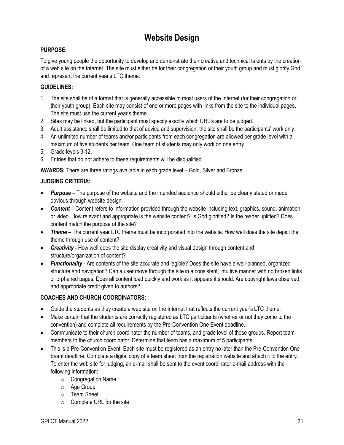# **Website Design**

#### <span id="page-34-0"></span>**PURPOSE:**

To give young people the opportunity to develop and demonstrate their creative and technical talents by the creation of a web site on the Internet. The site must either be for their congregation or their youth group and must glorify God and represent the current year's LTC theme.

#### **GUIDELINES:**

- 1. The site shall be of a format that is generally accessible to most users of the Internet (for their congregation or their youth group). Each site may consist of one or more pages with links from the site to the individual pages. The site must use the current year's theme.
- 2. Sites may be linked, but the participant must specify exactly which URL's are to be judged.
- 3. Adult assistance shall be limited to that of advice and supervision: the site shall be the participants' work only.
- 4. An unlimited number of teams and/or participants from each congregation are allowed per grade level with a maximum of five students per team. One team of students may only work on one entry.
- 5. Grade levels 3-12.
- 6. Entries that do not adhere to these requirements will be disqualified.

**AWARDS:** There are three ratings available in each grade level – Gold, Silver and Bronze.

#### **JUDGING CRITERIA:**

- **Purpose** The purpose of the website and the intended audience should either be clearly stated or made obvious through website design.
- *Content* Content refers to information provided through the website including text, graphics, sound, animation or video. How relevant and appropriate is the website content? Is God glorified? Is the reader uplifted? Does content match the purpose of the site?
- *Theme* The current year LTC theme must be incorporated into the website. How well does the site depict the theme through use of content?
- *Creativity* How well does the site display creativity and visual design through content and structure/organization of content?
- *Functionality* Are contents of the site accurate and legible? Does the site have a well-planned, organized structure and navigation? Can a user move through the site in a consistent, intuitive manner with no broken links or orphaned pages. Does all content load quickly and work as it appears it should. Are copyright laws observed and appropriate credit given to authors?

- Guide the students as they create a web site on the Internet that reflects the current year's LTC theme.
- Make certain that the students are correctly registered as LTC participants (whether or not they come to the convention) and complete all requirements by the Pre-Convention One Event deadline.
- Communicate to their church coordinator the number of teams, and grade level of those groups. Report team members to the church coordinator. Determine that team has a maximum of 5 participants.
- This is a Pre-Convention Event. Each site must be registered as an entry no later than the Pre-Convention One Event deadline. Complete a digital copy of a team sheet from the registration website and attach it to the entry. To enter the web site for judging, an e-mail shall be sent to the event coordinator e-mail address with the following information:
	- o Congregation Name
	- o Age Group
	- o Team Sheet
	- o Complete URL for the site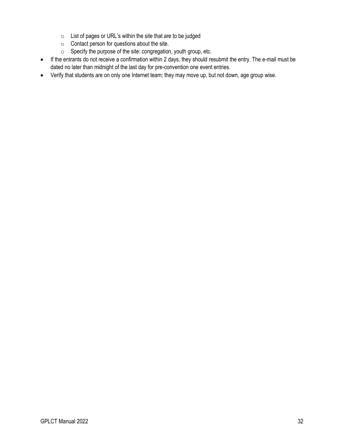- o List of pages or URL's within the site that are to be judged
- o Contact person for questions about the site.
- o Specify the purpose of the site: congregation, youth group, etc.
- If the entrants do not receive a confirmation within 2 days, they should resubmit the entry. The e-mail must be dated no later than midnight of the last day for pre-convention one event entries.
- Verify that students are on only one Internet team; they may move up, but not down, age group wise.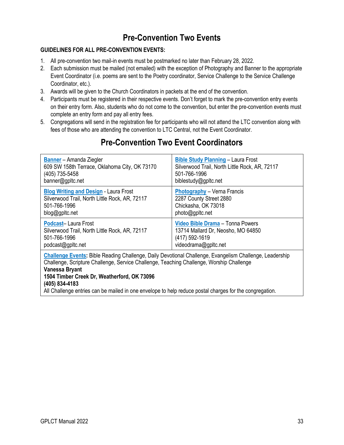### **Pre-Convention Two Events**

### **GUIDELINES FOR ALL PRE-CONVENTION EVENTS:**

- 1. All pre-convention two mail-in events must be postmarked no later than [February 28, 2022.](#page-4-0)
- 2. Each submission must be mailed (not emailed) with the exception of Photography and Banner to the appropriate Event Coordinator (i.e. poems are sent to the Poetry coordinator, Service Challenge to the Service Challenge Coordinator, etc.).
- 3. Awards will be given to the Church Coordinators in packets at the end of the convention.
- 4. Participants must be registered in their respective events. Don't forget to mark the pre-convention entry events on their entry form. Also, students who do not come to the convention, but enter the pre-convention events must complete an entry form and pay all entry fees.
- 5. Congregations will send in the registration fee for participants who will not attend the LTC convention along with fees of those who are attending the convention to LTC Central, not the Event Coordinator.

| <b>Banner</b> – Amanda Ziegler                                                                                                                                                                                                                                                                                                                                                                    | <b>Bible Study Planning - Laura Frost</b>      |
|---------------------------------------------------------------------------------------------------------------------------------------------------------------------------------------------------------------------------------------------------------------------------------------------------------------------------------------------------------------------------------------------------|------------------------------------------------|
| 609 SW 158th Terrace, Oklahoma City, OK 73170                                                                                                                                                                                                                                                                                                                                                     | Silverwood Trail, North Little Rock, AR, 72117 |
| (405) 735-5458                                                                                                                                                                                                                                                                                                                                                                                    | 501-766-1996                                   |
| banner@gpltc.net                                                                                                                                                                                                                                                                                                                                                                                  | biblestudy@gpltc.net                           |
| <b>Blog Writing and Design - Laura Frost</b>                                                                                                                                                                                                                                                                                                                                                      | <b>Photography</b> – Verna Francis             |
| Silverwood Trail, North Little Rock, AR, 72117                                                                                                                                                                                                                                                                                                                                                    | 2287 County Street 2880                        |
| 501-766-1996                                                                                                                                                                                                                                                                                                                                                                                      | Chickasha, OK 73018                            |
| blog@gpltc.net                                                                                                                                                                                                                                                                                                                                                                                    | photo@gpltc.net                                |
| Podcast-Laura Frost                                                                                                                                                                                                                                                                                                                                                                               | Video Bible Drama - Tonna Powers               |
| Silverwood Trail, North Little Rock, AR, 72117                                                                                                                                                                                                                                                                                                                                                    | 13714 Mallard Dr, Neosho, MO 64850             |
| 501-766-1996                                                                                                                                                                                                                                                                                                                                                                                      | (417) 592-1619                                 |
| podcast@gpltc.net                                                                                                                                                                                                                                                                                                                                                                                 | videodrama@gpltc.net                           |
| Challenge Events: Bible Reading Challenge, Daily Devotional Challenge, Evangelism Challenge, Leadership<br>Challenge, Scripture Challenge, Service Challenge, Teaching Challenge, Worship Challenge<br>Vanessa Bryant<br>1504 Timber Creek Dr, Weatherford, OK 73096<br>(405) 834-4183<br>All Challenge entries can be mailed in one envelope to help reduce postal charges for the congregation. |                                                |

### **Pre-Convention Two Event Coordinators**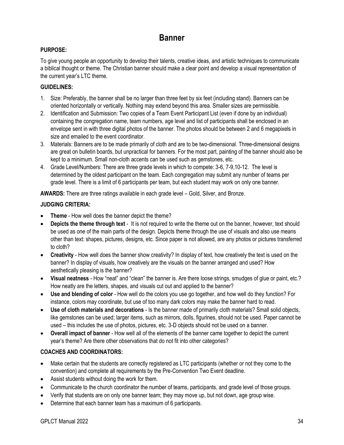### **Banner**

### <span id="page-37-0"></span>**PURPOSE:**

To give young people an opportunity to develop their talents, creative ideas, and artistic techniques to communicate a biblical thought or theme. The Christian banner should make a clear point and develop a visual representation of the current year's LTC theme.

### **GUIDELINES:**

- 1. Size: Preferably, the banner shall be no larger than three feet by six feet (including stand). Banners can be oriented horizontally or vertically. Nothing may extend beyond this area. Smaller sizes are permissible.
- 2. Identification and Submission: Two copies of a Team Event Participant List (even if done by an individual) containing the congregation name, team numbers, age level and list of participants shall be enclosed in an envelope sent in with three digital photos of the banner. The photos should be between 2 and 6 megapixels in size and emailed to the event coordinator.
- 3. Materials: Banners are to be made primarily of cloth and are to be two-dimensional. Three-dimensional designs are great on bulletin boards, but unpractical for banners. For the most part, painting of the banner should also be kept to a minimum. Small non-cloth accents can be used such as gemstones, etc.
- 4. Grade Level/Numbers: There are three grade levels in which to compete: 3-6, 7-9,10-12. The level is determined by the oldest participant on the team. Each congregation may submit any number of teams per grade level. There is a limit of 6 participants per team, but each student may work on only one banner.

**AWARDS:** There are three ratings available in each grade level – Gold, Silver, and Bronze.

### **JUDGING CRITERIA:**

- **Theme**  How well does the banner depict the theme?
- **Depicts the theme through text** It is not required to write the theme out on the banner, however, text should be used as one of the main parts of the design. Depicts theme through the use of visuals and also use means other than text: shapes, pictures, designs, etc. Since paper is not allowed, are any photos or pictures transferred to cloth?
- **Creativity** How well does the banner show creativity? In display of text, how creatively the text is used on the banner? In display of visuals, how creatively are the visuals on the banner arranged and used? How aesthetically pleasing is the banner?
- **Visual neatness** How "neat" and "clean" the banner is. Are there loose strings, smudges of glue or paint, etc.? How neatly are the letters, shapes, and visuals cut out and applied to the banner?
- **Use and blending of color** How well do the colors you use go together, and how well do they function? For instance, colors may coordinate, but use of too many dark colors may make the banner hard to read.
- **Use of cloth materials and decorations** Is the banner made of primarily cloth materials? Small solid objects, like gemstones can be used; larger items, such as mirrors, dolls, figurines, should not be used. Paper cannot be used – this includes the use of photos, pictures, etc. 3-D objects should not be used on a banner.
- **Overall impact of banner** How well all of the elements of the banner came together to depict the current year's theme? Are there other observations that do not fit into other categories?

### **COACHES AND COORDINATORS:**

- Make certain that the students are correctly registered as LTC participants (whether or not they come to the convention) and complete all requirements by the Pre-Convention Two Event deadline.
- Assist students without doing the work for them.
- Communicate to the church coordinator the number of teams, participants, and grade level of those groups.
- Verify that students are on only one banner team; they may move up, but not down, age group wise.
- Determine that each banner team has a maximum of 6 participants.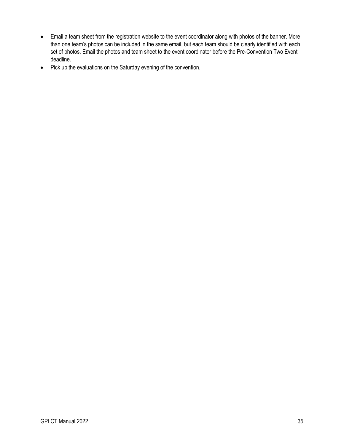- Email a team sheet from the registration website to the event coordinator along with photos of the banner. More than one team's photos can be included in the same email, but each team should be clearly identified with each set of photos. Email the photos and team sheet to the event coordinator before the Pre-Convention Two Event deadline.
- Pick up the evaluations on the Saturday evening of the convention.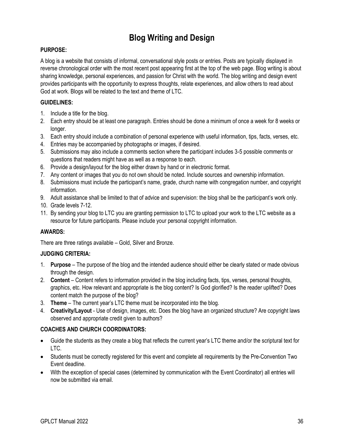### **Blog Writing and Design**

### <span id="page-39-0"></span>**PURPOSE:**

A blog is a website that consists of informal, conversational style posts or entries. Posts are typically displayed in reverse chronological order with the most recent post appearing first at the top of the web page. Blog writing is about sharing knowledge, personal experiences, and passion for Christ with the world. The blog writing and design event provides participants with the opportunity to express thoughts, relate experiences, and allow others to read about God at work. Blogs will be related to the text and theme of LTC.

### **GUIDELINES:**

- 1. Include a title for the blog.
- 2. Each entry should be at least one paragraph. Entries should be done a minimum of once a week for 8 weeks or longer.
- 3. Each entry should include a combination of personal experience with useful information, tips, facts, verses, etc.
- 4. Entries may be accompanied by photographs or images, if desired.
- 5. Submissions may also include a comments section where the participant includes 3-5 possible comments or questions that readers might have as well as a response to each.
- 6. Provide a design/layout for the blog either drawn by hand or in electronic format.
- 7. Any content or images that you do not own should be noted. Include sources and ownership information.
- 8. Submissions must include the participant's name, grade, church name with congregation number, and copyright information.
- 9. Adult assistance shall be limited to that of advice and supervision: the blog shall be the participant's work only.
- 10. Grade levels 7-12.
- 11. By sending your blog to LTC you are granting permission to LTC to upload your work to the LTC website as a resource for future participants. Please include your personal copyright information.

### **AWARDS:**

There are three ratings available – Gold, Silver and Bronze.

### **JUDGING CRITERIA:**

- 1. **Purpose** The purpose of the blog and the intended audience should either be clearly stated or made obvious through the design.
- 2. **Content** Content refers to information provided in the blog including facts, tips, verses, personal thoughts, graphics, etc. How relevant and appropriate is the blog content? Is God glorified? Is the reader uplifted? Does content match the purpose of the blog?
- 3. **Theme** The current year's LTC theme must be incorporated into the blog.
- 4. **Creativity/Layout** Use of design, images, etc. Does the blog have an organized structure? Are copyright laws observed and appropriate credit given to authors?

- Guide the students as they create a blog that reflects the current year's LTC theme and/or the scriptural text for LTC.
- Students must be correctly registered for this event and complete all requirements by the Pre-Convention Two Event deadline.
- With the exception of special cases (determined by communication with the Event Coordinator) all entries will now be submitted via email.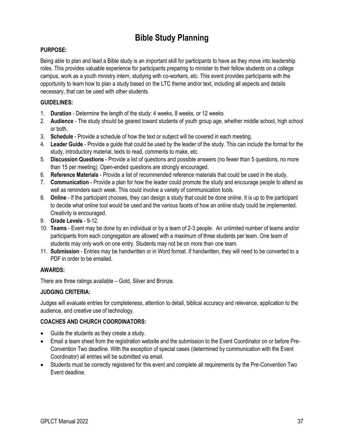### **Bible Study Planning**

### <span id="page-40-0"></span>**PURPOSE:**

Being able to plan and lead a Bible study is an important skill for participants to have as they move into leadership roles. This provides valuable experience for participants preparing to minister to their fellow students on a college campus, work as a youth ministry intern, studying with co-workers, etc. This event provides participants with the opportunity to learn how to plan a study based on the LTC theme and/or text, including all aspects and details necessary, that can be used with other students.

### **GUIDELINES:**

- 1. **Duration** Determine the length of the study: 4 weeks, 8 weeks, or 12 weeks
- 2. **Audience** The study should be geared toward students of youth group age, whether middle school, high school or both.
- 3. **Schedule** Provide a schedule of how the text or subject will be covered in each meeting.
- 4. **Leader Guide** Provide a guide that could be used by the leader of the study. This can include the format for the study, introductory material, texts to read, comments to make, etc.
- 5. **Discussion Questions** Provide a list of questions and possible answers (no fewer than 5 questions, no more than 15 per meeting). Open-ended questions are strongly encouraged.
- 6. **Reference Materials** Provide a list of recommended reference materials that could be used in the study.
- 7. **Communication** Provide a plan for how the leader could promote the study and encourage people to attend as well as reminders each week. This could involve a variety of communication tools.
- 8. **Online** If the participant chooses, they can design a study that could be done online. It is up to the participant to decide what online tool would be used and the various facets of how an online study could be implemented. Creativity is encouraged.
- 9. **Grade Levels** 9-12.
- 10. **Teams** Event may be done by an individual or by a team of 2-3 people. An unlimited number of teams and/or participants from each congregation are allowed with a maximum of three students per team. One team of students may only work on one entry. Students may not be on more than one team.
- 11. **Submission** Entries may be handwritten or in Word format. If handwritten, they will need to be converted to a PDF in order to be emailed.

### **AWARDS:**

There are three ratings available – Gold, Silver and Bronze.

### **JUDGING CRITERIA:**

Judges will evaluate entries for completeness, attention to detail, biblical accuracy and relevance, application to the audience, and creative use of technology.

- Guide the students as they create a study.
- Email a team sheet from the registration website and the submission to the Event Coordinator on or before Pre-Convention Two deadline. With the exception of special cases (determined by communication with the Event Coordinator) all entries will be submitted via email.
- Students must be correctly registered for this event and complete all requirements by the Pre-Convention Two Event deadline.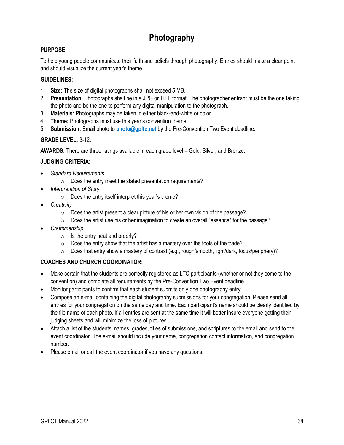### **Photography**

### <span id="page-41-0"></span>**PURPOSE:**

To help young people communicate their faith and beliefs through photography. Entries should make a clear point and should visualize the current year's theme.

### **GUIDELINES:**

- 1. **Size:** The size of digital photographs shall not exceed 5 MB.
- 2. **Presentation:** Photographs shall be in a JPG or TIFF format. The photographer entrant must be the one taking the photo and be the one to perform any digital manipulation to the photograph.
- 3. **Materials:** Photographs may be taken in either black-and-white or color.
- 4. **Theme:** Photographs must use this year's convention theme.
- 5. **Submission:** Email photo to **photo@gpltc.net** by the Pre-Convention Two Event deadline.

### **GRADE LEVEL:** 3-12.

**AWARDS:** There are three ratings available in each grade level – Gold, Silver, and Bronze.

#### **JUDGING CRITERIA:**

- *Standard Requirements* 
	- o Does the entry meet the stated presentation requirements?
- *Interpretation of Story* 
	- $\circ$  Does the entry itself interpret this year's theme?
- *Creativity* 
	- $\circ$  Does the artist present a clear picture of his or her own vision of the passage?
	- o Does the artist use his or her imagination to create an overall "essence" for the passage?
- *Craftsmanship* 
	- $\circ$  Is the entry neat and orderly?
	- $\circ$  Does the entry show that the artist has a mastery over the tools of the trade?
	- $\circ$  Does that entry show a mastery of contrast (e.g., rough/smooth, light/dark, focus/periphery)?

- Make certain that the students are correctly registered as LTC participants (whether or not they come to the convention) and complete all requirements by the Pre-Convention Two Event deadline.
- Monitor participants to confirm that each student submits only one photography entry.
- Compose an e-mail containing the digital photography submissions for your congregation. Please send all entries for your congregation on the same day and time. Each participant's name should be clearly identified by the file name of each photo. If all entries are sent at the same time it will better insure everyone getting their judging sheets and will minimize the loss of pictures.
- Attach a list of the students' names, grades, titles of submissions, and scriptures to the email and send to the event coordinator. The e-mail should include your name, congregation contact information, and congregation number.
- Please email or call the event coordinator if you have any questions.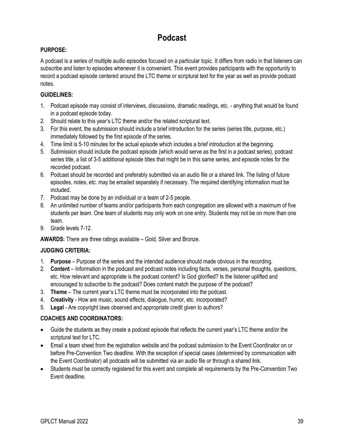### **Podcast**

### <span id="page-42-0"></span>**PURPOSE:**

A podcast is a series of multiple audio episodes focused on a particular topic. It differs from radio in that listeners can subscribe and listen to episodes whenever it is convenient. This event provides participants with the opportunity to record a podcast episode centered around the LTC theme or scriptural text for the year as well as provide podcast notes.

### **GUIDELINES:**

- 1. Podcast episode may consist of interviews, discussions, dramatic readings, etc. anything that would be found in a podcast episode today.
- 2. Should relate to this year's LTC theme and/or the related scriptural text.
- 3. For this event, the submission should include a brief introduction for the series (series title, purpose, etc.) immediately followed by the first episode of the series.
- 4. Time limit is 5-10 minutes for the actual episode which includes a brief introduction at the beginning.
- 5. Submission should include the podcast episode (which would serve as the first in a podcast series), podcast series title, a list of 3-5 additional episode titles that might be in this same series, and episode notes for the recorded podcast.
- 6. Podcast should be recorded and preferably submitted via an audio file or a shared link. The listing of future episodes, notes, etc. may be emailed separately if necessary. The required identifying information must be included.
- 7. Podcast may be done by an individual or a team of 2-5 people.
- 8. An unlimited number of teams and/or participants from each congregation are allowed with a maximum of five students per team. One team of students may only work on one entry. Students may not be on more than one team.
- 9. Grade levels 7-12.

**AWARDS:** There are three ratings available – Gold, Silver and Bronze.

### **JUDGING CRITERIA:**

- 1. **Purpose** Purpose of the series and the intended audience should made obvious in the recording.
- 2. **Content**  Information in the podcast and podcast notes including facts, verses, personal thoughts, questions, etc. How relevant and appropriate is the podcast content? Is God glorified? Is the listener uplifted and encouraged to subscribe to the podcast? Does content match the purpose of the podcast?
- 3. **Theme** The current year's LTC theme must be incorporated into the podcast.
- 4. **Creativity** How are music, sound effects, dialogue, humor, etc. incorporated?
- 5. **Legal** Are copyright laws observed and appropriate credit given to authors?

### **COACHES AND COORDINATORS:**

- Guide the students as they create a podcast episode that reflects the current year's LTC theme and/or the scriptural text for LTC.
- Email a team sheet from the registration website and the podcast submission to the Event Coordinator on or before Pre-Convention Two deadline. With the exception of special cases (determined by communication with the Event Coordinator) all podcasts will be submitted via an audio file or through a shared link.
- Students must be correctly registered for this event and complete all requirements by the Pre-Convention Two Event deadline.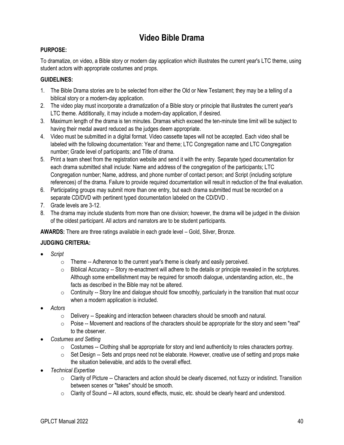### **Video Bible Drama**

### <span id="page-43-0"></span>**PURPOSE:**

To dramatize, on video, a Bible story or modern day application which illustrates the current year's LTC theme, using student actors with appropriate costumes and props.

### **GUIDELINES:**

- 1. The Bible Drama stories are to be selected from either the Old or New Testament; they may be a telling of a biblical story or a modern-day application.
- 2. The video play must incorporate a dramatization of a Bible story or principle that illustrates the current year's LTC theme. Additionally, it may include a modern-day application, if desired.
- 3. Maximum length of the drama is ten minutes. Dramas which exceed the ten-minute time limit will be subject to having their medal award reduced as the judges deem appropriate.
- 4. Video must be submitted in a digital format. Video cassette tapes will not be accepted. Each video shall be labeled with the following documentation: Year and theme; LTC Congregation name and LTC Congregation number; Grade level of participants; and Title of drama.
- 5. Print a team sheet from the registration website and send it with the entry. Separate typed documentation for each drama submitted shall include: Name and address of the congregation of the participants; LTC Congregation number; Name, address, and phone number of contact person; and Script (including scripture references) of the drama. Failure to provide required documentation will result in reduction of the final evaluation.
- 6. Participating groups may submit more than one entry, but each drama submitted must be recorded on a separate CD/DVD with pertinent typed documentation labeled on the CD/DVD .
- 7. Grade levels are 3-12.
- 8. The drama may include students from more than one division; however, the drama will be judged in the division of the oldest participant. All actors and narrators are to be student participants.

**AWARDS:** There are three ratings available in each grade level – Gold, Silver, Bronze.

### **JUDGING CRITERIA:**

- *Script* 
	- $\circ$  Theme -- Adherence to the current year's theme is clearly and easily perceived.
	- $\circ$  Biblical Accuracy -- Story re-enactment will adhere to the details or principle revealed in the scriptures. Although some embellishment may be required for smooth dialogue, understanding action, etc., the facts as described in the Bible may not be altered.
	- $\circ$  Continuity -- Story line and dialogue should flow smoothly, particularly in the transition that must occur when a modern application is included.
- *Actors* 
	- o Delivery -- Speaking and interaction between characters should be smooth and natural.
	- o Poise -- Movement and reactions of the characters should be appropriate for the story and seem "real" to the observer.
- *Costumes and Setting* 
	- $\circ$  Costumes -- Clothing shall be appropriate for story and lend authenticity to roles characters portray.
	- $\circ$  Set Design -- Sets and props need not be elaborate. However, creative use of setting and props make the situation believable, and adds to the overall effect.
- *Technical Expertise* 
	- $\circ$  Clarity of Picture -- Characters and action should be clearly discerned, not fuzzy or indistinct. Transition between scenes or "takes" should be smooth.
	- $\circ$  Clarity of Sound -- All actors, sound effects, music, etc. should be clearly heard and understood.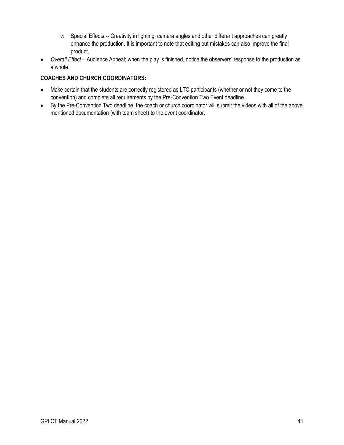- o Special Effects -- Creativity in lighting, camera angles and other different approaches can greatly enhance the production. It is important to note that editing out mistakes can also improve the final product.
- *Overall Effect* Audience Appeal; when the play is finished, notice the observers' response to the production as a whole.

- Make certain that the students are correctly registered as LTC participants (whether or not they come to the convention) and complete all requirements by the Pre-Convention Two Event deadline.
- By the Pre-Convention Two deadline, the coach or church coordinator will submit the videos with all of the above mentioned documentation (with team sheet) to the event coordinator.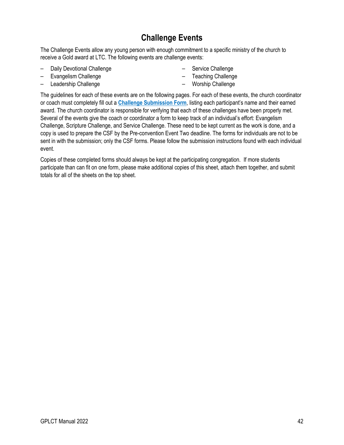### **Challenge Events**

<span id="page-45-0"></span>The Challenge Events allow any young person with enough commitment to a specific ministry of the church to receive a Gold award at LTC. The following events are challenge events:

- Daily Devotional Challenge
- Evangelism Challenge
- Leadership Challenge
- Service Challenge
- Teaching Challenge
- Worship Challenge

The guidelines for each of these events are on the following pages. For each of these events, the church coordinator or coach must completely fill out a **[Challenge Submission Form](#page-46-0)**, listing each participant's name and their earned award. The church coordinator is responsible for verifying that each of these challenges have been properly met. Several of the events give the coach or coordinator a form to keep track of an individual's effort: Evangelism Challenge, Scripture Challenge, and Service Challenge. These need to be kept current as the work is done, and a copy is used to prepare the CSF by the Pre-convention Event Two deadline. The forms for individuals are not to be sent in with the submission; only the CSF forms. Please follow the submission instructions found with each individual event.

Copies of these completed forms should always be kept at the participating congregation. If more students participate than can fit on one form, please make additional copies of this sheet, attach them together, and submit totals for all of the sheets on the top sheet.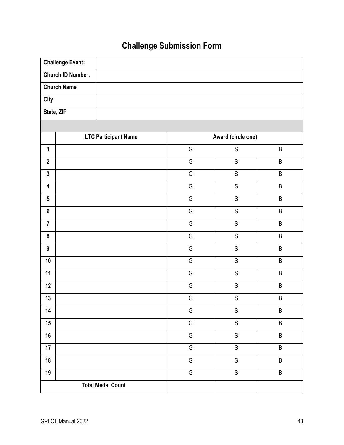# **Challenge Submission Form**

<span id="page-46-0"></span>

| <b>Challenge Event:</b>     |   |                    |         |  |
|-----------------------------|---|--------------------|---------|--|
| <b>Church ID Number:</b>    |   |                    |         |  |
| <b>Church Name</b>          |   |                    |         |  |
| <b>City</b>                 |   |                    |         |  |
| State, ZIP                  |   |                    |         |  |
|                             |   |                    |         |  |
| <b>LTC Participant Name</b> |   | Award (circle one) |         |  |
| $\mathbf{1}$                | G | $\mathsf S$        | $\sf B$ |  |
| $\mathbf{2}$                | G | $\mathbb S$        | $\sf B$ |  |
| $\mathbf{3}$                | G | $\mathsf S$        | $\sf B$ |  |
| $\overline{\mathbf{4}}$     | G | $\mathsf S$        | $\sf B$ |  |
| $5\phantom{.0}$             | G | $\mathsf S$        | $\sf B$ |  |
| $6\phantom{a}$              | G | $\mathsf S$        | $\sf B$ |  |
| $\overline{7}$              | G | $\mathsf S$        | $\sf B$ |  |
| $\pmb{8}$                   | G | $\mathsf S$        | $\sf B$ |  |
| $\boldsymbol{9}$            | G | $\mathsf S$        | B       |  |
| 10                          | G | ${\mathsf S}$      | $\sf B$ |  |
| 11                          | G | $\mathsf S$        | $\sf B$ |  |
| 12                          | G | $\mathbb S$        | $\sf B$ |  |
| 13                          | G | ${\mathsf S}$      | $\sf B$ |  |
| 14                          | G | S                  | B       |  |
| 15                          | G | $\mathsf S$        | $\sf B$ |  |
| 16                          | G | $\mathsf S$        | $\sf B$ |  |
| 17                          | G | $\mathsf S$        | $\sf B$ |  |
| 18                          | G | $\mathsf S$        | $\sf B$ |  |
| 19                          | G | $\mathsf S$        | $\sf B$ |  |
| <b>Total Medal Count</b>    |   |                    |         |  |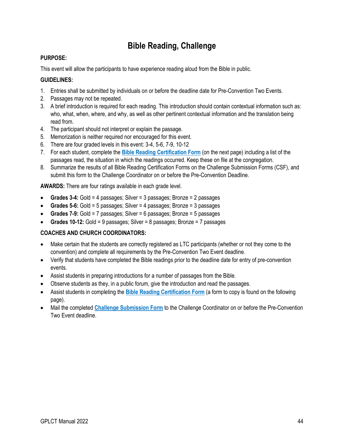### **Bible Reading, Challenge**

### **PURPOSE:**

This event will allow the participants to have experience reading aloud from the Bible in public.

### **GUIDELINES:**

- 1. Entries shall be submitted by individuals on or before the deadline date for Pre-Convention Two Events.
- 2. Passages may not be repeated.
- 3. A brief introduction is required for each reading. This introduction should contain contextual information such as: who, what, when, where, and why, as well as other pertinent contextual information and the translation being read from.
- 4. The participant should not interpret or explain the passage.
- 5. Memorization is neither required nor encouraged for this event.
- 6. There are four graded levels in this event: 3-4, 5-6, 7-9, 10-12
- 7. For each student, complete the **[Bible Reading Certification Form](#page-48-0)** (on the next page) including a list of the passages read, the situation in which the readings occurred. Keep these on file at the congregation.
- 8. Summarize the results of all Bible Reading Certification Forms on the Challenge Submission Forms (CSF), and submit this form to the Challenge Coordinator on or before the Pre-Convention Deadline.

**AWARDS:** There are four ratings available in each grade level.

- **Grades 3-4:** Gold = 4 passages; Silver = 3 passages; Bronze = 2 passages
- **Grades 5-6:** Gold = 5 passages; Silver = 4 passages; Bronze = 3 passages
- **Grades 7-9:** Gold = 7 passages; Silver = 6 passages; Bronze = 5 passages
- **Grades 10-12:** Gold = 9 passages; Silver = 8 passages; Bronze = 7 passages

- Make certain that the students are correctly registered as LTC participants (whether or not they come to the convention) and complete all requirements by the Pre-Convention Two Event deadline.
- Verify that students have completed the Bible readings prior to the deadline date for entry of pre-convention events.
- Assist students in preparing introductions for a number of passages from the Bible.
- Observe students as they, in a public forum, give the introduction and read the passages.
- Assist students in completing the **[Bible Reading Certification Form](#page-48-0)** (a form to copy is found on the following page).
- Mail the completed **[Challenge Submission Form](#page-46-0)** to the Challenge Coordinator on or before the Pre-Convention Two Event deadline.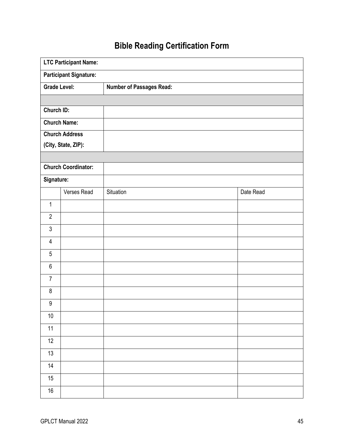# **Bible Reading Certification Form**

<span id="page-48-0"></span>

|                               | <b>LTC Participant Name:</b> |                                 |           |  |
|-------------------------------|------------------------------|---------------------------------|-----------|--|
| <b>Participant Signature:</b> |                              |                                 |           |  |
|                               | <b>Grade Level:</b>          | <b>Number of Passages Read:</b> |           |  |
|                               |                              |                                 |           |  |
| <b>Church ID:</b>             |                              |                                 |           |  |
|                               | <b>Church Name:</b>          |                                 |           |  |
|                               | <b>Church Address</b>        |                                 |           |  |
|                               | (City, State, ZIP):          |                                 |           |  |
|                               |                              |                                 |           |  |
|                               | <b>Church Coordinator:</b>   |                                 |           |  |
| Signature:                    |                              |                                 |           |  |
|                               | Verses Read                  | Situation                       | Date Read |  |
| $\mathbf{1}$                  |                              |                                 |           |  |
| $\overline{2}$                |                              |                                 |           |  |
| $\mathfrak{Z}$                |                              |                                 |           |  |
| $\overline{4}$                |                              |                                 |           |  |
| $\overline{5}$                |                              |                                 |           |  |
| $\,6$                         |                              |                                 |           |  |
| $\overline{7}$                |                              |                                 |           |  |
| $\bf 8$                       |                              |                                 |           |  |
| $\boldsymbol{9}$              |                              |                                 |           |  |
| $10\,$                        |                              |                                 |           |  |
| 11                            |                              |                                 |           |  |
| $\overline{12}$               |                              |                                 |           |  |
| $\overline{13}$               |                              |                                 |           |  |
| 14                            |                              |                                 |           |  |
| 15                            |                              |                                 |           |  |
| 16                            |                              |                                 |           |  |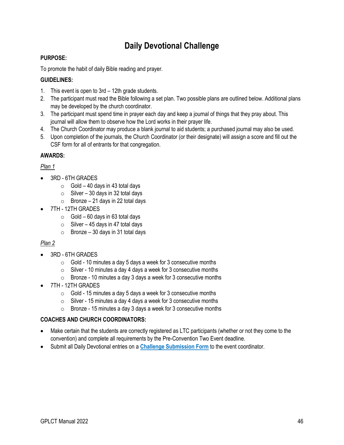### **Daily Devotional Challenge**

### **PURPOSE:**

To promote the habit of daily Bible reading and prayer.

### **GUIDELINES:**

- 1. This event is open to 3rd 12th grade students.
- 2. The participant must read the Bible following a set plan. Two possible plans are outlined below. Additional plans may be developed by the church coordinator.
- 3. The participant must spend time in prayer each day and keep a journal of things that they pray about. This journal will allow them to observe how the Lord works in their prayer life.
- 4. The Church Coordinator may produce a blank journal to aid students; a purchased journal may also be used.
- 5. Upon completion of the journals, the Church Coordinator (or their designate) will assign a score and fill out the CSF form for all of entrants for that congregation.

### **AWARDS:**

### *Plan 1*

- 3RD 6TH GRADES
	- $\circ$  Gold 40 days in 43 total days
	- $\circ$  Silver 30 days in 32 total days
	- $\circ$  Bronze 21 days in 22 total days
- 7TH 12TH GRADES
	- $\circ$  Gold 60 days in 63 total days
	- $\circ$  Silver 45 days in 47 total days
	- $\circ$  Bronze 30 days in 31 total days

### *Plan 2*

- 3RD 6TH GRADES
	- $\circ$  Gold 10 minutes a day 5 days a week for 3 consecutive months
	- $\circ$  Silver 10 minutes a day 4 days a week for 3 consecutive months
	- $\circ$  Bronze 10 minutes a day 3 days a week for 3 consecutive months
- 7TH 12TH GRADES
	- $\circ$  Gold 15 minutes a day 5 days a week for 3 consecutive months
	- $\circ$  Silver 15 minutes a day 4 days a week for 3 consecutive months
	- $\circ$  Bronze 15 minutes a day 3 days a week for 3 consecutive months

- Make certain that the students are correctly registered as LTC participants (whether or not they come to the convention) and complete all requirements by the Pre-Convention Two Event deadline.
- Submit all Daily Devotional entries on a **[Challenge Submission Form](#page-46-0)** to the event coordinator.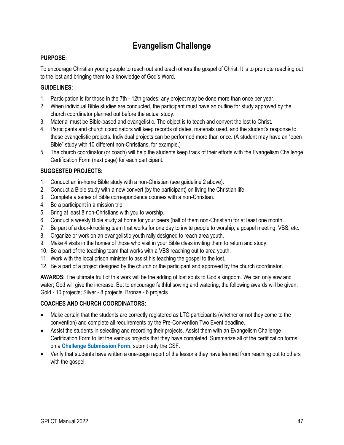### **Evangelism Challenge**

### **PURPOSE:**

To encourage Christian young people to reach out and teach others the gospel of Christ. It is to promote reaching out to the lost and bringing them to a knowledge of God's Word.

### **GUIDELINES:**

- 1. Participation is for those in the 7th 12th grades; any project may be done more than once per year.
- 2. When individual Bible studies are conducted, the participant must have an outline for study approved by the church coordinator planned out before the actual study.
- 3. Material must be Bible-based and evangelistic. The object is to teach and convert the lost to Christ.
- 4. Participants and church coordinators will keep records of dates, materials used, and the student's response to these evangelistic projects. Individual projects can be performed more than once. (A student may have an "open Bible" study with 10 different non-Christians, for example.)
- 5. The church coordinator (or coach) will help the students keep track of their efforts with the Evangelism Challenge Certification Form (next page) for each participant.

### **SUGGESTED PROJECTS:**

- 1. Conduct an in-home Bible study with a non-Christian (see guideline 2 above).
- 2. Conduct a Bible study with a new convert (by the participant) on living the Christian life.
- 3. Complete a series of Bible correspondence courses with a non-Christian.
- 4. Be a participant in a mission trip.
- 5. Bring at least 8 non-Christians with you to worship.
- 6. Conduct a weekly Bible study at home for your peers (half of them non-Christian) for at least one month.
- 7. Be part of a door-knocking team that works for one day to invite people to worship, a gospel meeting, VBS, etc.
- 8. Organize or work on an evangelistic youth rally designed to reach area youth.
- 9. Make 4 visits in the homes of those who visit in your Bible class inviting them to return and study.
- 10. Be a part of the teaching team that works with a VBS reaching out to area youth.
- 11. Work with the local prison minister to assist his teaching the gospel to the lost.
- 12. Be a part of a project designed by the church or the participant and approved by the church coordinator.

**AWARDS:** The ultimate fruit of this work will be the adding of lost souls to God's kingdom. We can only sow and water; God will give the increase. But to encourage faithful sowing and watering, the following awards will be given: Gold - 10 projects; Silver - 8 projects; Bronze - 6 projects

- Make certain that the students are correctly registered as LTC participants (whether or not they come to the convention) and complete all requirements by the Pre-Convention Two Event deadline.
- Assist the students in selecting and recording their projects. Assist them with an Evangelism Challenge Certification Form to list the various projects that they have completed. Summarize all of the certification forms on a **[Challenge Submission Form](#page-46-0)**, submit only the CSF.
- Verify that students have written a one-page report of the lessons they have learned from reaching out to others with the gospel.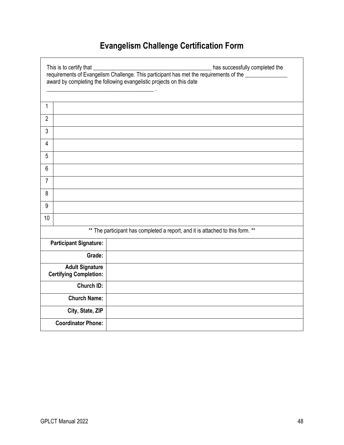# **Evangelism Challenge Certification Form**

|                     | This is to certify that<br>has successfully completed the<br>requirements of Evangelism Challenge. This participant has met the requirements of the<br>award by completing the following evangelistic projects on this date<br>and the control of the control of |  |  |  |  |
|---------------------|------------------------------------------------------------------------------------------------------------------------------------------------------------------------------------------------------------------------------------------------------------------|--|--|--|--|
| 1                   |                                                                                                                                                                                                                                                                  |  |  |  |  |
| $\overline{2}$      |                                                                                                                                                                                                                                                                  |  |  |  |  |
| 3                   |                                                                                                                                                                                                                                                                  |  |  |  |  |
| 4                   |                                                                                                                                                                                                                                                                  |  |  |  |  |
| 5                   |                                                                                                                                                                                                                                                                  |  |  |  |  |
| 6                   |                                                                                                                                                                                                                                                                  |  |  |  |  |
| $\overline{7}$      |                                                                                                                                                                                                                                                                  |  |  |  |  |
| 8                   |                                                                                                                                                                                                                                                                  |  |  |  |  |
| 9                   |                                                                                                                                                                                                                                                                  |  |  |  |  |
| 10                  |                                                                                                                                                                                                                                                                  |  |  |  |  |
|                     | ** The participant has completed a report, and it is attached to this form. **                                                                                                                                                                                   |  |  |  |  |
|                     | <b>Participant Signature:</b>                                                                                                                                                                                                                                    |  |  |  |  |
|                     | Grade:                                                                                                                                                                                                                                                           |  |  |  |  |
|                     | <b>Adult Signature</b><br><b>Certifying Completion:</b>                                                                                                                                                                                                          |  |  |  |  |
| <b>Church ID:</b>   |                                                                                                                                                                                                                                                                  |  |  |  |  |
| <b>Church Name:</b> |                                                                                                                                                                                                                                                                  |  |  |  |  |
|                     | City, State, ZIP                                                                                                                                                                                                                                                 |  |  |  |  |
|                     | <b>Coordinator Phone:</b>                                                                                                                                                                                                                                        |  |  |  |  |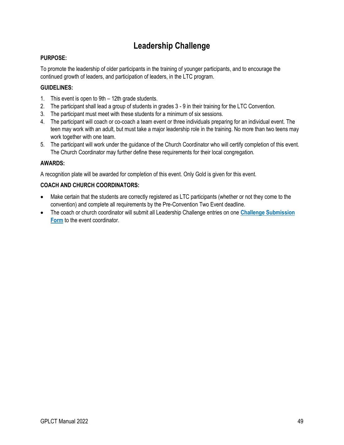### **Leadership Challenge**

### **PURPOSE:**

To promote the leadership of older participants in the training of younger participants, and to encourage the continued growth of leaders, and participation of leaders, in the LTC program.

### **GUIDELINES:**

- 1. This event is open to 9th 12th grade students.
- 2. The participant shall lead a group of students in grades 3 9 in their training for the LTC Convention.
- 3. The participant must meet with these students for a minimum of six sessions.
- 4. The participant will coach or co-coach a team event or three individuals preparing for an individual event. The teen may work with an adult, but must take a major leadership role in the training. No more than two teens may work together with one team.
- 5. The participant will work under the guidance of the Church Coordinator who will certify completion of this event. The Church Coordinator may further define these requirements for their local congregation.

### **AWARDS:**

A recognition plate will be awarded for completion of this event. Only Gold is given for this event.

- Make certain that the students are correctly registered as LTC participants (whether or not they come to the convention) and complete all requirements by the Pre-Convention Two Event deadline.
- The coach or church coordinator will submit all Leadership Challenge entries on one **[Challenge Submission](#page-46-0)  [Form](#page-46-0)** to the event coordinator.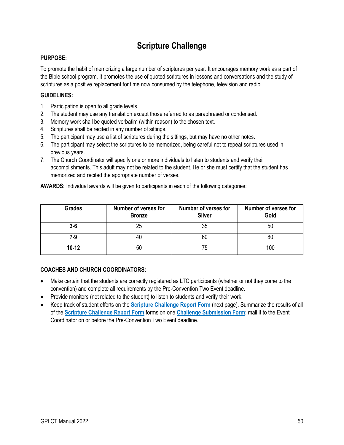### **Scripture Challenge**

### **PURPOSE:**

To promote the habit of memorizing a large number of scriptures per year. It encourages memory work as a part of the Bible school program. It promotes the use of quoted scriptures in lessons and conversations and the study of scriptures as a positive replacement for time now consumed by the telephone, television and radio.

### **GUIDELINES:**

- 1. Participation is open to all grade levels.
- 2. The student may use any translation except those referred to as paraphrased or condensed.
- 3. Memory work shall be quoted verbatim (within reason) to the chosen text.
- 4. Scriptures shall be recited in any number of sittings.
- 5. The participant may use a list of scriptures during the sittings, but may have no other notes.
- 6. The participant may select the scriptures to be memorized, being careful not to repeat scriptures used in previous years.
- 7. The Church Coordinator will specify one or more individuals to listen to students and verify their accomplishments. This adult may not be related to the student. He or she must certify that the student has memorized and recited the appropriate number of verses.

| <b>Grades</b> | <b>Number of verses for</b><br><b>Bronze</b> | Number of verses for<br><b>Silver</b> | Number of verses for<br>Gold |
|---------------|----------------------------------------------|---------------------------------------|------------------------------|
| $3-6$         |                                              | 35                                    | 50                           |
| 7-9           | 40                                           | 60                                    | 80                           |
| $10 - 12$     | 50                                           | 75                                    |                              |

**AWARDS:** Individual awards will be given to participants in each of the following categories:

- Make certain that the students are correctly registered as LTC participants (whether or not they come to the convention) and complete all requirements by the Pre-Convention Two Event deadline.
- Provide monitors (not related to the student) to listen to students and verify their work.
- Keep track of student efforts on the **[Scripture Challenge Report Form](#page-54-0)** (next page). Summarize the results of all of the **[Scripture Challenge Report Form](#page-54-0)** forms on one **[Challenge Submission Form](#page-46-0)**; mail it to the Event Coordinator on or before the Pre-Convention Two Event deadline.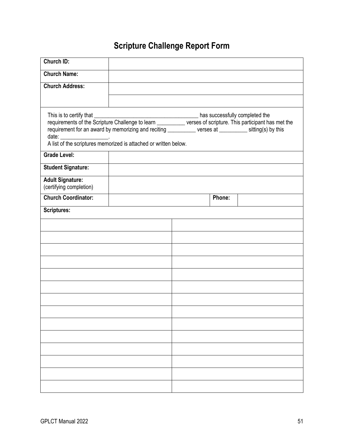# **Scripture Challenge Report Form**

<span id="page-54-0"></span>

| Church ID:                                                                                             |  |  |        |  |
|--------------------------------------------------------------------------------------------------------|--|--|--------|--|
| <b>Church Name:</b>                                                                                    |  |  |        |  |
| <b>Church Address:</b>                                                                                 |  |  |        |  |
|                                                                                                        |  |  |        |  |
| requirement for an award by memorizing and reciting ___________ verses at _________ sitting(s) by this |  |  |        |  |
| <b>Grade Level:</b>                                                                                    |  |  |        |  |
| <b>Student Signature:</b>                                                                              |  |  |        |  |
| <b>Adult Signature:</b><br>(certifying completion)                                                     |  |  |        |  |
| <b>Church Coordinator:</b>                                                                             |  |  | Phone: |  |
| <b>Scriptures:</b>                                                                                     |  |  |        |  |
|                                                                                                        |  |  |        |  |
|                                                                                                        |  |  |        |  |
|                                                                                                        |  |  |        |  |
|                                                                                                        |  |  |        |  |
|                                                                                                        |  |  |        |  |
|                                                                                                        |  |  |        |  |
|                                                                                                        |  |  |        |  |
|                                                                                                        |  |  |        |  |
|                                                                                                        |  |  |        |  |
|                                                                                                        |  |  |        |  |
|                                                                                                        |  |  |        |  |
|                                                                                                        |  |  |        |  |
|                                                                                                        |  |  |        |  |
|                                                                                                        |  |  |        |  |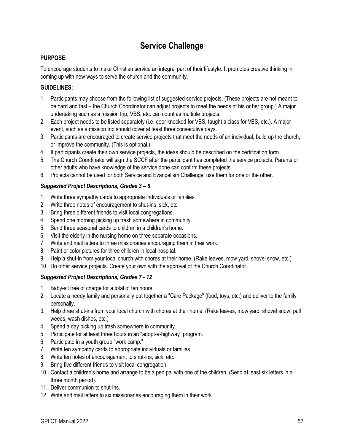### **Service Challenge**

### **PURPOSE:**

To encourage students to make Christian service an integral part of their lifestyle. It promotes creative thinking in coming up with new ways to serve the church and the community.

### **GUIDELINES:**

- 1. Participants may choose from the following list of suggested service projects. (These projects are not meant to be hard and fast – the Church Coordinator can adjust projects to meet the needs of his or her group.) A major undertaking such as a mission trip, VBS, etc. can count as multiple projects.
- 2. Each project needs to be listed separately (i.e. door knocked for VBS, taught a class for VBS, etc.). A major event, such as a mission trip should cover at least three consecutive days.
- 3. Participants are encouraged to create service projects that meet the needs of an individual, build up the church, or improve the community. (This is optional.)
- 4. If participants create their own service projects, the ideas should be described on the certification form.
- 5. The Church Coordinator will sign the SCCF after the participant has completed the service projects. Parents or other adults who have knowledge of the service done can confirm these projects.
- 6. Projects cannot be used for both Service and Evangelism Challenge; use them for one or the other.

### *Suggested Project Descriptions, Grades 3 – 6*

- 1. Write three sympathy cards to appropriate individuals or families.
- 2. Write three notes of encouragement to shut-ins, sick, etc.
- 3. Bring three different friends to visit local congregations.
- 4. Spend one morning picking up trash somewhere in community.
- 5. Send three seasonal cards to children in a children's home.
- 6. Visit the elderly in the nursing home on three separate occasions.
- 7. Write and mail letters to three missionaries encouraging them in their work.
- 8. Paint or color pictures for three children in local hospital.
- 9. Help a shut-in from your local church with chores at their home. (Rake leaves, mow yard, shovel snow, etc.)
- 10. Do other service projects. Create your own with the approval of the Church Coordinator.

### *Suggested Project Descriptions, Grades 7 - 12*

- 1. Baby-sit free of charge for a total of ten hours.
- 2. Locate a needy family and personally put together a "Care Package" (food, toys, etc.) and deliver to the family personally.
- 3. Help three shut-ins from your local church with chores at their home. (Rake leaves, mow yard, shovel snow, pull weeds, wash dishes, etc.)
- 4. Spend a day picking up trash somewhere in community.
- 5. Participate for at least three hours in an "adopt-a-highway" program.
- 6. Participate in a youth group "work camp."
- 7. Write ten sympathy cards to appropriate individuals or families.
- 8. Write ten notes of encouragement to shut-ins, sick, etc.
- 9. Bring five different friends to visit local congregation.
- 10. Contact a children's home and arrange to be a pen pal with one of the children. (Send at least six letters in a three month period).
- 11. Deliver communion to shut-ins.
- 12. Write and mail letters to six missionaries encouraging them in their work.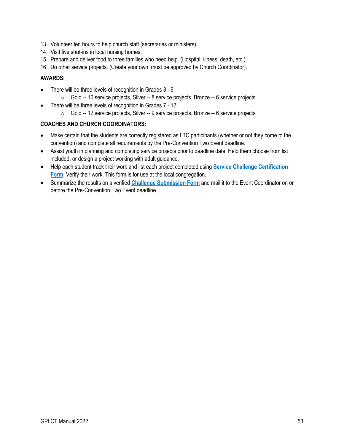- 13. Volunteer ten hours to help church staff (secretaries or ministers).
- 14. Visit five shut-ins in local nursing homes.
- 15. Prepare and deliver food to three families who need help. (Hospital, illness, death, etc.)
- 16. Do other service projects. (Create your own; must be approved by Church Coordinator).

#### **AWARDS:**

- There will be three levels of recognition in Grades 3 6:
	- o Gold -- 10 service projects, Silver -- 8 service projects, Bronze -- 6 service projects
- There will be three levels of recognition in Grades 7 12:
	- o Gold -- 12 service projects, Silver -- 9 service projects, Bronze -- 6 service projects

- Make certain that the students are correctly registered as LTC participants (whether or not they come to the convention) and complete all requirements by the Pre-Convention Two Event deadline.
- Assist youth in planning and completing service projects prior to deadline date. Help them choose from list included, or design a project working with adult guidance.
- Help each student track their work and list each project completed using **[Service Challenge Certification](#page-57-0)  [Form](#page-57-0)**. Verify their work. This form is for use at the local congregation.
- Summarize the results on a verified **[Challenge Submission Form](#page-46-0)** and mail it to the Event Coordinator on or before the Pre-Convention Two Event deadline.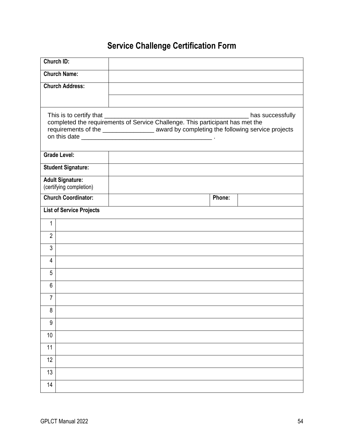# **Service Challenge Certification Form**

<span id="page-57-0"></span>

| <b>Church ID:</b>                                  |                                                                                                                 |        |  |  |  |
|----------------------------------------------------|-----------------------------------------------------------------------------------------------------------------|--------|--|--|--|
| <b>Church Name:</b>                                |                                                                                                                 |        |  |  |  |
| <b>Church Address:</b>                             |                                                                                                                 |        |  |  |  |
|                                                    |                                                                                                                 |        |  |  |  |
| This is to certify that                            | has successfully<br>requirements of the ____________________ award by completing the following service projects |        |  |  |  |
| <b>Grade Level:</b>                                |                                                                                                                 |        |  |  |  |
| <b>Student Signature:</b>                          |                                                                                                                 |        |  |  |  |
| <b>Adult Signature:</b><br>(certifying completion) |                                                                                                                 |        |  |  |  |
| <b>Church Coordinator:</b>                         |                                                                                                                 | Phone: |  |  |  |
| <b>List of Service Projects</b>                    |                                                                                                                 |        |  |  |  |
| 1                                                  |                                                                                                                 |        |  |  |  |
| $\overline{2}$                                     |                                                                                                                 |        |  |  |  |
| $\mathfrak{Z}$                                     |                                                                                                                 |        |  |  |  |
| $\overline{4}$                                     |                                                                                                                 |        |  |  |  |
| 5                                                  |                                                                                                                 |        |  |  |  |
| 6                                                  |                                                                                                                 |        |  |  |  |
| 7                                                  |                                                                                                                 |        |  |  |  |
| 8                                                  |                                                                                                                 |        |  |  |  |
| 9                                                  |                                                                                                                 |        |  |  |  |
| 10                                                 |                                                                                                                 |        |  |  |  |
| 11                                                 |                                                                                                                 |        |  |  |  |
| 12                                                 |                                                                                                                 |        |  |  |  |
| 13                                                 |                                                                                                                 |        |  |  |  |
| 14                                                 |                                                                                                                 |        |  |  |  |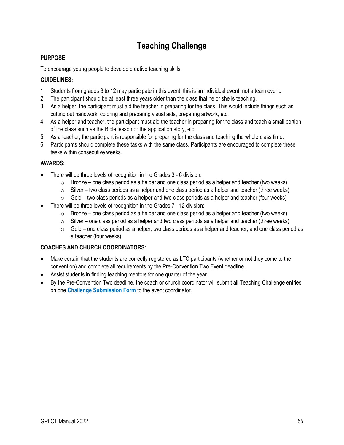### **Teaching Challenge**

### **PURPOSE:**

To encourage young people to develop creative teaching skills.

### **GUIDELINES:**

- 1. Students from grades 3 to 12 may participate in this event; this is an individual event, not a team event.
- 2. The participant should be at least three years older than the class that he or she is teaching.
- 3. As a helper, the participant must aid the teacher in preparing for the class. This would include things such as cutting out handwork, coloring and preparing visual aids, preparing artwork, etc.
- 4. As a helper and teacher, the participant must aid the teacher in preparing for the class and teach a small portion of the class such as the Bible lesson or the application story, etc.
- 5. As a teacher, the participant is responsible for preparing for the class and teaching the whole class time.
- 6. Participants should complete these tasks with the same class. Participants are encouraged to complete these tasks within consecutive weeks.

### **AWARDS:**

- There will be three levels of recognition in the Grades 3 6 division:
	- $\circ$  Bronze one class period as a helper and one class period as a helper and teacher (two weeks)
	- $\circ$  Silver two class periods as a helper and one class period as a helper and teacher (three weeks)
	- $\circ$  Gold two class periods as a helper and two class periods as a helper and teacher (four weeks)
- There will be three levels of recognition in the Grades 7 12 division:
	- $\circ$  Bronze one class period as a helper and one class period as a helper and teacher (two weeks)
	- $\circ$  Silver one class period as a helper and two class periods as a helper and teacher (three weeks)
	- o Gold one class period as a helper, two class periods as a helper and teacher, and one class period as a teacher (four weeks)

- Make certain that the students are correctly registered as LTC participants (whether or not they come to the convention) and complete all requirements by the Pre-Convention Two Event deadline.
- Assist students in finding teaching mentors for one quarter of the year.
- By the Pre-Convention Two deadline, the coach or church coordinator will submit all Teaching Challenge entries on one **[Challenge Submission Form](#page-46-0)** to the event coordinator.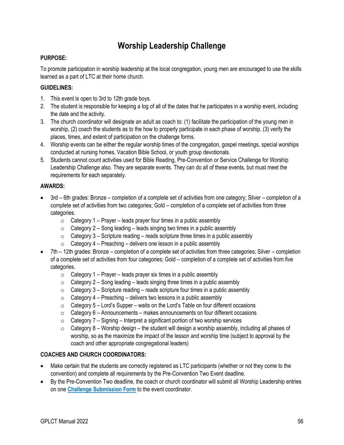### **Worship Leadership Challenge**

### **PURPOSE:**

To promote participation in worship leadership at the local congregation, young men are encouraged to use the skills learned as a part of LTC at their home church.

### **GUIDELINES:**

- 1. This event is open to 3rd to 12th grade boys.
- 2. The student is responsible for keeping a log of all of the dates that he participates in a worship event, including the date and the activity.
- 3. The church coordinator will designate an adult as coach to: (1) facilitate the participation of the young men in worship, (2) coach the students as to the how to properly participate in each phase of worship, (3) verify the places, times, and extent of participation on the challenge forms.
- 4. Worship events can be either the regular worship times of the congregation, gospel meetings, special worships conducted at nursing homes, Vacation Bible School, or youth group devotionals.
- 5. Students cannot count activities used for Bible Reading, Pre-Convention or Service Challenge for Worship Leadership Challenge also. They are separate events. They can do all of these events, but must meet the requirements for each separately.

### **AWARDS:**

- 3rd 6th grades: Bronze completion of a complete set of activities from one category; Silver completion of a complete set of activities from two categories; Gold – completion of a complete set of activities from three categories.
	- $\circ$  Category 1 Prayer leads prayer four times in a public assembly
	- $\circ$  Category 2 Song leading leads singing two times in a public assembly
	- $\circ$  Category 3 Scripture reading reads scripture three times in a public assembly
	- $\circ$  Category 4 Preaching delivers one lesson in a public assembly
- 7th 12th grades: Bronze completion of a complete set of activities from three categories; Silver completion of a complete set of activities from four categories; Gold – completion of a complete set of activities from five categories.
	- $\circ$  Category 1 Prayer leads prayer six times in a public assembly
	- $\circ$  Category 2 Song leading leads singing three times in a public assembly
	- $\circ$  Category 3 Scripture reading reads scripture four times in a public assembly
	- $\circ$  Category 4 Preaching delivers two lessons in a public assembly
	- $\circ$  Category 5 Lord's Supper waits on the Lord's Table on four different occasions
	- $\circ$  Category 6 Announcements makes announcements on four different occasions
	- $\circ$  Category 7 Signing Interpret a significant portion of two worship services
	- $\circ$  Category 8 Worship design the student will design a worship assembly, including all phases of worship, so as the maximize the impact of the lesson and worship time (subject to approval by the coach and other appropriate congregational leaders)

- Make certain that the students are correctly registered as LTC participants (whether or not they come to the convention) and complete all requirements by the Pre-Convention Two Event deadline.
- By the Pre-Convention Two deadline, the coach or church coordinator will submit all Worship Leadership entries on one **[Challenge Submission Form](#page-46-0)** to the event coordinator.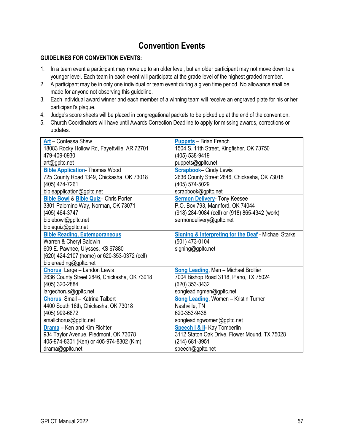### **Convention Events**

### **GUIDELINES FOR CONVENTION EVENTS:**

- 1. In a team event a participant may move up to an older level, but an older participant may not move down to a younger level. Each team in each event will participate at the grade level of the highest graded member.
- 2. A participant may be in only one individual or team event during a given time period. No allowance shall be made for anyone not observing this guideline.
- 3. Each individual award winner and each member of a winning team will receive an engraved plate for his or her participant's plaque.
- 4. Judge's score sheets will be placed in congregational packets to be picked up at the end of the convention.
- 5. Church Coordinators will have until Awards Correction Deadline to apply for missing awards, corrections or updates.

| Art - Contessa Shew                              | <b>Puppets</b> - Brian French                                   |
|--------------------------------------------------|-----------------------------------------------------------------|
| 18083 Rocky Hollow Rd, Fayettville, AR 72701     | 1504 S. 11th Street, Kingfisher, OK 73750                       |
| 479-409-0930                                     | (405) 538-9419                                                  |
| art@gpltc.net                                    | puppets@gpltc.net                                               |
| <b>Bible Application</b> Thomas Wood             | <b>Scrapbook-Cindy Lewis</b>                                    |
| 725 County Road 1349, Chickasha, OK 73018        | 2636 County Street 2846, Chickasha, OK 73018                    |
| (405) 474-7261                                   | (405) 574-5029                                                  |
| bibleapplication@gpltc.net                       | scrapbook@gpltc.net                                             |
| <b>Bible Bowl &amp; Bible Quiz- Chris Porter</b> | <b>Sermon Delivery- Tony Keesee</b>                             |
| 3301 Palomino Way, Norman, OK 73071              | P.O. Box 793, Mannford, OK 74044                                |
| (405) 464-3747                                   | (918) 284-9084 (cell) or (918) 865-4342 (work)                  |
| biblebowl@gpltc.net                              | sermondelivery@gpltc.net                                        |
| biblequiz@gpltc.net                              |                                                                 |
| <b>Bible Reading, Extemporaneous</b>             | <b>Signing &amp; Interpreting for the Deaf - Michael Starks</b> |
| Warren & Cheryl Baldwin                          | (501) 473-0104                                                  |
| 609 E. Pawnee, Ulysses, KS 67880                 | signing@gpltc.net                                               |
| (620) 424-2107 (home) or 620-353-0372 (cell)     |                                                                 |
| biblereading@gpltc.net                           |                                                                 |
| Chorus, Large - Landon Lewis                     | Song Leading, Men - Michael Brollier                            |
| 2636 County Street 2846, Chickasha, OK 73018     | 7004 Bishop Road 3118, Plano, TX 75024                          |
| (405) 320-2884                                   | (620) 353-3432                                                  |
| largechorus@gpltc.net                            | songleadingmen@gpltc.net                                        |
| Chorus, Small - Katrina Talbert                  | <b>Song Leading, Women - Kristin Turner</b>                     |
| 4400 South 16th, Chickasha, OK 73018             | Nashville, TN                                                   |
| (405) 999-6872                                   | 620-353-9438                                                    |
| smallchorus@gpltc.net                            | songleadingwomen@gpltc.net                                      |
| Drama - Ken and Kim Richter                      | <b>Speech I &amp; II-</b> Kay Tomberlin                         |
| 934 Taylor Avenue, Piedmont, OK 73078            | 3112 Staton Oak Drive, Flower Mound, TX 75028                   |
| 405-974-8301 (Ken) or 405-974-8302 (Kim)         | (214) 681-3951                                                  |
| drama@gpltc.net                                  | speech@gpltc.net                                                |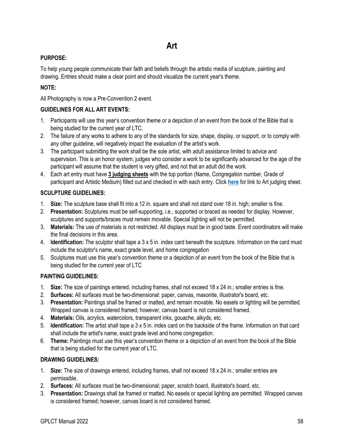### <span id="page-61-0"></span>**PURPOSE:**

To help young people communicate their faith and beliefs through the artistic media of sculpture, painting and drawing. Entries should make a clear point and should visualize the current year's theme.

### **NOTE:**

All Photography is now a Pre-Convention 2 event.

### **GUIDELINES FOR ALL ART EVENTS:**

- 1. Participants will use this year's convention theme or a depiction of an event from the book of the Bible that is being studied for the current year of LTC.
- 2. The failure of any works to adhere to any of the standards for size, shape, display, or support, or to comply with any other guideline, will negatively impact the evaluation of the artist's work.
- 3. The participant submitting the work shall be the sole artist, with adult assistance limited to advice and supervision. This is an honor system; judges who consider a work to be significantly advanced for the age of the participant will assume that the student is very gifted, and not that an adult did the work.
- 4. Each art entry must have **3 judging sheets** with the top portion (Name, Congregation number, Grade of participant and Artistic Medium) filled out and checked in with each entry. Click **[here](http://gpltc.net/judging-sheets/art.pdf)** for link to Art judging sheet.

### **SCULPTURE GUIDELINES:**

- 1. **Size:** The sculpture base shall fit into a 12 in. square and shall not stand over 18 in. high; smaller is fine.
- 2. **Presentation:** Sculptures must be self-supporting, i.e., supported or braced as needed for display. However, sculptures and supports/braces must remain movable. Special lighting will not be permitted.
- 3. **Materials:** The use of materials is not restricted. All displays must be in good taste. Event coordinators will make the final decisions in this area.
- 4. **Identification:** The sculptor shall tape a 3 x 5 in. index card beneath the sculpture. Information on the card must include the sculptor's name, exact grade level, and home congregation
- 5. Sculptures must use this year's convention theme or a depiction of an event from the book of the Bible that is being studied for the current year of LTC

### **PAINTING GUIDELINES:**

- 1. **Size:** The size of paintings entered, including frames, shall not exceed 18 x 24 in.; smaller entries is fine.
- 2. **Surfaces:** All surfaces must be two-dimensional: paper, canvas, masonite, illustrator's board, etc.
- 3. **Presentation:** Paintings shall be framed or matted, and remain movable. No easels or lighting will be permitted. Wrapped canvas is considered framed; however, canvas board is not considered framed.
- 4. **Materials:** Oils, acrylics, watercolors, transparent inks, gouache, alkyds, etc.
- 5. **Identification:** The artist shall tape a 3 x 5 in. index card on the backside of the frame. Information on that card shall include the artist's name, exact grade level and home congregation.
- 6. **Theme:** Paintings must use this year's convention theme or a depiction of an event from the book of the Bible that is being studied for the current year of LTC.

### **DRAWING GUIDELINES:**

- 1. **Size:** The size of drawings entered, including frames, shall not exceed 18 x 24 in.; smaller entries are permissible.
- 2. **Surfaces:** All surfaces must be two-dimensional; paper, scratch board, illustrator's board, etc.
- 3. **Presentation:** Drawings shall be framed or matted. No easels or special lighting are permitted. Wrapped canvas is considered framed; however, canvas board is not considered framed.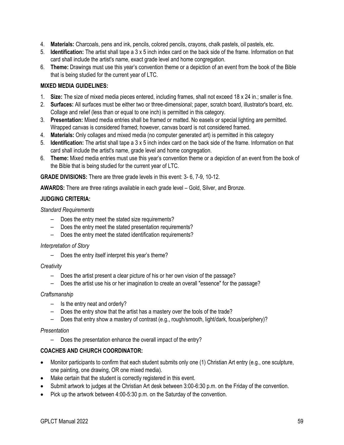- 4. **Materials:** Charcoals, pens and ink, pencils, colored pencils, crayons, chalk pastels, oil pastels, etc.
- 5. **Identification:** The artist shall tape a 3 x 5 inch index card on the back side of the frame. Information on that card shall include the artist's name, exact grade level and home congregation.
- 6. **Theme:** Drawings must use this year's convention theme or a depiction of an event from the book of the Bible that is being studied for the current year of LTC.

#### **MIXED MEDIA GUIDELINES:**

- 1. **Size:** The size of mixed media pieces entered, including frames, shall not exceed 18 x 24 in.; smaller is fine.
- 2. **Surfaces:** All surfaces must be either two or three-dimensional; paper, scratch board, illustrator's board, etc. Collage and relief (less than or equal to one inch) is permitted in this category.
- 3. **Presentation:** Mixed media entries shall be framed or matted. No easels or special lighting are permitted. Wrapped canvas is considered framed; however, canvas board is not considered framed.
- 4. **Materials:** Only collages and mixed media (no computer generated art) is permitted in this category
- 5. **Identification:** The artist shall tape a 3 x 5 inch index card on the back side of the frame. Information on that card shall include the artist's name, grade level and home congregation.
- 6. **Theme:** Mixed media entries must use this year's convention theme or a depiction of an event from the book of the Bible that is being studied for the current year of LTC.

**GRADE DIVISIONS:** There are three grade levels in this event: 3- 6, 7-9, 10-12.

**AWARDS:** There are three ratings available in each grade level – Gold, Silver, and Bronze.

### **JUDGING CRITERIA:**

#### *Standard Requirements*

- Does the entry meet the stated size requirements?
- Does the entry meet the stated presentation requirements?
- Does the entry meet the stated identification requirements?

#### *Interpretation of Story*

– Does the entry itself interpret this year's theme?

#### *Creativity*

- Does the artist present a clear picture of his or her own vision of the passage?
- Does the artist use his or her imagination to create an overall "essence" for the passage?

### *Craftsmanship*

- Is the entry neat and orderly?
- Does the entry show that the artist has a mastery over the tools of the trade?
- Does that entry show a mastery of contrast (e.g., rough/smooth, light/dark, focus/periphery)?

#### *Presentation*

– Does the presentation enhance the overall impact of the entry?

- Monitor participants to confirm that each student submits only one (1) Christian Art entry (e.g., one sculpture, one painting, one drawing, OR one mixed media).
- Make certain that the student is correctly registered in this event.
- Submit artwork to judges at the Christian Art desk between 3:00-6:30 p.m. on the Friday of the convention.
- Pick up the artwork between 4:00-5:30 p.m. on the Saturday of the convention.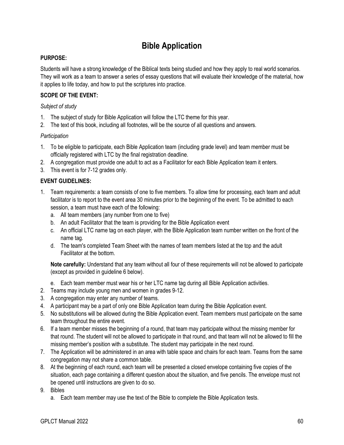### **Bible Application**

### <span id="page-63-0"></span>**PURPOSE:**

Students will have a strong knowledge of the Biblical texts being studied and how they apply to real world scenarios. They will work as a team to answer a series of essay questions that will evaluate their knowledge of the material, how it applies to life today, and how to put the scriptures into practice.

### **SCOPE OF THE EVENT:**

#### *Subject of study*

- 1. The subject of study for Bible Application will follow the LTC theme for this year.
- 2. The text of this book, including all footnotes, will be the source of all questions and answers.

### *Participation*

- 1. To be eligible to participate, each Bible Application team (including grade level) and team member must be officially registered with LTC by the final registration deadline.
- 2. A congregation must provide one adult to act as a Facilitator for each Bible Application team it enters.
- 3. This event is for 7-12 grades only.

### **EVENT GUIDELINES:**

- 1. Team requirements: a team consists of one to five members. To allow time for processing, each team and adult facilitator is to report to the event area 30 minutes prior to the beginning of the event. To be admitted to each session, a team must have each of the following:
	- a. All team members (any number from one to five)
	- b. An adult Facilitator that the team is providing for the Bible Application event
	- c. An official LTC name tag on each player, with the Bible Application team number written on the front of the name tag.
	- d. The team's completed Team Sheet with the names of team members listed at the top and the adult Facilitator at the bottom.

**Note carefully:** Understand that any team without all four of these requirements will not be allowed to participate (except as provided in guideline 6 below).

- e. Each team member must wear his or her LTC name tag during all Bible Application activities.
- 2. Teams may include young men and women in grades 9-12.
- 3. A congregation may enter any number of teams.
- 4. A participant may be a part of only one Bible Application team during the Bible Application event.
- 5. No substitutions will be allowed during the Bible Application event. Team members must participate on the same team throughout the entire event.
- 6. If a team member misses the beginning of a round, that team may participate without the missing member for that round. The student will not be allowed to participate in that round, and that team will not be allowed to fill the missing member's position with a substitute. The student may participate in the next round.
- 7. The Application will be administered in an area with table space and chairs for each team. Teams from the same congregation may not share a common table.
- 8. At the beginning of each round, each team will be presented a closed envelope containing five copies of the situation, each page containing a different question about the situation, and five pencils. The envelope must not be opened until instructions are given to do so.
- 9. Bibles
	- a. Each team member may use the text of the Bible to complete the Bible Application tests.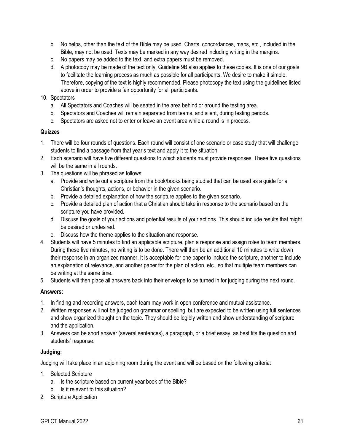- b. No helps, other than the text of the Bible may be used. Charts, concordances, maps, etc., included in the Bible, may not be used. Texts may be marked in any way desired including writing in the margins.
- c. No papers may be added to the text, and extra papers must be removed.
- d. A photocopy may be made of the text only. Guideline 9B also applies to these copies. It is one of our goals to facilitate the learning process as much as possible for all participants. We desire to make it simple. Therefore, copying of the text is highly recommended. Please photocopy the text using the guidelines listed above in order to provide a fair opportunity for all participants.

### 10. Spectators

- a. All Spectators and Coaches will be seated in the area behind or around the testing area.
- b. Spectators and Coaches will remain separated from teams, and silent, during testing periods.
- c. Spectators are asked not to enter or leave an event area while a round is in process.

#### **Quizzes**

- 1. There will be four rounds of questions. Each round will consist of one scenario or case study that will challenge students to find a passage from that year's text and apply it to the situation.
- 2. Each scenario will have five different questions to which students must provide responses. These five questions will be the same in all rounds.
- 3. The questions will be phrased as follows:
	- a. Provide and write out a scripture from the book/books being studied that can be used as a guide for a Christian's thoughts, actions, or behavior in the given scenario.
	- b. Provide a detailed explanation of how the scripture applies to the given scenario.
	- c. Provide a detailed plan of action that a Christian should take in response to the scenario based on the scripture you have provided.
	- d. Discuss the goals of your actions and potential results of your actions. This should include results that might be desired or undesired.
	- e. Discuss how the theme applies to the situation and response.
- 4. Students will have 5 minutes to find an applicable scripture, plan a response and assign roles to team members. During these five minutes, no writing is to be done. There will then be an additional 10 minutes to write down their response in an organized manner. It is acceptable for one paper to include the scripture, another to include an explanation of relevance, and another paper for the plan of action, etc., so that multiple team members can be writing at the same time.
- 5. Students will then place all answers back into their envelope to be turned in for judging during the next round.

### **Answers:**

- 1. In finding and recording answers, each team may work in open conference and mutual assistance.
- 2. Written responses will not be judged on grammar or spelling, but are expected to be written using full sentences and show organized thought on the topic. They should be legibly written and show understanding of scripture and the application.
- 3. Answers can be short answer (several sentences), a paragraph, or a brief essay, as best fits the question and students' response.

### **Judging:**

Judging will take place in an adjoining room during the event and will be based on the following criteria:

- 1. Selected Scripture
	- a. Is the scripture based on current year book of the Bible?
	- b. Is it relevant to this situation?
- 2. Scripture Application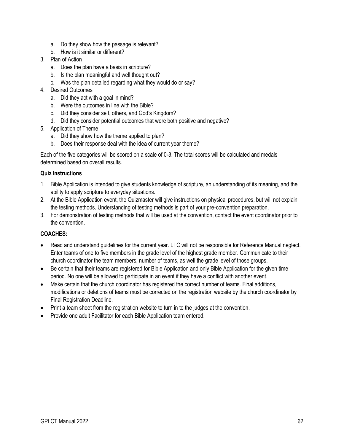- a. Do they show how the passage is relevant?
- b. How is it similar or different?
- 3. Plan of Action
	- a. Does the plan have a basis in scripture?
	- b. Is the plan meaningful and well thought out?
	- c. Was the plan detailed regarding what they would do or say?
- 4. Desired Outcomes
	- a. Did they act with a goal in mind?
	- b. Were the outcomes in line with the Bible?
	- c. Did they consider self, others, and God's Kingdom?
	- d. Did they consider potential outcomes that were both positive and negative?
- 5. Application of Theme
	- a. Did they show how the theme applied to plan?
	- b. Does their response deal with the idea of current year theme?

Each of the five categories will be scored on a scale of 0-3. The total scores will be calculated and medals determined based on overall results.

### **Quiz Instructions**

- 1. Bible Application is intended to give students knowledge of scripture, an understanding of its meaning, and the ability to apply scripture to everyday situations.
- 2. At the Bible Application event, the Quizmaster will give instructions on physical procedures, but will not explain the testing methods. Understanding of testing methods is part of your pre-convention preparation.
- 3. For demonstration of testing methods that will be used at the convention, contact the event coordinator prior to the convention.

### **COACHES:**

- Read and understand guidelines for the current year. LTC will not be responsible for Reference Manual neglect. Enter teams of one to five members in the grade level of the highest grade member. Communicate to their church coordinator the team members, number of teams, as well the grade level of those groups.
- Be certain that their teams are registered for Bible Application and only Bible Application for the given time period. No one will be allowed to participate in an event if they have a conflict with another event.
- Make certain that the church coordinator has registered the correct number of teams. Final additions, modifications or deletions of teams must be corrected on the registration website by the church coordinator by Final Registration Deadline.
- Print a team sheet from the registration website to turn in to the judges at the convention.
- Provide one adult Facilitator for each Bible Application team entered.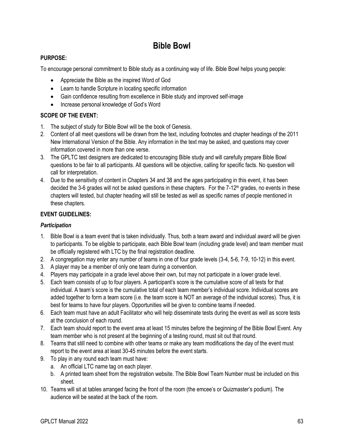### **Bible Bowl**

### <span id="page-66-0"></span>**PURPOSE:**

To encourage personal commitment to Bible study as a continuing way of life. Bible Bowl helps young people:

- Appreciate the Bible as the inspired Word of God
- Learn to handle Scripture in locating specific information
- Gain confidence resulting from excellence in Bible study and improved self-image
- Increase personal knowledge of God's Word

### **SCOPE OF THE EVENT:**

- 1. The subject of study for Bible Bowl will be the book of Genesis.
- 2. Content of all meet questions will be drawn from the text, including footnotes and chapter headings of the 2011 New International Version of the Bible. Any information in the text may be asked, and questions may cover information covered in more than one verse.
- 3. The GPLTC test designers are dedicated to encouraging Bible study and will carefully prepare Bible Bowl questions to be fair to all participants. All questions will be objective, calling for specific facts. No question will call for interpretation.
- 4. Due to the sensitivity of content in Chapters 34 and 38 and the ages participating in this event, it has been decided the 3-6 grades will not be asked questions in these chapters. For the  $7-12<sup>th</sup>$  grades, no events in these chapters will tested, but chapter heading will still be tested as well as specific names of people mentioned in these chapters.

### **EVENT GUIDELINES:**

### *Participation*

- 1. Bible Bowl is a team event that is taken individually. Thus, both a team award and individual award will be given to participants. To be eligible to participate, each Bible Bowl team (including grade level) and team member must be officially registered with LTC by the final registration deadline.
- 2. A congregation may enter any number of teams in one of four grade levels (3-4, 5-6, 7-9, 10-12) in this event.
- 3. A player may be a member of only one team during a convention.
- 4. Players may participate in a grade level above their own, but may not participate in a lower grade level.
- 5. Each team consists of up to four players. A participant's score is the cumulative score of all tests for that individual. A team's score is the cumulative total of each team member's individual score. Individual scores are added together to form a team score (i.e. the team score is NOT an average of the individual scores). Thus, it is best for teams to have four players. Opportunities will be given to combine teams if needed.
- 6. Each team must have an adult Facilitator who will help disseminate tests during the event as well as score tests at the conclusion of each round.
- 7. Each team should report to the event area at least 15 minutes before the beginning of the Bible Bowl Event. Any team member who is not present at the beginning of a testing round, must sit out that round.
- 8. Teams that still need to combine with other teams or make any team modifications the day of the event must report to the event area at least 30-45 minutes before the event starts.
- 9. To play in any round each team must have:
	- a. An official LTC name tag on each player.
	- b. A printed team sheet from the registration website. The Bible Bowl Team Number must be included on this sheet.
- 10. Teams will sit at tables arranged facing the front of the room (the emcee's or Quizmaster's podium). The audience will be seated at the back of the room.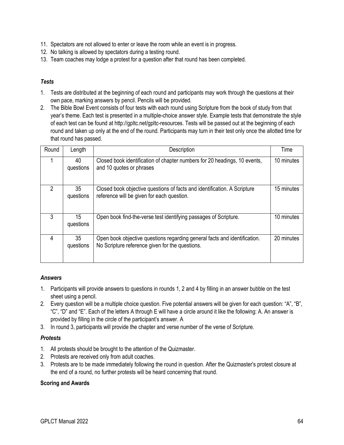- 11. Spectators are not allowed to enter or leave the room while an event is in progress.
- 12. No talking is allowed by spectators during a testing round.
- 13. Team coaches may lodge a protest for a question after that round has been completed.

### *Tests*

- 1. Tests are distributed at the beginning of each round and participants may work through the questions at their own pace, marking answers by pencil. Pencils will be provided.
- 2. The Bible Bowl Event consists of four tests with each round using Scripture from the book of study from that year's theme. Each test is presented in a multiple-choice answer style. Example tests that demonstrate the style of each test can be found at http://gpltc.net/gpltc-resources. Tests will be passed out at the beginning of each round and taken up only at the end of the round. Participants may turn in their test only once the allotted time for that round has passed.

| Round | Length          | Description                                                                                                                  | Time       |
|-------|-----------------|------------------------------------------------------------------------------------------------------------------------------|------------|
|       | 40<br>questions | Closed book identification of chapter numbers for 20 headings, 10 events,<br>and 10 quotes or phrases                        | 10 minutes |
| 2     | 35<br>questions | Closed book objective questions of facts and identification. A Scripture<br>reference will be given for each question.       | 15 minutes |
| 3     | 15<br>questions | Open book find-the-verse test identifying passages of Scripture.                                                             | 10 minutes |
| 4     | 35<br>questions | Open book objective questions regarding general facts and identification.<br>No Scripture reference given for the questions. | 20 minutes |

### *Answers*

- 1. Participants will provide answers to questions in rounds 1, 2 and 4 by filling in an answer bubble on the test sheet using a pencil.
- 2. Every question will be a multiple choice question. Five potential answers will be given for each question: "A", "B", "C", "D" and "E". Each of the letters A through E will have a circle around it like the following: A. An answer is provided by filling in the circle of the participant's answer. A
- 3. In round 3, participants will provide the chapter and verse number of the verse of Scripture.

### *Protests*

- 1. All protests should be brought to the attention of the Quizmaster.
- 2. Protests are received only from adult coaches.
- 3. Protests are to be made immediately following the round in question. After the Quizmaster's protest closure at the end of a round, no further protests will be heard concerning that round.

### **Scoring and Awards**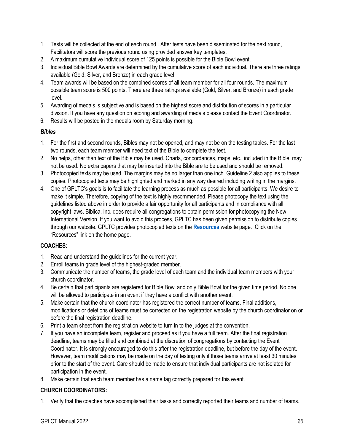- 1. Tests will be collected at the end of each round . After tests have been disseminated for the next round, Facilitators will score the previous round using provided answer key templates.
- 2. A maximum cumulative individual score of 125 points is possible for the Bible Bowl event.
- 3. Individual Bible Bowl Awards are determined by the cumulative score of each individual. There are three ratings available (Gold, Silver, and Bronze) in each grade level.
- 4. Team awards will be based on the combined scores of all team member for all four rounds. The maximum possible team score is 500 points. There are three ratings available (Gold, Silver, and Bronze) in each grade level.
- 5. Awarding of medals is subjective and is based on the highest score and distribution of scores in a particular division. If you have any question on scoring and awarding of medals please contact the Event Coordinator.
- 6. Results will be posted in the medals room by Saturday morning.

### *Bibles*

- 1. For the first and second rounds, Bibles may not be opened, and may not be on the testing tables. For the last two rounds, each team member will need text of the Bible to complete the test.
- 2. No helps, other than text of the Bible may be used. Charts, concordances, maps, etc., included in the Bible, may not be used. No extra papers that may be inserted into the Bible are to be used and should be removed.
- 3. Photocopied texts may be used. The margins may be no larger than one inch. Guideline 2 also applies to these copies. Photocopied texts may be highlighted and marked in any way desired including writing in the margins.
- 4. One of GPLTC's goals is to facilitate the learning process as much as possible for all participants. We desire to make it simple. Therefore, copying of the text is highly recommended. Please photocopy the text using the guidelines listed above in order to provide a fair opportunity for all participants and in compliance with all copyright laws. Biblica, Inc. does require all congregations to obtain permission for photocopying the New International Version. If you want to avoid this process, GPLTC has been given permission to distribute copies through our website. GPLTC provides photocopied texts on the **[Resources](http://gpltc.net/gpltc-resources/)** website page. Click on the "Resources" link on the home page.

### **COACHES:**

- 1. Read and understand the guidelines for the current year.
- 2. Enroll teams in grade level of the highest-graded member.
- 3. Communicate the number of teams, the grade level of each team and the individual team members with your church coordinator.
- 4. Be certain that participants are registered for Bible Bowl and only Bible Bowl for the given time period. No one will be allowed to participate in an event if they have a conflict with another event.
- 5. Make certain that the church coordinator has registered the correct number of teams. Final additions, modifications or deletions of teams must be corrected on the registration website by the church coordinator on or before the final registration deadline.
- 6. Print a team sheet from the registration website to turn in to the judges at the convention.
- 7. If you have an incomplete team, register and proceed as if you have a full team. After the final registration deadline, teams may be filled and combined at the discretion of congregations by contacting the Event Coordinator. It is strongly encouraged to do this after the registration deadline, but before the day of the event. However, team modifications may be made on the day of testing only if those teams arrive at least 30 minutes prior to the start of the event. Care should be made to ensure that individual participants are not isolated for participation in the event.
- 8. Make certain that each team member has a name tag correctly prepared for this event.

### **CHURCH COORDINATORS:**

1. Verify that the coaches have accomplished their tasks and correctly reported their teams and number of teams.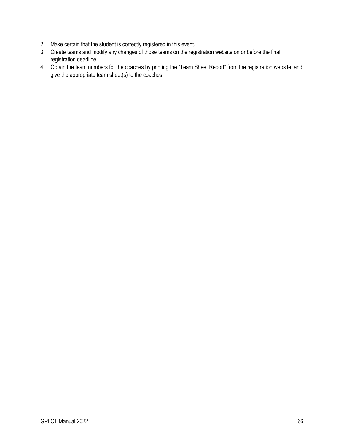- 2. Make certain that the student is correctly registered in this event.
- 3. Create teams and modify any changes of those teams on the registration website on or before the final registration deadline.
- 4. Obtain the team numbers for the coaches by printing the "Team Sheet Report" from the registration website, and give the appropriate team sheet(s) to the coaches.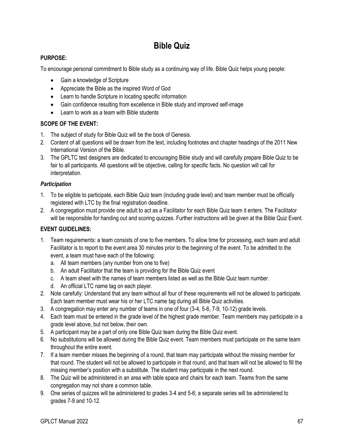### **Bible Quiz**

### <span id="page-70-0"></span>**PURPOSE:**

To encourage personal commitment to Bible study as a continuing way of life. Bible Quiz helps young people:

- Gain a knowledge of Scripture
- Appreciate the Bible as the inspired Word of God
- Learn to handle Scripture in locating specific information
- Gain confidence resulting from excellence in Bible study and improved self-image
- Learn to work as a team with Bible students

### **SCOPE OF THE EVENT:**

- 1. The subject of study for Bible Quiz will be the book of Genesis.
- 2. Content of all questions will be drawn from the text, including footnotes and chapter headings of the 2011 New International Version of the Bible.
- 3. The GPLTC test designers are dedicated to encouraging Bible study and will carefully prepare Bible Quiz to be fair to all participants. All questions will be objective, calling for specific facts. No question will call for interpretation.

### *Participation*

- 1. To be eligible to participate, each Bible Quiz team (including grade level) and team member must be officially registered with LTC by the final registration deadline.
- 2. A congregation must provide one adult to act as a Facilitator for each Bible Quiz team it enters. The Facilitator will be responsible for handing out and scoring quizzes. Further instructions will be given at the Bible Quiz Event.

### **EVENT GUIDELINES:**

- 1. Team requirements: a team consists of one to five members. To allow time for processing, each team and adult Facilitator is to report to the event area 30 minutes prior to the beginning of the event. To be admitted to the event, a team must have each of the following:
	- a. All team members (any number from one to five)
	- b. An adult Facilitator that the team is providing for the Bible Quiz event
	- c. A team sheet with the names of team members listed as well as the Bible Quiz team number.
	- d. An official LTC name tag on each player.
- 2. Note carefully: Understand that any team without all four of these requirements will not be allowed to participate. Each team member must wear his or her LTC name tag during all Bible Quiz activities.
- 3. A congregation may enter any number of teams in one of four (3-4, 5-6, 7-9, 10-12) grade levels.
- 4. Each team must be entered in the grade level of the highest grade member. Team members may participate in a grade level above, but not below, their own.
- 5. A participant may be a part of only one Bible Quiz team during the Bible Quiz event.
- 6. No substitutions will be allowed during the Bible Quiz event. Team members must participate on the same team throughout the entire event.
- 7. If a team member misses the beginning of a round, that team may participate without the missing member for that round. The student will not be allowed to participate in that round, and that team will not be allowed to fill the missing member's position with a substitute. The student may participate in the next round.
- 8. The Quiz will be administered in an area with table space and chairs for each team. Teams from the same congregation may not share a common table.
- 9. One series of quizzes will be administered to grades 3-4 and 5-6; a separate series will be administered to grades 7-9 and 10-12.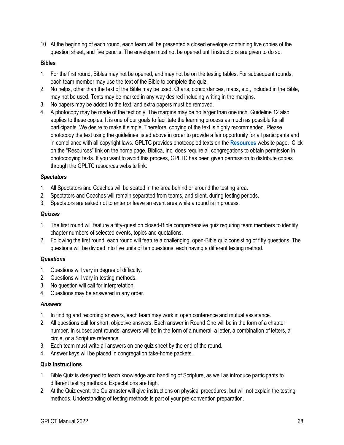10. At the beginning of each round, each team will be presented a closed envelope containing five copies of the question sheet, and five pencils. The envelope must not be opened until instructions are given to do so.

#### **Bibles**

- 1. For the first round, Bibles may not be opened, and may not be on the testing tables. For subsequent rounds, each team member may use the text of the Bible to complete the quiz.
- 2. No helps, other than the text of the Bible may be used. Charts, concordances, maps, etc., included in the Bible, may not be used. Texts may be marked in any way desired including writing in the margins.
- 3. No papers may be added to the text, and extra papers must be removed.
- 4. A photocopy may be made of the text only. The margins may be no larger than one inch. Guideline 12 also applies to these copies. It is one of our goals to facilitate the learning process as much as possible for all participants. We desire to make it simple. Therefore, copying of the text is highly recommended. Please photocopy the text using the guidelines listed above in order to provide a fair opportunity for all participants and in compliance with all copyright laws. GPLTC provides photocopied texts on the **[Resources](http://gpltc.net/gpltc-resources/)** website page. Click on the "Resources" link on the home page. Biblica, Inc. does require all congregations to obtain permission in photocopying texts. If you want to avoid this process, GPLTC has been given permission to distribute copies through the GPLTC resources website link.

#### *Spectators*

- 1. All Spectators and Coaches will be seated in the area behind or around the testing area.
- 2. Spectators and Coaches will remain separated from teams, and silent, during testing periods.
- 3. Spectators are asked not to enter or leave an event area while a round is in process.

#### *Quizzes*

- 1. The first round will feature a fifty-question closed-Bible comprehensive quiz requiring team members to identify chapter numbers of selected events, topics and quotations.
- 2. Following the first round, each round will feature a challenging, open-Bible quiz consisting of fifty questions. The questions will be divided into five units of ten questions, each having a different testing method.

### *Questions*

- 1. Questions will vary in degree of difficulty.
- 2. Questions will vary in testing methods.
- 3. No question will call for interpretation.
- 4. Questions may be answered in any order.

#### *Answers*

- 1. In finding and recording answers, each team may work in open conference and mutual assistance.
- 2. All questions call for short, objective answers. Each answer in Round One will be in the form of a chapter number. In subsequent rounds, answers will be in the form of a numeral, a letter, a combination of letters, a circle, or a Scripture reference.
- 3. Each team must write all answers on one quiz sheet by the end of the round.
- 4. Answer keys will be placed in congregation take-home packets.

#### **Quiz Instructions**

- 1. Bible Quiz is designed to teach knowledge and handling of Scripture, as well as introduce participants to different testing methods. Expectations are high.
- 2. At the Quiz event, the Quizmaster will give instructions on physical procedures, but will not explain the testing methods. Understanding of testing methods is part of your pre-convention preparation.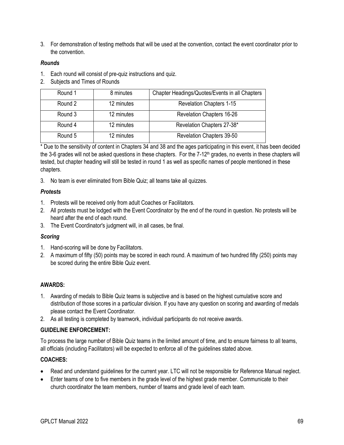3. For demonstration of testing methods that will be used at the convention, contact the event coordinator prior to the convention.

#### *Rounds*

- 1. Each round will consist of pre-quiz instructions and quiz.
- 2. Subjects and Times of Rounds

| Round 1 | 8 minutes  | Chapter Headings/Quotes/Events in all Chapters |  |  |  |  |
|---------|------------|------------------------------------------------|--|--|--|--|
| Round 2 | 12 minutes | <b>Revelation Chapters 1-15</b>                |  |  |  |  |
| Round 3 | 12 minutes | <b>Revelation Chapters 16-26</b>               |  |  |  |  |
| Round 4 | 12 minutes | Revelation Chapters 27-38*                     |  |  |  |  |
| Round 5 | 12 minutes | Revelation Chapters 39-50                      |  |  |  |  |

\* Due to the sensitivity of content in Chapters 34 and 38 and the ages participating in this event, it has been decided the 3-6 grades will not be asked questions in these chapters. For the 7-12<sup>th</sup> grades, no events in these chapters will tested, but chapter heading will still be tested in round 1 as well as specific names of people mentioned in these chapters.

3. No team is ever eliminated from Bible Quiz; all teams take all quizzes.

#### *Protests*

- 1. Protests will be received only from adult Coaches or Facilitators.
- 2. All protests must be lodged with the Event Coordinator by the end of the round in question. No protests will be heard after the end of each round.
- 3. The Event Coordinator's judgment will, in all cases, be final.

#### *Scoring*

- 1. Hand-scoring will be done by Facilitators.
- 2. A maximum of fifty (50) points may be scored in each round. A maximum of two hundred fifty (250) points may be scored during the entire Bible Quiz event.

#### **AWARDS:**

- 1. Awarding of medals to Bible Quiz teams is subjective and is based on the highest cumulative score and distribution of those scores in a particular division. If you have any question on scoring and awarding of medals please contact the Event Coordinator.
- 2. As all testing is completed by teamwork, individual participants do not receive awards.

#### **GUIDELINE ENFORCEMENT:**

To process the large number of Bible Quiz teams in the limited amount of time, and to ensure fairness to all teams, all officials (including Facilitators) will be expected to enforce all of the guidelines stated above.

### **COACHES:**

- Read and understand guidelines for the current year. LTC will not be responsible for Reference Manual neglect.
- Enter teams of one to five members in the grade level of the highest grade member. Communicate to their church coordinator the team members, number of teams and grade level of each team.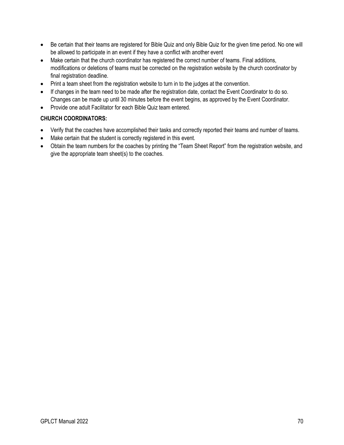- Be certain that their teams are registered for Bible Quiz and only Bible Quiz for the given time period. No one will be allowed to participate in an event if they have a conflict with another event
- Make certain that the church coordinator has registered the correct number of teams. Final additions, modifications or deletions of teams must be corrected on the registration website by the church coordinator by final registration deadline.
- Print a team sheet from the registration website to turn in to the judges at the convention.
- If changes in the team need to be made after the registration date, contact the Event Coordinator to do so. Changes can be made up until 30 minutes before the event begins, as approved by the Event Coordinator.
- Provide one adult Facilitator for each Bible Quiz team entered.

#### **CHURCH COORDINATORS:**

- Verify that the coaches have accomplished their tasks and correctly reported their teams and number of teams.
- Make certain that the student is correctly registered in this event.
- Obtain the team numbers for the coaches by printing the "Team Sheet Report" from the registration website, and give the appropriate team sheet(s) to the coaches.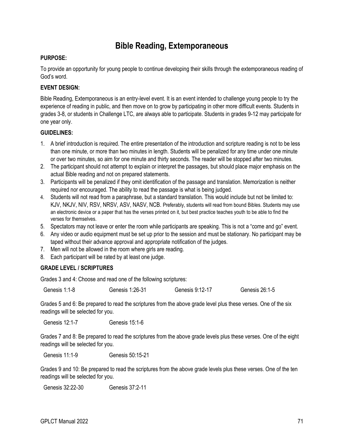# **Bible Reading, Extemporaneous**

#### **PURPOSE:**

To provide an opportunity for young people to continue developing their skills through the extemporaneous reading of God's word.

#### **EVENT DESIGN:**

Bible Reading, Extemporaneous is an entry-level event. It is an event intended to challenge young people to try the experience of reading in public, and then move on to grow by participating in other more difficult events. Students in grades 3-8, or students in Challenge LTC, are always able to participate. Students in grades 9-12 may participate for one year only.

#### **GUIDELINES:**

- 1. A brief introduction is required. The entire presentation of the introduction and scripture reading is not to be less than one minute, or more than two minutes in length. Students will be penalized for any time under one minute or over two minutes, so aim for one minute and thirty seconds. The reader will be stopped after two minutes.
- 2. The participant should not attempt to explain or interpret the passages, but should place major emphasis on the actual Bible reading and not on prepared statements.
- 3. Participants will be penalized if they omit identification of the passage and translation. Memorization is neither required nor encouraged. The ability to read the passage is what is being judged.
- 4. Students will not read from a paraphrase, but a standard translation. This would include but not be limited to: KJV, NKJV, NIV, RSV, NRSV, ASV, NASV, NCB. Preferably, students will read from bound Bibles. Students may use an electronic device or a paper that has the verses printed on it, but best practice teaches youth to be able to find the verses for themselves.
- 5. Spectators may not leave or enter the room while participants are speaking. This is not a "come and go" event.
- 6. Any video or audio equipment must be set up prior to the session and must be stationary. No participant may be taped without their advance approval and appropriate notification of the judges.
- 7. Men will not be allowed in the room where girls are reading.
- 8. Each participant will be rated by at least one judge.

#### **GRADE LEVEL / SCRIPTURES**

Grades 3 and 4: Choose and read one of the following scriptures:

Genesis 1:1-8 Genesis 1:26-31 Genesis 9:12-17 Genesis 26:1-5

Grades 5 and 6: Be prepared to read the scriptures from the above grade level plus these verses. One of the six readings will be selected for you.

Genesis 12:1-7 Genesis 15:1-6

Grades 7 and 8: Be prepared to read the scriptures from the above grade levels plus these verses. One of the eight readings will be selected for you.

Genesis 11:1-9 Genesis 50:15-21

Grades 9 and 10: Be prepared to read the scriptures from the above grade levels plus these verses. One of the ten readings will be selected for you.

Genesis 32:22-30 Genesis 37:2-11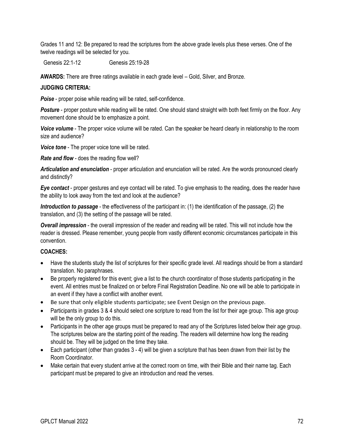Grades 11 and 12: Be prepared to read the scriptures from the above grade levels plus these verses. One of the twelve readings will be selected for you.

Genesis 22:1-12 Genesis 25:19-28

**AWARDS:** There are three ratings available in each grade level – Gold, Silver, and Bronze.

#### **JUDGING CRITERIA:**

**Poise** - proper poise while reading will be rated, self-confidence.

**Posture** - proper posture while reading will be rated. One should stand straight with both feet firmly on the floor. Any movement done should be to emphasize a point.

*Voice volume* - The proper voice volume will be rated. Can the speaker be heard clearly in relationship to the room size and audience?

*Voice tone* - The proper voice tone will be rated.

*Rate and flow* - does the reading flow well?

*Articulation and enunciation* - proper articulation and enunciation will be rated. Are the words pronounced clearly and distinctly?

*Eye contact* - proper gestures and eye contact will be rated. To give emphasis to the reading, does the reader have the ability to look away from the text and look at the audience?

*Introduction to passage* - the effectiveness of the participant in: (1) the identification of the passage, (2) the translation, and (3) the setting of the passage will be rated.

*Overall impression* - the overall impression of the reader and reading will be rated. This will not include how the reader is dressed. Please remember, young people from vastly different economic circumstances participate in this convention.

#### **COACHES:**

- Have the students study the list of scriptures for their specific grade level. All readings should be from a standard translation. No paraphrases.
- Be properly registered for this event; give a list to the church coordinator of those students participating in the event. All entries must be finalized on or before Final Registration Deadline. No one will be able to participate in an event if they have a conflict with another event.
- Be sure that only eligible students participate; see Event Design on the previous page.
- Participants in grades 3 & 4 should select one scripture to read from the list for their age group. This age group will be the only group to do this.
- Participants in the other age groups must be prepared to read any of the Scriptures listed below their age group. The scriptures below are the starting point of the reading. The readers will determine how long the reading should be. They will be judged on the time they take.
- Each participant (other than grades 3 4) will be given a scripture that has been drawn from their list by the Room Coordinator.
- Make certain that every student arrive at the correct room on time, with their Bible and their name tag. Each participant must be prepared to give an introduction and read the verses.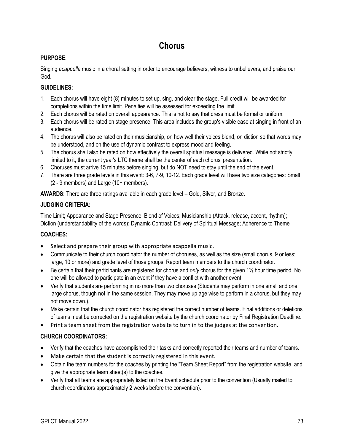# **Chorus**

# **PURPOSE**:

Singing *acappella* music in a choral setting in order to encourage believers, witness to unbelievers, and praise our God.

# **GUIDELINES:**

- 1. Each chorus will have eight (8) minutes to set up, sing, and clear the stage. Full credit will be awarded for completions within the time limit. Penalties will be assessed for exceeding the limit.
- 2. Each chorus will be rated on overall appearance. This is not to say that dress must be formal or uniform.
- 3. Each chorus will be rated on stage presence. This area includes the group's visible ease at singing in front of an audience.
- 4. The chorus will also be rated on their musicianship, on how well their voices blend, on diction so that words may be understood, and on the use of dynamic contrast to express mood and feeling.
- 5. The chorus shall also be rated on how effectively the overall spiritual message is delivered. While not strictly limited to it, the current year's LTC theme shall be the center of each chorus' presentation.
- 6. Choruses must arrive 15 minutes before singing, but do NOT need to stay until the end of the event.
- 7. There are three grade levels in this event: 3-6, 7-9, 10-12. Each grade level will have two size categories: Small (2 - 9 members) and Large (10+ members).

**AWARDS:** There are three ratings available in each grade level – Gold, Silver, and Bronze.

# **JUDGING CRITERIA:**

Time Limit; Appearance and Stage Presence; Blend of Voices; Musicianship (Attack, release, accent, rhythm); Diction (understandability of the words); Dynamic Contrast; Delivery of Spiritual Message; Adherence to Theme

# **COACHES:**

- Select and prepare their group with appropriate acappella music.
- Communicate to their church coordinator the number of choruses, as well as the size (small chorus, 9 or less; large, 10 or more) and grade level of those groups. Report team members to the church coordinator.
- Be certain that their participants are registered for chorus and *only* chorus for the given 1½ hour time period. No one will be allowed to participate in an event if they have a conflict with another event.
- Verify that students are performing in no more than two choruses (Students may perform in one small and one large chorus, though not in the same session. They may move up age wise to perform in a chorus, but they may not move down.).
- Make certain that the church coordinator has registered the correct number of teams. Final additions or deletions of teams must be corrected on the registration website by the church coordinator by Final Registration Deadline.
- Print a team sheet from the registration website to turn in to the judges at the convention.

# **CHURCH COORDINATORS:**

- Verify that the coaches have accomplished their tasks and correctly reported their teams and number of teams.
- Make certain that the student is correctly registered in this event.
- Obtain the team numbers for the coaches by printing the "Team Sheet Report" from the registration website, and give the appropriate team sheet(s) to the coaches.
- Verify that all teams are appropriately listed on the Event schedule prior to the convention (Usually mailed to church coordinators approximately 2 weeks before the convention).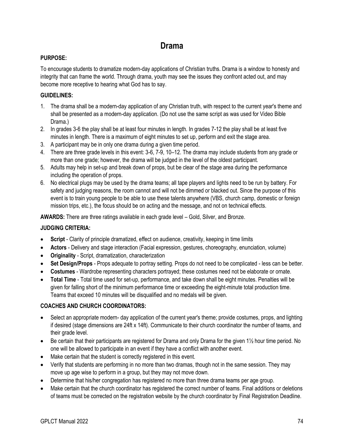# **Drama**

### **PURPOSE:**

To encourage students to dramatize modern-day applications of Christian truths. Drama is a window to honesty and integrity that can frame the world. Through drama, youth may see the issues they confront acted out, and may become more receptive to hearing what God has to say.

### **GUIDELINES:**

- 1. The drama shall be a modern-day application of any Christian truth, with respect to the current year's theme and shall be presented as a modern-day application. (Do not use the same script as was used for Video Bible Drama.)
- 2. In grades 3-6 the play shall be at least four minutes in length. In grades 7-12 the play shall be at least five minutes in length. There is a maximum of eight minutes to set up, perform and exit the stage area.
- 3. A participant may be in only one drama during a given time period.
- 4. There are three grade levels in this event: 3-6, 7-9, 10–12. The drama may include students from any grade or more than one grade; however, the drama will be judged in the level of the oldest participant.
- 5. Adults may help in set-up and break down of props, but be clear of the stage area during the performance including the operation of props.
- 6. No electrical plugs may be used by the drama teams; all tape players and lights need to be run by battery. For safety and judging reasons, the room cannot and will not be dimmed or blacked out. Since the purpose of this event is to train young people to be able to use these talents anywhere (VBS, church camp, domestic or foreign mission trips, etc.), the focus should be on acting and the message, and not on technical effects.

**AWARDS:** There are three ratings available in each grade level – Gold, Silver, and Bronze.

## **JUDGING CRITERIA:**

- **Script** Clarity of principle dramatized, effect on audience, creativity, keeping in time limits
- **Actors** Delivery and stage interaction (Facial expression, gestures, choreography, enunciation, volume)
- **Originality** Script, dramatization, characterization
- **Set Design/Props** Props adequate to portray setting. Props do not need to be complicated less can be better.
- **Costumes** Wardrobe representing characters portrayed; these costumes need not be elaborate or ornate.
- **Total Time** Total time used for set-up, performance, and take down shall be eight minutes. Penalties will be given for falling short of the minimum performance time or exceeding the eight-minute total production time. Teams that exceed 10 minutes will be disqualified and no medals will be given.

## **COACHES AND CHURCH COORDINATORS:**

- Select an appropriate modern- day application of the current year's theme; provide costumes, props, and lighting if desired (stage dimensions are 24ft x 14ft). Communicate to their church coordinator the number of teams, and their grade level.
- Be certain that their participants are registered for Drama and only Drama for the given 1½ hour time period. No one will be allowed to participate in an event if they have a conflict with another event.
- Make certain that the student is correctly registered in this event.
- Verify that students are performing in no more than two dramas, though not in the same session. They may move up age wise to perform in a group, but they may not move down.
- Determine that his/her congregation has registered no more than three drama teams per age group.
- Make certain that the church coordinator has registered the correct number of teams. Final additions or deletions of teams must be corrected on the registration website by the church coordinator by Final Registration Deadline.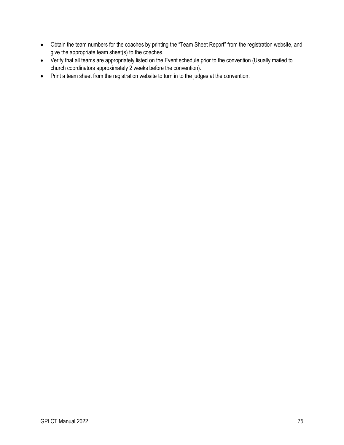- Obtain the team numbers for the coaches by printing the "Team Sheet Report" from the registration website, and give the appropriate team sheet(s) to the coaches.
- Verify that all teams are appropriately listed on the Event schedule prior to the convention (Usually mailed to church coordinators approximately 2 weeks before the convention).
- Print a team sheet from the registration website to turn in to the judges at the convention.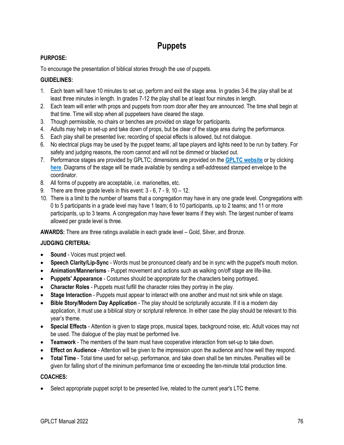# **Puppets**

## **PURPOSE:**

To encourage the presentation of biblical stories through the use of puppets.

#### **GUIDELINES:**

- 1. Each team will have 10 minutes to set up, perform and exit the stage area. In grades 3-6 the play shall be at least three minutes in length. In grades 7-12 the play shall be at least four minutes in length.
- 2. Each team will enter with props and puppets from room door after they are announced. The time shall begin at that time. Time will stop when all puppeteers have cleared the stage.
- 3. Though permissible, no chairs or benches are provided on stage for participants.
- 4. Adults may help in set-up and take down of props, but be clear of the stage area during the performance.
- 5. Each play shall be presented live; recording of special effects is allowed, but not dialogue.
- 6. No electrical plugs may be used by the puppet teams; all tape players and lights need to be run by battery. For safety and judging reasons, the room cannot and will not be dimmed or blacked out.
- 7. Performance stages are provided by GPLTC; dimensions are provided on the **[GPLTC website](https://gpltc.net/)** or by clicking **[here](http://gpltc.net/gpltc-resources/puppetroom.pdf)**. Diagrams of the stage will be made available by sending a self-addressed stamped envelope to the coordinator.
- 8. All forms of puppetry are acceptable, i.e. marionettes, etc.
- 9. There are three grade levels in this event:  $3 6$ ,  $7 9$ ,  $10 12$ .
- 10. There is a limit to the number of teams that a congregation may have in any one grade level. Congregations with 0 to 5 participants in a grade level may have 1 team; 6 to 10 participants, up to 2 teams; and 11 or more participants, up to 3 teams. A congregation may have fewer teams if they wish. The largest number of teams allowed per grade level is three.

**AWARDS:** There are three ratings available in each grade level – Gold, Silver, and Bronze.

#### **JUDGING CRITERIA:**

- **Sound**  Voices must project well.
- **Speech Clarity/Lip-Sync** Words must be pronounced clearly and be in sync with the puppet's mouth motion.
- **Animation/Mannerisms** Puppet movement and actions such as walking on/off stage are life-like.
- **Puppets' Appearance** Costumes should be appropriate for the characters being portrayed.
- **Character Roles** Puppets must fulfill the character roles they portray in the play.
- **Stage Interaction** Puppets must appear to interact with one another and must not sink while on stage.
- **Bible Story/Modern Day Application** The play should be scripturally accurate. If it is a modern day application, it must use a biblical story or scriptural reference. In either case the play should be relevant to this year's theme.
- **Special Effects** Attention is given to stage props, musical tapes, background noise, etc. Adult voices may not be used. The dialogue of the play must be performed live.
- **Teamwork** The members of the team must have cooperative interaction from set-up to take down.
- **Effect on Audience** Attention will be given to the impression upon the audience and how well they respond.
- **Total Time** Total time used for set-up, performance, and take down shall be ten minutes. Penalties will be given for falling short of the minimum performance time or exceeding the ten-minute total production time.

#### **COACHES:**

• Select appropriate puppet script to be presented live, related to the current year's LTC theme.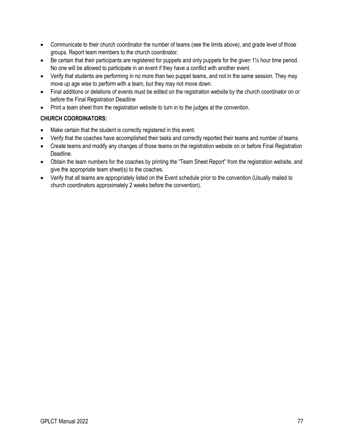- Communicate to their church coordinator the number of teams (see the limits above), and grade level of those groups. Report team members to the church coordinator.
- Be certain that their participants are registered for puppets and only puppets for the given 1½ hour time period. No one will be allowed to participate in an event if they have a conflict with another event.
- Verify that students are performing in no more than two puppet teams, and not in the same session. They may move up age wise to perform with a team, but they may not move down.
- Final additions or deletions of events must be edited on the registration website by the church coordinator on or before the Final Registration Deadline
- Print a team sheet from the registration website to turn in to the judges at the convention.

## **CHURCH COORDINATORS:**

- Make certain that the student is correctly registered in this event.
- Verify that the coaches have accomplished their tasks and correctly reported their teams and number of teams.
- Create teams and modify any changes of those teams on the registration website on or before Final Registration Deadline.
- Obtain the team numbers for the coaches by printing the "Team Sheet Report" from the registration website, and give the appropriate team sheet(s) to the coaches.
- Verify that all teams are appropriately listed on the Event schedule prior to the convention (Usually mailed to church coordinators approximately 2 weeks before the convention).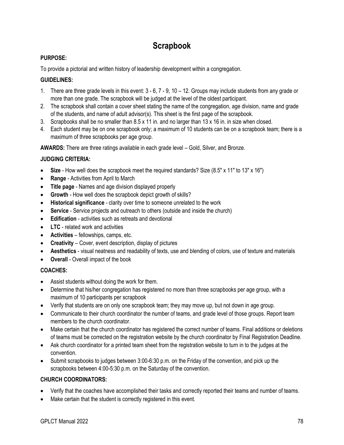# **Scrapbook**

### **PURPOSE:**

To provide a pictorial and written history of leadership development within a congregation.

#### **GUIDELINES:**

- 1. There are three grade levels in this event: 3 6, 7 9, 10 12. Groups may include students from any grade or more than one grade. The scrapbook will be judged at the level of the oldest participant.
- 2. The scrapbook shall contain a cover sheet stating the name of the congregation, age division, name and grade of the students, and name of adult advisor(s). This sheet is the first page of the scrapbook.
- 3. Scrapbooks shall be no smaller than 8.5 x 11 in. and no larger than 13 x 16 in. in size when closed.
- 4. Each student may be on one scrapbook only; a maximum of 10 students can be on a scrapbook team; there is a maximum of three scrapbooks per age group.

**AWARDS:** There are three ratings available in each grade level – Gold, Silver, and Bronze.

#### **JUDGING CRITERIA:**

- **Size** How well does the scrapbook meet the required standards? Size (8.5" x 11" to 13" x 16")
- **Range** Activities from April to March
- **Title page** Names and age division displayed properly
- **Growth** How well does the scrapbook depict growth of skills?
- **Historical significance** clarity over time to someone unrelated to the work
- **Service** Service projects and outreach to others (outside and inside the church)
- **Edification** activities such as retreats and devotional
- **LTC** related work and activities
- **Activities** fellowships, camps, etc.
- **Creativity** Cover, event description, display of pictures
- **Aesthetics** visual neatness and readability of texts, use and blending of colors, use of texture and materials
- **Overall** Overall impact of the book

#### **COACHES:**

- Assist students without doing the work for them.
- Determine that his/her congregation has registered no more than three scrapbooks per age group, with a maximum of 10 participants per scrapbook
- Verify that students are on only one scrapbook team; they may move up, but not down in age group.
- Communicate to their church coordinator the number of teams, and grade level of those groups. Report team members to the church coordinator.
- Make certain that the church coordinator has registered the correct number of teams. Final additions or deletions of teams must be corrected on the registration website by the church coordinator by Final Registration Deadline.
- Ask church coordinator for a printed team sheet from the registration website to turn in to the judges at the convention.
- Submit scrapbooks to judges between 3:00-6:30 p.m. on the Friday of the convention, and pick up the scrapbooks between 4:00-5:30 p.m. on the Saturday of the convention.

## **CHURCH COORDINATORS:**

- Verify that the coaches have accomplished their tasks and correctly reported their teams and number of teams.
- Make certain that the student is correctly registered in this event.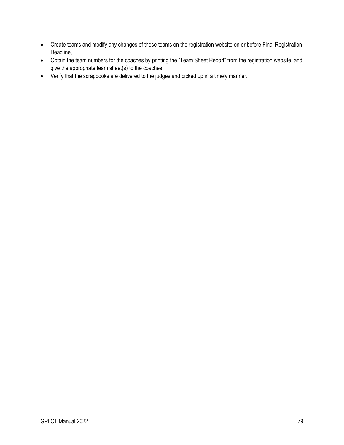- Create teams and modify any changes of those teams on the registration website on or before Final Registration Deadline,
- Obtain the team numbers for the coaches by printing the "Team Sheet Report" from the registration website, and give the appropriate team sheet(s) to the coaches.
- Verify that the scrapbooks are delivered to the judges and picked up in a timely manner.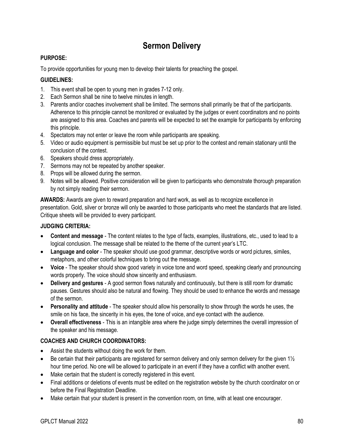# **Sermon Delivery**

### **PURPOSE:**

To provide opportunities for young men to develop their talents for preaching the gospel.

### **GUIDELINES:**

- 1. This event shall be open to young men in grades 7-12 only.
- 2. Each Sermon shall be nine to twelve minutes in length.
- 3. Parents and/or coaches involvement shall be limited. The sermons shall primarily be that of the participants. Adherence to this principle cannot be monitored or evaluated by the judges or event coordinators and no points are assigned to this area. Coaches and parents will be expected to set the example for participants by enforcing this principle.
- 4. Spectators may not enter or leave the room while participants are speaking.
- 5. Video or audio equipment is permissible but must be set up prior to the contest and remain stationary until the conclusion of the contest.
- 6. Speakers should dress appropriately.
- 7. Sermons may not be repeated by another speaker.
- 8. Props will be allowed during the sermon.
- 9. Notes will be allowed. Positive consideration will be given to participants who demonstrate thorough preparation by not simply reading their sermon.

**AWARDS:** Awards are given to reward preparation and hard work, as well as to recognize excellence in presentation. Gold, silver or bronze will only be awarded to those participants who meet the standards that are listed. Critique sheets will be provided to every participant.

#### **JUDGING CRITERIA:**

- **Content and message** The content relates to the type of facts, examples, illustrations, etc., used to lead to a logical conclusion. The message shall be related to the theme of the current year's LTC.
- **Language and color** The speaker should use good grammar, descriptive words or word pictures, similes, metaphors, and other colorful techniques to bring out the message.
- **Voice** The speaker should show good variety in voice tone and word speed, speaking clearly and pronouncing words properly. The voice should show sincerity and enthusiasm.
- **Delivery and gestures** A good sermon flows naturally and continuously, but there is still room for dramatic pauses. Gestures should also be natural and flowing. They should be used to enhance the words and message of the sermon.
- **Personality and attitude** The speaker should allow his personality to show through the words he uses, the smile on his face, the sincerity in his eyes, the tone of voice, and eye contact with the audience.
- **Overall effectiveness** This is an intangible area where the judge simply determines the overall impression of the speaker and his message.

## **COACHES AND CHURCH COORDINATORS:**

- Assist the students without doing the work for them.
- Be certain that their participants are registered for sermon delivery and only sermon delivery for the given  $1\frac{1}{2}$ hour time period. No one will be allowed to participate in an event if they have a conflict with another event.
- Make certain that the student is correctly registered in this event.
- Final additions or deletions of events must be edited on the registration website by the church coordinator on or before the Final Registration Deadline.
- Make certain that your student is present in the convention room, on time, with at least one encourager.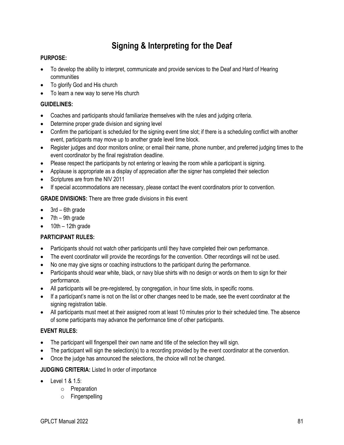# **Signing & Interpreting for the Deaf**

### **PURPOSE:**

- To develop the ability to interpret, communicate and provide services to the Deaf and Hard of Hearing communities
- To glorify God and His church
- To learn a new way to serve His church

#### **GUIDELINES:**

- Coaches and participants should familiarize themselves with the rules and judging criteria.
- Determine proper grade division and signing level
- Confirm the participant is scheduled for the signing event time slot; if there is a scheduling conflict with another event, participants may move up to another grade level time block.
- Register judges and door monitors online; or email their name, phone number, and preferred judging times to the event coordinator by the final registration deadline.
- Please respect the participants by not entering or leaving the room while a participant is signing.
- Applause is appropriate as a display of appreciation after the signer has completed their selection
- Scriptures are from the NIV 2011
- If special accommodations are necessary, please contact the event coordinators prior to convention.

**GRADE DIVISIONS:** There are three grade divisions in this event

- 3rd 6th grade
- 7th 9th grade
- $\bullet$  10th 12th grade

## **PARTICIPANT RULES:**

- Participants should not watch other participants until they have completed their own performance.
- The event coordinator will provide the recordings for the convention. Other recordings will not be used.
- No one may give signs or coaching instructions to the participant during the performance.
- Participants should wear white, black, or navy blue shirts with no design or words on them to sign for their performance.
- All participants will be pre-registered, by congregation, in hour time slots, in specific rooms.
- If a participant's name is not on the list or other changes need to be made, see the event coordinator at the signing registration table.
- All participants must meet at their assigned room at least 10 minutes prior to their scheduled time. The absence of some participants may advance the performance time of other participants.

## **EVENT RULES:**

- The participant will fingerspell their own name and title of the selection they will sign.
- The participant will sign the selection(s) to a recording provided by the event coordinator at the convention.
- Once the judge has announced the selections, the choice will not be changed.

## **JUDGING CRITERIA:** Listed In order of importance

- Level 1 & 1.5:
	- o Preparation
	- o Fingerspelling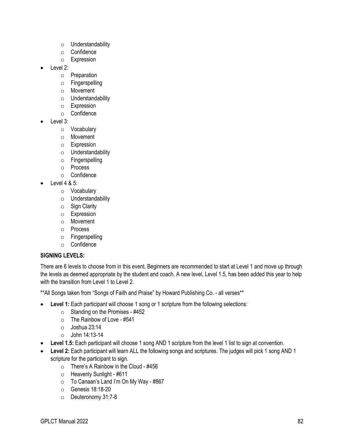- o Understandability
- o Confidence
- o Expression
- Level 2:
	- o Preparation
	- o Fingerspelling
	- o Movement
	- o Understandability
	- o Expression
	- o Confidence
- Level 3:
	- o Vocabulary
	- o Movement
	- o Expression
	- o Understandability
	- o Fingerspelling
	- o Process
	- o Confidence
	- Level 4 & 5:
		- o Vocabulary
		- o Understandability
		- $\circ$  Sign Clarity
		- o Expression
		- o Movement
		- o Process
		- o Fingerspelling
		- o Confidence

#### **SIGNING LEVELS:**

There are 6 levels to choose from in this event. Beginners are recommended to start at Level 1 and move up through the levels as deemed appropriate by the student and coach. A new level, Level 1.5, has been added this year to help with the transition from Level 1 to Level 2.

\*\*All Songs taken from "Songs of Faith and Praise" by Howard Publishing Co. - all verses\*\*

- **Level 1:** Each participant will choose 1 song or 1 scripture from the following selections:
	- $\circ$  Standing on the Promises #452
	- $\circ$  The Rainbow of Love #541
	- o Joshua 23:14
	- $\circ$  John 14:13-14
- **Level 1.5:** Each participant will choose 1 song AND 1 scripture from the level 1 list to sign at convention.
- **Level 2:** Each participant will learn ALL the following songs and scriptures. The judges will pick 1 song AND 1 scripture for the participant to sign.
	- $\circ$  There's A Rainbow in the Cloud #456
	- o Heavenly Sunlight #611
	- $\circ$  To Canaan's Land I'm On My Way #867
	- o Genesis 18:18-20
	- o Deuteronomy 31:7-8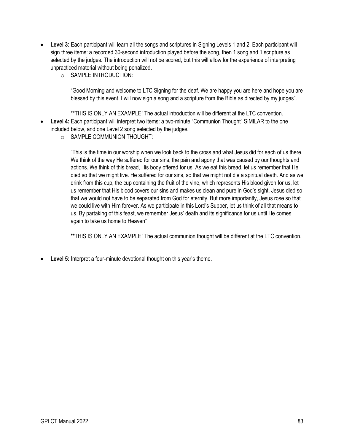- **Level 3:** Each participant will learn all the songs and scriptures in Signing Levels 1 and 2. Each participant will sign three items: a recorded 30-second introduction played before the song, then 1 song and 1 scripture as selected by the judges. The introduction will not be scored, but this will allow for the experience of interpreting unpracticed material without being penalized.
	- o SAMPLE INTRODUCTION:

"Good Morning and welcome to LTC Signing for the deaf. We are happy you are here and hope you are blessed by this event. I will now sign a song and a scripture from the Bible as directed by my judges".

\*\*THIS IS ONLY AN EXAMPLE! The actual introduction will be different at the LTC convention.

- **Level 4:** Each participant will interpret two items: a two-minute "Communion Thought" SIMILAR to the one included below, and one Level 2 song selected by the judges.
	- o SAMPLE COMMUNION THOUGHT:

"This is the time in our worship when we look back to the cross and what Jesus did for each of us there. We think of the way He suffered for our sins, the pain and agony that was caused by our thoughts and actions. We think of this bread, His body offered for us. As we eat this bread, let us remember that He died so that we might live. He suffered for our sins, so that we might not die a spiritual death. And as we drink from this cup, the cup containing the fruit of the vine, which represents His blood given for us, let us remember that His blood covers our sins and makes us clean and pure in God's sight. Jesus died so that we would not have to be separated from God for eternity. But more importantly, Jesus rose so that we could live with Him forever. As we participate in this Lord's Supper, let us think of all that means to us. By partaking of this feast, we remember Jesus' death and its significance for us until He comes again to take us home to Heaven"

\*\*THIS IS ONLY AN EXAMPLE! The actual communion thought will be different at the LTC convention.

• **Level 5:** Interpret a four-minute devotional thought on this year's theme.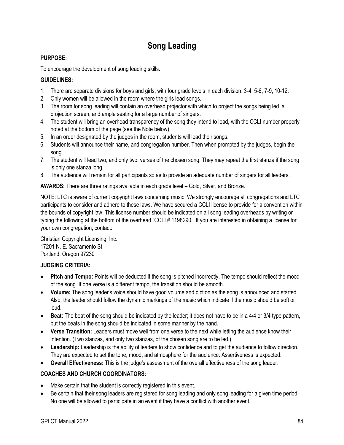# **Song Leading**

## **PURPOSE:**

To encourage the development of song leading skills.

# **GUIDELINES:**

- 1. There are separate divisions for boys and girls, with four grade levels in each division: 3-4, 5-6, 7-9, 10-12.
- 2. Only women will be allowed in the room where the girls lead songs.
- 3. The room for song leading will contain an overhead projector with which to project the songs being led, a projection screen, and ample seating for a large number of singers.
- 4. The student will bring an overhead transparency of the song they intend to lead, with the CCLI number properly noted at the bottom of the page (see the Note below).
- 5. In an order designated by the judges in the room, students will lead their songs.
- 6. Students will announce their name, and congregation number. Then when prompted by the judges, begin the song.
- 7. The student will lead two, and only two, verses of the chosen song. They may repeat the first stanza if the song is only one stanza long.
- 8. The audience will remain for all participants so as to provide an adequate number of singers for all leaders.

**AWARDS:** There are three ratings available in each grade level – Gold, Silver, and Bronze.

NOTE: LTC is aware of current copyright laws concerning music. We strongly encourage all congregations and LTC participants to consider and adhere to these laws. We have secured a CCLI license to provide for a convention within the bounds of copyright law. This license number should be indicated on all song leading overheads by writing or typing the following at the bottom of the overhead "CCLI # 1198290." If you are interested in obtaining a license for your own congregation, contact:

Christian Copyright Licensing, Inc. 17201 N. E. Sacramento St. Portland, Oregon 97230

## **JUDGING CRITERIA:**

- **Pitch and Tempo:** Points will be deducted if the song is pitched incorrectly. The tempo should reflect the mood of the song. If one verse is a different tempo, the transition should be smooth.
- **Volume:** The song leader's voice should have good volume and diction as the song is announced and started. Also, the leader should follow the dynamic markings of the music which indicate if the music should be soft or loud.
- **Beat:** The beat of the song should be indicated by the leader; it does not have to be in a 4/4 or 3/4 type pattern, but the beats in the song should be indicated in some manner by the hand.
- **Verse Transition:** Leaders must move well from one verse to the next while letting the audience know their intention. (Two stanzas, and only two stanzas, of the chosen song are to be led.)
- **Leadership:** Leadership is the ability of leaders to show confidence and to get the audience to follow direction. They are expected to set the tone, mood, and atmosphere for the audience. Assertiveness is expected.
- **Overall Effectiveness:** This is the judge's assessment of the overall effectiveness of the song leader.

# **COACHES AND CHURCH COORDINATORS:**

- Make certain that the student is correctly registered in this event.
- Be certain that their song leaders are registered for song leading and only song leading for a given time period. No one will be allowed to participate in an event if they have a conflict with another event.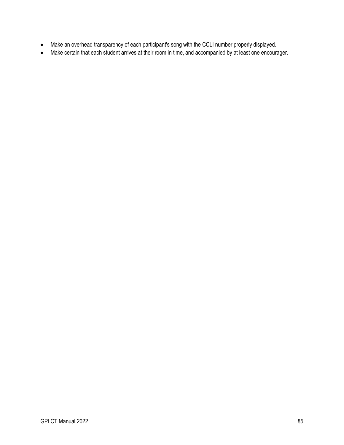- Make an overhead transparency of each participant's song with the CCLI number properly displayed.
- Make certain that each student arrives at their room in time, and accompanied by at least one encourager.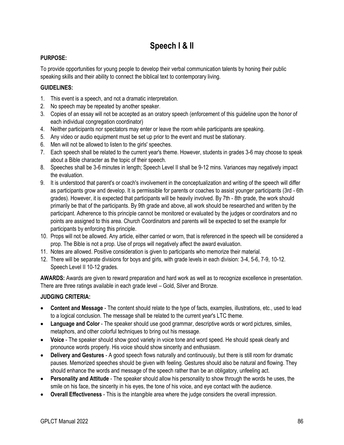# **Speech I & II**

## **PURPOSE:**

To provide opportunities for young people to develop their verbal communication talents by honing their public speaking skills and their ability to connect the biblical text to contemporary living.

#### **GUIDELINES:**

- 1. This event is a speech, and not a dramatic interpretation.
- 2. No speech may be repeated by another speaker.
- 3. Copies of an essay will not be accepted as an oratory speech (enforcement of this guideline upon the honor of each individual congregation coordinator)
- 4. Neither participants nor spectators may enter or leave the room while participants are speaking.
- 5. Any video or audio equipment must be set up prior to the event and must be stationary.
- 6. Men will not be allowed to listen to the girls' speeches.
- 7. Each speech shall be related to the current year's theme. However, students in grades 3-6 may choose to speak about a Bible character as the topic of their speech.
- 8. Speeches shall be 3-6 minutes in length; Speech Level II shall be 9-12 mins. Variances may negatively impact the evaluation.
- 9. It is understood that parent's or coach's involvement in the conceptualization and writing of the speech will differ as participants grow and develop. It is permissible for parents or coaches to assist younger participants (3rd - 6th grades). However, it is expected that participants will be heavily involved. By 7th - 8th grade, the work should primarily be that of the participants. By 9th grade and above, all work should be researched and written by the participant. Adherence to this principle cannot be monitored or evaluated by the judges or coordinators and no points are assigned to this area. Church Coordinators and parents will be expected to set the example for participants by enforcing this principle.
- 10. Props will not be allowed. Any article, either carried or worn, that is referenced in the speech will be considered a prop. The Bible is not a prop. Use of props will negatively affect the award evaluation.
- 11. Notes are allowed. Positive consideration is given to participants who memorize their material.
- 12. There will be separate divisions for boys and girls, with grade levels in each division: 3-4, 5-6, 7-9, 10-12. Speech Level II 10-12 grades.

**AWARDS:** Awards are given to reward preparation and hard work as well as to recognize excellence in presentation. There are three ratings available in each grade level – Gold, Silver and Bronze.

## **JUDGING CRITERIA:**

- **Content and Message** The content should relate to the type of facts, examples, illustrations, etc., used to lead to a logical conclusion. The message shall be related to the current year's LTC theme.
- **Language and Color** The speaker should use good grammar, descriptive words or word pictures, similes, metaphors, and other colorful techniques to bring out his message.
- **Voice** The speaker should show good variety in voice tone and word speed. He should speak clearly and pronounce words properly. His voice should show sincerity and enthusiasm.
- **Delivery and Gestures** A good speech flows naturally and continuously, but there is still room for dramatic pauses. Memorized speeches should be given with feeling. Gestures should also be natural and flowing. They should enhance the words and message of the speech rather than be an obligatory, unfeeling act.
- **Personality and Attitude** The speaker should allow his personality to show through the words he uses, the smile on his face, the sincerity in his eyes, the tone of his voice, and eye contact with the audience.
- **Overall Effectiveness** This is the intangible area where the judge considers the overall impression.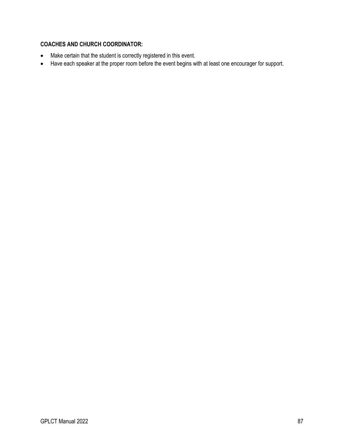#### **COACHES AND CHURCH COORDINATOR:**

- Make certain that the student is correctly registered in this event.
- Have each speaker at the proper room before the event begins with at least one encourager for support.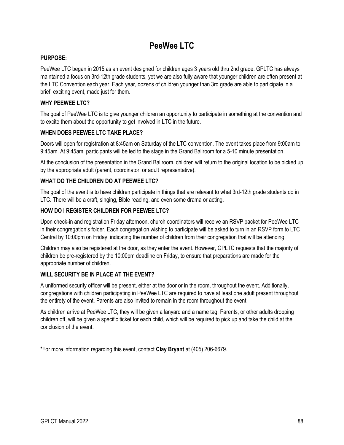# **PeeWee LTC**

#### **PURPOSE:**

PeeWee LTC began in 2015 as an event designed for children ages 3 years old thru 2nd grade. GPLTC has always maintained a focus on 3rd-12th grade students, yet we are also fully aware that younger children are often present at the LTC Convention each year. Each year, dozens of children younger than 3rd grade are able to participate in a brief, exciting event, made just for them.

#### **WHY PEEWEE LTC?**

The goal of PeeWee LTC is to give younger children an opportunity to participate in something at the convention and to excite them about the opportunity to get involved in LTC in the future.

#### **WHEN DOES PEEWEE LTC TAKE PLACE?**

Doors will open for registration at 8:45am on Saturday of the LTC convention. The event takes place from 9:00am to 9:45am. At 9:45am, participants will be led to the stage in the Grand Ballroom for a 5-10 minute presentation.

At the conclusion of the presentation in the Grand Ballroom, children will return to the original location to be picked up by the appropriate adult (parent, coordinator, or adult representative).

#### **WHAT DO THE CHILDREN DO AT PEEWEE LTC?**

The goal of the event is to have children participate in things that are relevant to what 3rd-12th grade students do in LTC. There will be a craft, singing, Bible reading, and even some drama or acting.

#### **HOW DO I REGISTER CHILDREN FOR PEEWEE LTC?**

Upon check-in and registration Friday afternoon, church coordinators will receive an RSVP packet for PeeWee LTC in their congregation's folder. Each congregation wishing to participate will be asked to turn in an RSVP form to LTC Central by 10:00pm on Friday, indicating the number of children from their congregation that will be attending.

Children may also be registered at the door, as they enter the event. However, GPLTC requests that the majority of children be pre-registered by the 10:00pm deadline on Friday, to ensure that preparations are made for the appropriate number of children.

#### **WILL SECURITY BE IN PLACE AT THE EVENT?**

A uniformed security officer will be present, either at the door or in the room, throughout the event. Additionally, congregations with children participating in PeeWee LTC are required to have at least one adult present throughout the entirety of the event. Parents are also invited to remain in the room throughout the event.

As children arrive at PeeWee LTC, they will be given a lanyard and a name tag. Parents, or other adults dropping children off, will be given a specific ticket for each child, which will be required to pick up and take the child at the conclusion of the event.

\*For more information regarding this event, contact **Clay Bryant** at (405) 206-6679.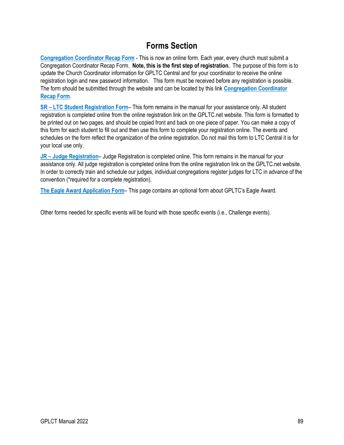# **Forms Section**

**[Congregation Coordinator Recap Form](http://gpltc.net/recap)** - This is now an online form. Each year, every church must submit a Congregation Coordinator Recap Form. **Note, this is the first step of registration.** The purpose of this form is to update the Church Coordinator information for GPLTC Central and for your coordinator to receive the online registration login and new password information. This form must be received before any registration is possible. The form should be submitted through the website and can be located by this link **[Congregation Coordinator](http://gpltc.net/recap)  [Recap Form](http://gpltc.net/recap)**.

**SR – [LTC Student Registration Form](#page-93-0)**– This form remains in the manual for your assistance only. All student registration is completed online from the online registration link on the GPLTC.net website. This form is formatted to be printed out on two pages, and should be copied front and back on one piece of paper. You can make a copy of this form for each student to fill out and then use this form to complete your registration online. The events and schedules on the form reflect the organization of the online registration. Do not mail this form to LTC Central it is for your local use only.

**JR – [Judge Registration](#page-95-0)**– Judge Registration is completed online. This form remains in the manual for your assistance only. All judge registration is completed online from the online registration link on the GPLTC.net website. In order to correctly train and schedule our judges, individual congregations register judges for LTC in advance of the convention (\*required for a complete registration).

**[The Eagle Award Application Form](#page-96-0)**– This page contains an optional form about GPLTC's Eagle Award.

Other forms needed for specific events will be found with those specific events (i.e., Challenge events).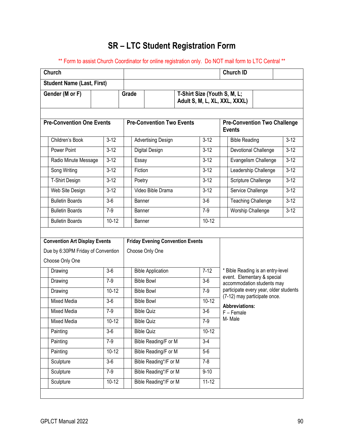# **SR – LTC Student Registration Form**

<span id="page-93-0"></span>\*\* Form to assist Church Coordinator for online registration only. Do NOT mail form to LTC Central \*\*

| <b>Church</b>                                                                                 |          |                                  |                                                            |                                                               |           | <b>Church ID</b>                                                     |          |  |
|-----------------------------------------------------------------------------------------------|----------|----------------------------------|------------------------------------------------------------|---------------------------------------------------------------|-----------|----------------------------------------------------------------------|----------|--|
| <b>Student Name (Last, First)</b>                                                             |          |                                  |                                                            |                                                               |           |                                                                      |          |  |
| Gender (M or F)                                                                               |          | Grade                            |                                                            | T-Shirt Size (Youth S, M, L;<br>Adult S, M, L, XL, XXL, XXXL) |           |                                                                      |          |  |
| <b>Pre-Convention One Events</b>                                                              |          | <b>Pre-Convention Two Events</b> |                                                            |                                                               |           | <b>Pre-Convention Two Challenge</b><br><b>Events</b>                 |          |  |
| Children's Book                                                                               | $3 - 12$ | <b>Advertising Design</b>        |                                                            |                                                               | $3 - 12$  | <b>Bible Reading</b>                                                 | $3 - 12$ |  |
| Power Point                                                                                   | $3 - 12$ |                                  | Digital Design                                             |                                                               | $3 - 12$  | Devotional Challenge                                                 | $3 - 12$ |  |
| Radio Minute Message                                                                          | $3 - 12$ | Essay                            |                                                            |                                                               | $3 - 12$  | Evangelism Challenge                                                 | $3-12$   |  |
| Song Writing                                                                                  | $3 - 12$ | Fiction                          |                                                            |                                                               | $3 - 12$  | Leadership Challenge                                                 | $3 - 12$ |  |
| T-Shirt Design                                                                                | $3 - 12$ | Poetry                           |                                                            |                                                               | $3 - 12$  | Scripture Challenge                                                  | $3 - 12$ |  |
| Web Site Design                                                                               | $3 - 12$ |                                  | Video Bible Drama                                          |                                                               | $3 - 12$  | Service Challenge                                                    | $3 - 12$ |  |
| <b>Bulletin Boards</b>                                                                        | $3-6$    | Banner                           |                                                            |                                                               | $3-6$     | <b>Teaching Challenge</b>                                            | $3 - 12$ |  |
| <b>Bulletin Boards</b>                                                                        | $7-9$    | Banner                           |                                                            |                                                               | $7-9$     | <b>Worship Challenge</b>                                             | $3 - 12$ |  |
| <b>Bulletin Boards</b>                                                                        | $10-12$  | Banner                           |                                                            |                                                               | $10-12$   |                                                                      |          |  |
| <b>Convention Art Display Events</b><br>Due by 6:30PM Friday of Convention<br>Choose Only One |          |                                  | <b>Friday Evening Convention Events</b><br>Choose Only One |                                                               |           |                                                                      |          |  |
| Drawing                                                                                       | $3-6$    | <b>Bible Application</b>         |                                                            |                                                               |           | * Bible Reading is an entry-level                                    |          |  |
| Drawing                                                                                       |          | <b>Bible Bowl</b>                |                                                            |                                                               | $7-12$    |                                                                      |          |  |
|                                                                                               | $7-9$    |                                  |                                                            |                                                               | $3-6$     | event. Elementary & special                                          |          |  |
| Drawing                                                                                       | $10-12$  |                                  | <b>Bible Bowl</b>                                          | $7-9$                                                         |           | accommodation students may<br>participate every year, older students |          |  |
| <b>Mixed Media</b>                                                                            | $3-6$    |                                  | <b>Bible Bowl</b>                                          |                                                               | $10-12$   | (7-12) may participate once.                                         |          |  |
| <b>Mixed Media</b>                                                                            | $7-9$    |                                  | <b>Bible Quiz</b>                                          |                                                               | $3-6$     | <b>Abbreviations:</b>                                                |          |  |
| Mixed Media                                                                                   | $10-12$  |                                  | <b>Bible Quiz</b>                                          |                                                               | $7-9$     | $F$ – Female<br>M-Male                                               |          |  |
| Painting                                                                                      | $3-6$    |                                  | <b>Bible Quiz</b>                                          |                                                               | $10 - 12$ |                                                                      |          |  |
| Painting                                                                                      | $7-9$    |                                  | Bible Reading/F or M                                       |                                                               | $3-4$     |                                                                      |          |  |
| Painting                                                                                      | $10-12$  |                                  | Bible Reading/F or M                                       |                                                               | $5-6$     |                                                                      |          |  |
| Sculpture                                                                                     | $3-6$    |                                  | Bible Reading <sup>*</sup> /F or M                         |                                                               | $7 - 8$   |                                                                      |          |  |
| Sculpture                                                                                     | $7-9$    |                                  | Bible Reading*/F or M                                      |                                                               | $9 - 10$  |                                                                      |          |  |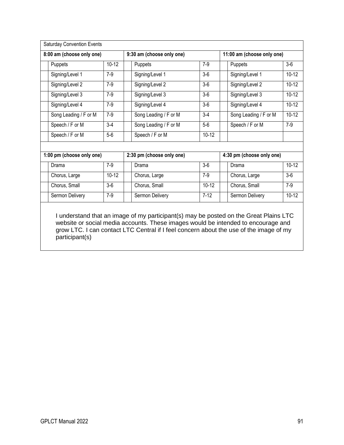|                           | <b>Saturday Convention Events</b> |           |                  |                                                                                           |           |               |                            |           |  |
|---------------------------|-----------------------------------|-----------|------------------|-------------------------------------------------------------------------------------------|-----------|---------------|----------------------------|-----------|--|
| 8:00 am (choose only one) |                                   |           |                  | 9:30 am (choose only one)                                                                 |           |               | 11:00 am (choose only one) |           |  |
|                           | Puppets                           | $10 - 12$ | Puppets<br>$7-9$ |                                                                                           |           |               | Puppets                    | $3-6$     |  |
|                           | Signing/Level 1                   | $7-9$     |                  | Signing/Level 1                                                                           | $3-6$     |               | Signing/Level 1            | $10 - 12$ |  |
|                           | Signing/Level 2                   | $7-9$     |                  | Signing/Level 2                                                                           | $3-6$     |               | Signing/Level 2            | $10 - 12$ |  |
|                           | Signing/Level 3                   | $7-9$     |                  | Signing/Level 3                                                                           | $3-6$     |               | Signing/Level 3            | $10 - 12$ |  |
|                           | Signing/Level 4                   | $7-9$     |                  | Signing/Level 4                                                                           | $3-6$     |               | Signing/Level 4            | $10 - 12$ |  |
|                           | Song Leading / F or M             | $7-9$     |                  | Song Leading / F or M                                                                     | $3-4$     |               | Song Leading / F or M      | $10 - 12$ |  |
|                           | Speech / F or M                   | $3-4$     |                  | Song Leading / F or M                                                                     | $5-6$     |               | Speech / F or M            | $7-9$     |  |
|                           | Speech / F or M                   | $5-6$     |                  | Speech / F or M                                                                           | $10 - 12$ |               |                            |           |  |
|                           |                                   |           |                  |                                                                                           |           |               |                            |           |  |
| 1:00 pm (choose only one) |                                   |           |                  | 2:30 pm (choose only one)                                                                 |           |               | 4:30 pm (choose only one)  |           |  |
|                           | Drama                             | $7-9$     |                  | Drama                                                                                     | $3-6$     |               | Drama                      | $10 - 12$ |  |
|                           | Chorus, Large                     | $10 - 12$ |                  | Chorus, Large                                                                             | $7-9$     | Chorus, Large |                            | $3-6$     |  |
|                           | Chorus, Small                     | $3-6$     |                  | Chorus, Small                                                                             | $10 - 12$ |               | Chorus, Small              | $7-9$     |  |
|                           | Sermon Delivery                   | $7-9$     |                  | Sermon Delivery                                                                           | $7 - 12$  |               | Sermon Delivery            | $10 - 12$ |  |
|                           |                                   |           |                  | Lunderstand that an impropriation in putinipped (a) may be needed an the Creat Dlaine LTC |           |               |                            |           |  |

I understand that an image of my participant(s) may be posted on the Great Plains LTC website or social media accounts. These images would be intended to encourage and grow LTC. I can contact LTC Central if I feel concern about the use of the image of my participant(s)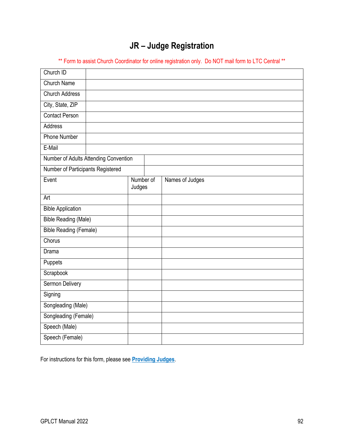# **JR – Judge Registration**

<span id="page-95-0"></span>\*\* Form to assist Church Coordinator for online registration only. Do NOT mail form to LTC Central \*\*

| Church ID                             |           |                 |
|---------------------------------------|-----------|-----------------|
| Church Name                           |           |                 |
| <b>Church Address</b>                 |           |                 |
| City, State, ZIP                      |           |                 |
| <b>Contact Person</b>                 |           |                 |
| Address                               |           |                 |
| <b>Phone Number</b>                   |           |                 |
| E-Mail                                |           |                 |
| Number of Adults Attending Convention |           |                 |
| Number of Participants Registered     |           |                 |
| Event                                 | Number of | Names of Judges |
|                                       | Judges    |                 |
| Art                                   |           |                 |
| <b>Bible Application</b>              |           |                 |
| <b>Bible Reading (Male)</b>           |           |                 |
| <b>Bible Reading (Female)</b>         |           |                 |
| Chorus                                |           |                 |
| Drama                                 |           |                 |
| Puppets                               |           |                 |
| Scrapbook                             |           |                 |
| <b>Sermon Delivery</b>                |           |                 |
| Signing                               |           |                 |
| Songleading (Male)                    |           |                 |
| Songleading (Female)                  |           |                 |
| Speech (Male)                         |           |                 |
| Speech (Female)                       |           |                 |

For instructions for this form, please see **[Providing Judges](#page-11-0)**.